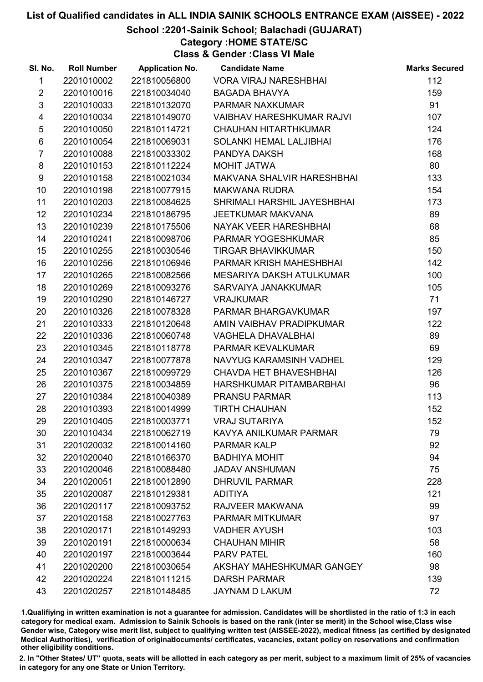# School :2201-Sainik School; Balachadi (GUJARAT)

Category :HOME STATE/SC

Class & Gender :Class VI Male

| SI. No.                 | <b>Roll Number</b> | <b>Application No.</b> | <b>Candidate Name</b>            | <b>Marks Secured</b> |
|-------------------------|--------------------|------------------------|----------------------------------|----------------------|
| $\mathbf{1}$            | 2201010002         | 221810056800           | <b>VORA VIRAJ NARESHBHAI</b>     | 112                  |
| $\overline{2}$          | 2201010016         | 221810034040           | <b>BAGADA BHAVYA</b>             | 159                  |
| $\mathfrak{S}$          | 2201010033         | 221810132070           | PARMAR NAXKUMAR                  | 91                   |
| $\overline{\mathbf{4}}$ | 2201010034         | 221810149070           | <b>VAIBHAV HARESHKUMAR RAJVI</b> | 107                  |
| $\sqrt{5}$              | 2201010050         | 221810114721           | <b>CHAUHAN HITARTHKUMAR</b>      | 124                  |
| 6                       | 2201010054         | 221810069031           | SOLANKI HEMAL LALJIBHAI          | 176                  |
| $\overline{7}$          | 2201010088         | 221810033302           | PANDYA DAKSH                     | 168                  |
| 8                       | 2201010153         | 221810112224           | MOHIT JATWA                      | 80                   |
| 9                       | 2201010158         | 221810021034           | MAKVANA SHALVIR HARESHBHAI       | 133                  |
| 10                      | 2201010198         | 221810077915           | <b>MAKWANA RUDRA</b>             | 154                  |
| 11                      | 2201010203         | 221810084625           | SHRIMALI HARSHIL JAYESHBHAI      | 173                  |
| 12                      | 2201010234         | 221810186795           | <b>JEETKUMAR MAKVANA</b>         | 89                   |
| 13                      | 2201010239         | 221810175506           | NAYAK VEER HARESHBHAI            | 68                   |
| 14                      | 2201010241         | 221810098706           | PARMAR YOGESHKUMAR               | 85                   |
| 15                      | 2201010255         | 221810030546           | <b>TIRGAR BHAVIKKUMAR</b>        | 150                  |
| 16                      | 2201010256         | 221810106946           | PARMAR KRISH MAHESHBHAI          | 142                  |
| 17                      | 2201010265         | 221810082566           | MESARIYA DAKSH ATULKUMAR         | 100                  |
| 18                      | 2201010269         | 221810093276           | SARVAIYA JANAKKUMAR              | 105                  |
| 19                      | 2201010290         | 221810146727           | <b>VRAJKUMAR</b>                 | 71                   |
| 20                      | 2201010326         | 221810078328           | PARMAR BHARGAVKUMAR              | 197                  |
| 21                      | 2201010333         | 221810120648           | AMIN VAIBHAV PRADIPKUMAR         | 122                  |
| 22                      | 2201010336         | 221810060748           | <b>VAGHELA DHAVALBHAI</b>        | 89                   |
| 23                      | 2201010345         | 221810118778           | PARMAR KEVALKUMAR                | 69                   |
| 24                      | 2201010347         | 221810077878           | NAVYUG KARAMSINH VADHEL          | 129                  |
| 25                      | 2201010367         | 221810099729           | <b>CHAVDA HET BHAVESHBHAI</b>    | 126                  |
| 26                      | 2201010375         | 221810034859           | HARSHKUMAR PITAMBARBHAI          | 96                   |
| 27                      | 2201010384         | 221810040389           | <b>PRANSU PARMAR</b>             | 113                  |
| 28                      | 2201010393         | 221810014999           | <b>TIRTH CHAUHAN</b>             | 152                  |
| 29                      | 2201010405         | 221810003771           | <b>VRAJ SUTARIYA</b>             | 152                  |
| 30                      | 2201010434         | 221810062719           | KAVYA ANILKUMAR PARMAR           | 79                   |
| 31                      | 2201020032         | 221810014160           | <b>PARMAR KALP</b>               | 92                   |
| 32                      | 2201020040         | 221810166370           | <b>BADHIYA MOHIT</b>             | 94                   |
| 33                      | 2201020046         | 221810088480           | <b>JADAV ANSHUMAN</b>            | 75                   |
| 34                      | 2201020051         | 221810012890           | <b>DHRUVIL PARMAR</b>            | 228                  |
| 35                      | 2201020087         | 221810129381           | <b>ADITIYA</b>                   | 121                  |
| 36                      | 2201020117         | 221810093752           | RAJVEER MAKWANA                  | 99                   |
| 37                      | 2201020158         | 221810027763           | <b>PARMAR MITKUMAR</b>           | 97                   |
| 38                      | 2201020171         | 221810149293           | <b>VADHER AYUSH</b>              | 103                  |
| 39                      | 2201020191         | 221810000634           | <b>CHAUHAN MIHIR</b>             | 58                   |
| 40                      | 2201020197         | 221810003644           | <b>PARV PATEL</b>                | 160                  |
| 41                      | 2201020200         | 221810030654           | AKSHAY MAHESHKUMAR GANGEY        | 98                   |
| 42                      | 2201020224         | 221810111215           | <b>DARSH PARMAR</b>              | 139                  |
| 43                      | 2201020257         | 221810148485           | JAYNAM D LAKUM                   | 72                   |

1.Qualifiying in written examination is not a guarantee for admission. Candidates will be shortlisted in the ratio of 1:3 in each category for medical exam. Admission to Sainik Schools is based on the rank (inter se merit) in the School wise,Class wise Gender wise, Category wise merit list, subject to qualifying written test (AISSEE-2022), medical fitness (as certified by designated Medical Authorities), verification of originablocuments/ certificates, vacancies, extant policy on reservations and confirmation other eligibility conditions.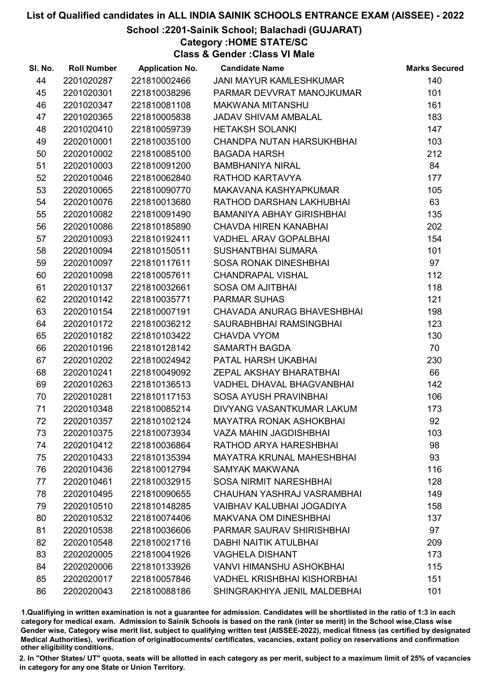# School :2201-Sainik School; Balachadi (GUJARAT)

# Category :HOME STATE/SC

Class & Gender :Class VI Male

| SI. No. | <b>Roll Number</b> | <b>Application No.</b> | <b>Candidate Name</b>              | <b>Marks Secured</b> |
|---------|--------------------|------------------------|------------------------------------|----------------------|
| 44      | 2201020287         | 221810002466           | JANI MAYUR KAMLESHKUMAR            | 140                  |
| 45      | 2201020301         | 221810038296           | PARMAR DEVVRAT MANOJKUMAR          | 101                  |
| 46      | 2201020347         | 221810081108           | <b>MAKWANA MITANSHU</b>            | 161                  |
| 47      | 2201020365         | 221810005838           | JADAV SHIVAM AMBALAL               | 183                  |
| 48      | 2201020410         | 221810059739           | <b>HETAKSH SOLANKI</b>             | 147                  |
| 49      | 2202010001         | 221810035100           | CHANDPA NUTAN HARSUKHBHAI          | 103                  |
| 50      | 2202010002         | 221810085100           | <b>BAGADA HARSH</b>                | 212                  |
| 51      | 2202010003         | 221810091200           | <b>BAMBHANIYA NIRAL</b>            | 84                   |
| 52      | 2202010046         | 221810062840           | RATHOD KARTAVYA                    | 177                  |
| 53      | 2202010065         | 221810090770           | MAKAVANA KASHYAPKUMAR              | 105                  |
| 54      | 2202010076         | 221810013680           | RATHOD DARSHAN LAKHUBHAI           | 63                   |
| 55      | 2202010082         | 221810091490           | BAMANIYA ABHAY GIRISHBHAI          | 135                  |
| 56      | 2202010086         | 221810185890           | <b>CHAVDA HIREN KANABHAI</b>       | 202                  |
| 57      | 2202010093         | 221810192411           | <b>VADHEL ARAV GOPALBHAI</b>       | 154                  |
| 58      | 2202010094         | 221810150511           | <b>SUSHANTBHAI SUMARA</b>          | 101                  |
| 59      | 2202010097         | 221810117611           | SOSA RONAK DINESHBHAI              | 97                   |
| 60      | 2202010098         | 221810057611           | <b>CHANDRAPAL VISHAL</b>           | 112                  |
| 61      | 2202010137         | 221810032661           | <b>SOSA OM AJITBHAI</b>            | 118                  |
| 62      | 2202010142         | 221810035771           | <b>PARMAR SUHAS</b>                | 121                  |
| 63      | 2202010154         | 221810007191           | CHAVADA ANURAG BHAVESHBHAI         | 198                  |
| 64      | 2202010172         | 221810036212           | SAURABHBHAI RAMSINGBHAI            | 123                  |
| 65      | 2202010182         | 221810103422           | <b>CHAVDA VYOM</b>                 | 130                  |
| 66      | 2202010196         | 221810128142           | <b>SAMARTH BAGDA</b>               | 70                   |
| 67      | 2202010202         | 221810024942           | PATAL HARSH UKABHAI                | 230                  |
| 68      | 2202010241         | 221810049092           | ZEPAL AKSHAY BHARATBHAI            | 66                   |
| 69      | 2202010263         | 221810136513           | VADHEL DHAVAL BHAGVANBHAI          | 142                  |
| 70      | 2202010281         | 221810117153           | <b>SOSA AYUSH PRAVINBHAI</b>       | 106                  |
| 71      | 2202010348         | 221810085214           | DIVYANG VASANTKUMAR LAKUM          | 173                  |
| 72      | 2202010357         | 221810102124           | <b>MAYATRA RONAK ASHOKBHAI</b>     | 92                   |
| 73      | 2202010375         | 221810073934           | <b>VAZA MAHIN JAGDISHBHAI</b>      | 103                  |
| 74      | 2202010412         | 221810036864           | RATHOD ARYA HARESHBHAI             | 98                   |
| 75      | 2202010433         | 221810135394           | <b>MAYATRA KRUNAL MAHESHBHAI</b>   | 93                   |
| 76      | 2202010436         | 221810012794           | <b>SAMYAK MAKWANA</b>              | 116                  |
| 77      | 2202010461         | 221810032915           | <b>SOSA NIRMIT NARESHBHAI</b>      | 128                  |
| 78      | 2202010495         | 221810090655           | CHAUHAN YASHRAJ VASRAMBHAI         | 149                  |
| 79      | 2202010510         | 221810148285           | VAIBHAV KALUBHAI JOGADIYA          | 158                  |
| 80      | 2202010532         | 221810074406           | <b>MAKVANA OM DINESHBHAI</b>       | 137                  |
| 81      | 2202010538         | 221810036606           | <b>PARMAR SAURAV SHIRISHBHAI</b>   | 97                   |
| 82      | 2202010548         | 221810021716           | <b>DABHI NAITIK ATULBHAI</b>       | 209                  |
| 83      | 2202020005         | 221810041926           | <b>VAGHELA DISHANT</b>             | 173                  |
| 84      | 2202020006         | 221810133926           | VANVI HIMANSHU ASHOKBHAI           | 115                  |
| 85      | 2202020017         | 221810057846           | <b>VADHEL KRISHBHAI KISHORBHAI</b> | 151                  |
| 86      | 2202020043         | 221810088186           | SHINGRAKHIYA JENIL MALDEBHAI       | 101                  |

1.Qualifiying in written examination is not a guarantee for admission. Candidates will be shortlisted in the ratio of 1:3 in each category for medical exam. Admission to Sainik Schools is based on the rank (inter se merit) in the School wise,Class wise Gender wise, Category wise merit list, subject to qualifying written test (AISSEE-2022), medical fitness (as certified by designated Medical Authorities), verification of originablocuments/ certificates, vacancies, extant policy on reservations and confirmation other eligibility conditions.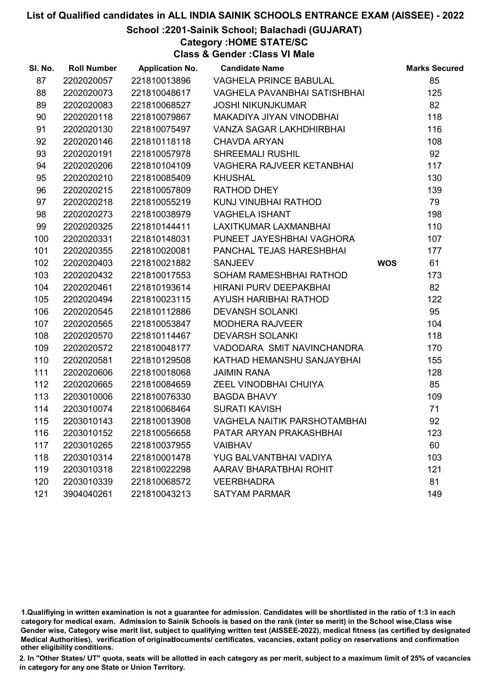#### School :2201-Sainik School; Balachadi (GUJARAT)

# Category :HOME STATE/SC

Class & Gender :Class VI Male

| SI. No. | <b>Roll Number</b> | <b>Application No.</b> | <b>Candidate Name</b>               |            | <b>Marks Secured</b> |
|---------|--------------------|------------------------|-------------------------------------|------------|----------------------|
| 87      | 2202020057         | 221810013896           | VAGHELA PRINCE BABULAL              |            | 85                   |
| 88      | 2202020073         | 221810048617           | VAGHELA PAVANBHAI SATISHBHAI        |            | 125                  |
| 89      | 2202020083         | 221810068527           | <b>JOSHI NIKUNJKUMAR</b>            |            | 82                   |
| 90      | 2202020118         | 221810079867           | MAKADIYA JIYAN VINODBHAI            |            | 118                  |
| 91      | 2202020130         | 221810075497           | VANZA SAGAR LAKHDHIRBHAI            |            | 116                  |
| 92      | 2202020146         | 221810118118           | <b>CHAVDA ARYAN</b>                 |            | 108                  |
| 93      | 2202020191         | 221810057978           | <b>SHREEMALI RUSHIL</b>             |            | 92                   |
| 94      | 2202020206         | 221810104109           | VAGHERA RAJVEER KETANBHAI           |            | 117                  |
| 95      | 2202020210         | 221810085409           | <b>KHUSHAL</b>                      |            | 130                  |
| 96      | 2202020215         | 221810057809           | RATHOD DHEY                         |            | 139                  |
| 97      | 2202020218         | 221810055219           | KUNJ VINUBHAI RATHOD                |            | 79                   |
| 98      | 2202020273         | 221810038979           | <b>VAGHELA ISHANT</b>               |            | 198                  |
| 99      | 2202020325         | 221810144411           | LAXITKUMAR LAXMANBHAI               |            | 110                  |
| 100     | 2202020331         | 221810148031           | PUNEET JAYESHBHAI VAGHORA           |            | 107                  |
| 101     | 2202020355         | 221810020081           | PANCHAL TEJAS HARESHBHAI            |            | 177                  |
| 102     | 2202020403         | 221810021882           | <b>SANJEEV</b>                      | <b>WOS</b> | 61                   |
| 103     | 2202020432         | 221810017553           | SOHAM RAMESHBHAI RATHOD             |            | 173                  |
| 104     | 2202020461         | 221810193614           | HIRANI PURV DEEPAKBHAI              |            | 82                   |
| 105     | 2202020494         | 221810023115           | AYUSH HARIBHAI RATHOD               |            | 122                  |
| 106     | 2202020545         | 221810112886           | <b>DEVANSH SOLANKI</b>              |            | 95                   |
| 107     | 2202020565         | 221810053847           | <b>MODHERA RAJVEER</b>              |            | 104                  |
| 108     | 2202020570         | 221810114467           | <b>DEVARSH SOLANKI</b>              |            | 118                  |
| 109     | 2202020572         | 221810048177           | VADODARA SMIT NAVINCHANDRA          |            | 170                  |
| 110     | 2202020581         | 221810129508           | KATHAD HEMANSHU SANJAYBHAI          |            | 155                  |
| 111     | 2202020606         | 221810018068           | <b>JAIMIN RANA</b>                  |            | 128                  |
| 112     | 2202020665         | 221810084659           | ZEEL VINODBHAI CHUIYA               |            | 85                   |
| 113     | 2203010006         | 221810076330           | <b>BAGDA BHAVY</b>                  |            | 109                  |
| 114     | 2203010074         | 221810068464           | <b>SURATI KAVISH</b>                |            | 71                   |
| 115     | 2203010143         | 221810013908           | <b>VAGHELA NAITIK PARSHOTAMBHAI</b> |            | 92                   |
| 116     | 2203010152         | 221810056658           | PATAR ARYAN PRAKASHBHAI             |            | 123                  |
| 117     | 2203010265         | 221810037955           | <b>VAIBHAV</b>                      |            | 60                   |
| 118     | 2203010314         | 221810001478           | YUG BALVANTBHAI VADIYA              |            | 103                  |
| 119     | 2203010318         | 221810022298           | AARAV BHARATBHAI ROHIT              |            | 121                  |
| 120     | 2203010339         | 221810068572           | <b>VEERBHADRA</b>                   |            | 81                   |
| 121     | 3904040261         | 221810043213           | <b>SATYAM PARMAR</b>                |            | 149                  |

1.Qualifiying in written examination is not a guarantee for admission. Candidates will be shortlisted in the ratio of 1:3 in each category for medical exam. Admission to Sainik Schools is based on the rank (inter se merit) in the School wise,Class wise Gender wise, Category wise merit list, subject to qualifying written test (AISSEE-2022), medical fitness (as certified by designated Medical Authorities), verification of originablocuments/ certificates, vacancies, extant policy on reservations and confirmation other eligibility conditions.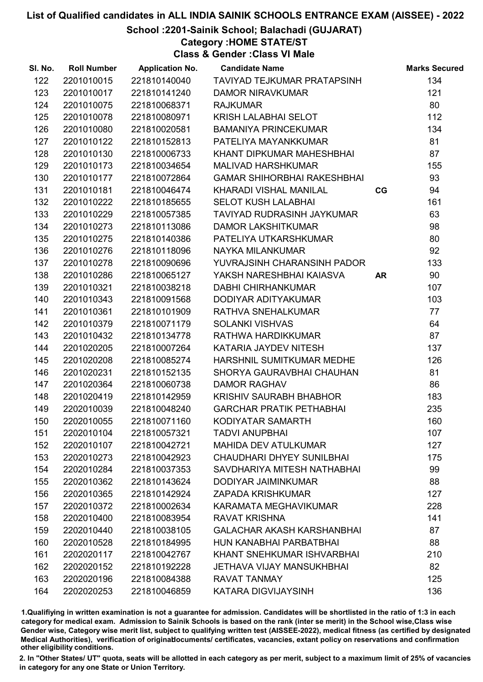# School :2201-Sainik School; Balachadi (GUJARAT)

Category :HOME STATE/ST

Class & Gender :Class VI Male

| SI. No. | <b>Roll Number</b> | <b>Application No.</b> | <b>Candidate Name</b>              |           | <b>Marks Secured</b> |
|---------|--------------------|------------------------|------------------------------------|-----------|----------------------|
| 122     | 2201010015         | 221810140040           | TAVIYAD TEJKUMAR PRATAPSINH        |           | 134                  |
| 123     | 2201010017         | 221810141240           | <b>DAMOR NIRAVKUMAR</b>            |           | 121                  |
| 124     | 2201010075         | 221810068371           | <b>RAJKUMAR</b>                    |           | 80                   |
| 125     | 2201010078         | 221810080971           | KRISH LALABHAI SELOT               |           | 112                  |
| 126     | 2201010080         | 221810020581           | <b>BAMANIYA PRINCEKUMAR</b>        |           | 134                  |
| 127     | 2201010122         | 221810152813           | PATELIYA MAYANKKUMAR               |           | 81                   |
| 128     | 2201010130         | 221810006733           | KHANT DIPKUMAR MAHESHBHAI          |           | 87                   |
| 129     | 2201010173         | 221810034654           | <b>MALIVAD HARSHKUMAR</b>          |           | 155                  |
| 130     | 2201010177         | 221810072864           | <b>GAMAR SHIHORBHAI RAKESHBHAI</b> |           | 93                   |
| 131     | 2201010181         | 221810046474           | <b>KHARADI VISHAL MANILAL</b>      | CG        | 94                   |
| 132     | 2201010222         | 221810185655           | <b>SELOT KUSH LALABHAI</b>         |           | 161                  |
| 133     | 2201010229         | 221810057385           | TAVIYAD RUDRASINH JAYKUMAR         |           | 63                   |
| 134     | 2201010273         | 221810113086           | <b>DAMOR LAKSHITKUMAR</b>          |           | 98                   |
| 135     | 2201010275         | 221810140386           | PATELIYA UTKARSHKUMAR              |           | 80                   |
| 136     | 2201010276         | 221810118096           | NAYKA MILANKUMAR                   |           | 92                   |
| 137     | 2201010278         | 221810090696           | YUVRAJSINH CHARANSINH PADOR        |           | 133                  |
| 138     | 2201010286         | 221810065127           | YAKSH NARESHBHAI KAIASVA           | <b>AR</b> | 90                   |
| 139     | 2201010321         | 221810038218           | <b>DABHI CHIRHANKUMAR</b>          |           | 107                  |
| 140     | 2201010343         | 221810091568           | DODIYAR ADITYAKUMAR                |           | 103                  |
| 141     | 2201010361         | 221810101909           | RATHVA SNEHALKUMAR                 |           | 77                   |
| 142     | 2201010379         | 221810071179           | <b>SOLANKI VISHVAS</b>             |           | 64                   |
| 143     | 2201010432         | 221810134778           | RATHWA HARDIKKUMAR                 |           | 87                   |
| 144     | 2201020205         | 221810007264           | KATARIA JAYDEV NITESH              |           | 137                  |
| 145     | 2201020208         | 221810085274           | HARSHNIL SUMITKUMAR MEDHE          |           | 126                  |
| 146     | 2201020231         | 221810152135           | SHORYA GAURAVBHAI CHAUHAN          |           | 81                   |
| 147     | 2201020364         | 221810060738           | <b>DAMOR RAGHAV</b>                |           | 86                   |
| 148     | 2201020419         | 221810142959           | KRISHIV SAURABH BHABHOR            |           | 183                  |
| 149     | 2202010039         | 221810048240           | <b>GARCHAR PRATIK PETHABHAI</b>    |           | 235                  |
| 150     | 2202010055         | 221810071160           | KODIYATAR SAMARTH                  |           | 160                  |
| 151     | 2202010104         | 221810057321           | <b>TADVI ANUPBHAI</b>              |           | 107                  |
| 152     | 2202010107         | 221810042721           | <b>MAHIDA DEV ATULKUMAR</b>        |           | 127                  |
| 153     | 2202010273         | 221810042923           | CHAUDHARI DHYEY SUNILBHAI          |           | 175                  |
| 154     | 2202010284         | 221810037353           | SAVDHARIYA MITESH NATHABHAI        |           | 99                   |
| 155     | 2202010362         | 221810143624           | <b>DODIYAR JAIMINKUMAR</b>         |           | 88                   |
| 156     | 2202010365         | 221810142924           | <b>ZAPADA KRISHKUMAR</b>           |           | 127                  |
| 157     | 2202010372         | 221810002634           | KARAMATA MEGHAVIKUMAR              |           | 228                  |
| 158     | 2202010400         | 221810083954           | <b>RAVAT KRISHNA</b>               |           | 141                  |
| 159     | 2202010440         | 221810038105           | <b>GALACHAR AKASH KARSHANBHAI</b>  |           | 87                   |
| 160     | 2202010528         | 221810184995           | HUN KANABHAI PARBATBHAI            |           | 88                   |
| 161     | 2202020117         | 221810042767           | KHANT SNEHKUMAR ISHVARBHAI         |           | 210                  |
| 162     | 2202020152         | 221810192228           | <b>JETHAVA VIJAY MANSUKHBHAI</b>   |           | 82                   |
| 163     | 2202020196         | 221810084388           | <b>RAVAT TANMAY</b>                |           | 125                  |
| 164     | 2202020253         | 221810046859           | KATARA DIGVIJAYSINH                |           | 136                  |

1.Qualifiying in written examination is not a guarantee for admission. Candidates will be shortlisted in the ratio of 1:3 in each category for medical exam. Admission to Sainik Schools is based on the rank (inter se merit) in the School wise,Class wise Gender wise, Category wise merit list, subject to qualifying written test (AISSEE-2022), medical fitness (as certified by designated Medical Authorities), verification of originablocuments/ certificates, vacancies, extant policy on reservations and confirmation other eligibility conditions.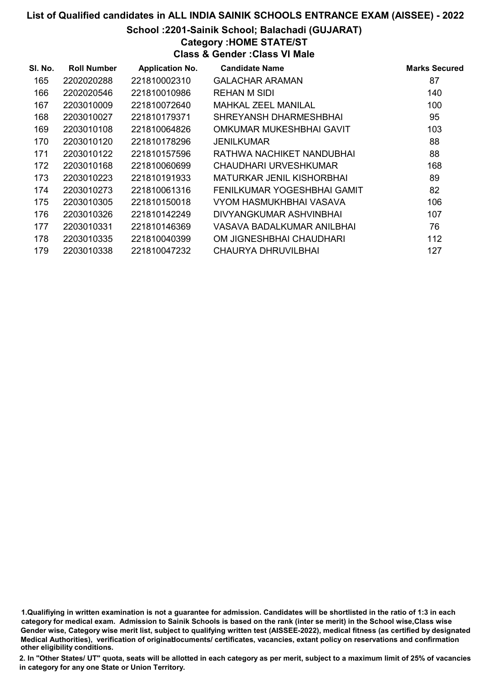#### School :2201-Sainik School; Balachadi (GUJARAT)

# Category :HOME STATE/ST

Class & Gender :Class VI Male

| SI. No. | <b>Roll Number</b> | <b>Application No.</b> | <b>Candidate Name</b>       | <b>Marks Secured</b> |
|---------|--------------------|------------------------|-----------------------------|----------------------|
| 165     | 2202020288         | 221810002310           | <b>GALACHAR ARAMAN</b>      | 87                   |
| 166     | 2202020546         | 221810010986           | REHAN M SIDI                | 140                  |
| 167     | 2203010009         | 221810072640           | MAHKAL ZEEL MANILAL         | 100                  |
| 168     | 2203010027         | 221810179371           | SHREYANSH DHARMESHBHAI      | 95                   |
| 169     | 2203010108         | 221810064826           | OMKUMAR MUKESHBHAI GAVIT    | 103                  |
| 170     | 2203010120         | 221810178296           | <b>JENILKUMAR</b>           | 88                   |
| 171     | 2203010122         | 221810157596           | RATHWA NACHIKET NANDUBHAI   | 88                   |
| 172     | 2203010168         | 221810060699           | CHAUDHARI URVESHKUMAR       | 168                  |
| 173     | 2203010223         | 221810191933           | MATURKAR JENIL KISHORBHAI   | 89                   |
| 174     | 2203010273         | 221810061316           | FENILKUMAR YOGESHBHAI GAMIT | 82                   |
| 175     | 2203010305         | 221810150018           | VYOM HASMUKHBHAI VASAVA     | 106                  |
| 176     | 2203010326         | 221810142249           | DIVYANGKUMAR ASHVINBHAI     | 107                  |
| 177     | 2203010331         | 221810146369           | VASAVA BADALKUMAR ANILBHAI  | 76                   |
| 178     | 2203010335         | 221810040399           | OM JIGNESHBHAI CHAUDHARI    | 112                  |
| 179     | 2203010338         | 221810047232           | CHAURYA DHRUVILBHAI         | 127                  |

1.Qualifiying in written examination is not a guarantee for admission. Candidates will be shortlisted in the ratio of 1:3 in each category for medical exam. Admission to Sainik Schools is based on the rank (inter se merit) in the School wise,Class wise Gender wise, Category wise merit list, subject to qualifying written test (AISSEE-2022), medical fitness (as certified by designated Medical Authorities), verification of originablocuments/ certificates, vacancies, extant policy on reservations and confirmation other eligibility conditions.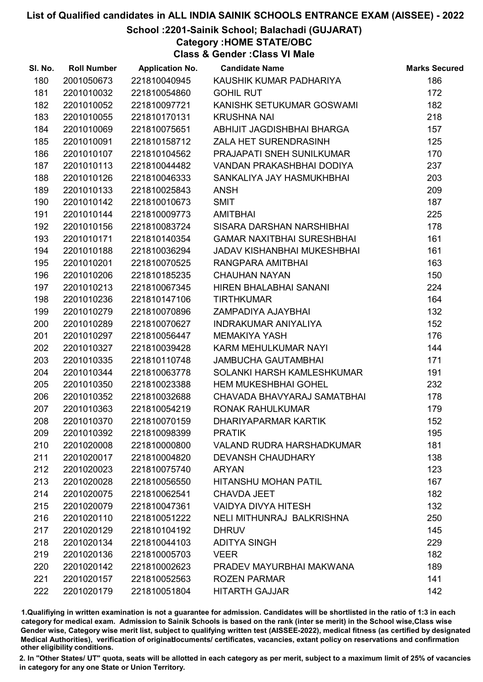# School :2201-Sainik School; Balachadi (GUJARAT)

# Category :HOME STATE/OBC

Class & Gender :Class VI Male

| SI. No. | <b>Roll Number</b> | <b>Application No.</b> | <b>Candidate Name</b>             | <b>Marks Secured</b> |
|---------|--------------------|------------------------|-----------------------------------|----------------------|
| 180     | 2001050673         | 221810040945           | KAUSHIK KUMAR PADHARIYA           | 186                  |
| 181     | 2201010032         | 221810054860           | <b>GOHIL RUT</b>                  | 172                  |
| 182     | 2201010052         | 221810097721           | KANISHK SETUKUMAR GOSWAMI         | 182                  |
| 183     | 2201010055         | 221810170131           | <b>KRUSHNA NAI</b>                | 218                  |
| 184     | 2201010069         | 221810075651           | ABHIJIT JAGDISHBHAI BHARGA        | 157                  |
| 185     | 2201010091         | 221810158712           | ZALA HET SURENDRASINH             | 125                  |
| 186     | 2201010107         | 221810104562           | PRAJAPATI SNEH SUNILKUMAR         | 170                  |
| 187     | 2201010113         | 221810044482           | VANDAN PRAKASHBHAI DODIYA         | 237                  |
| 188     | 2201010126         | 221810046333           | SANKALIYA JAY HASMUKHBHAI         | 203                  |
| 189     | 2201010133         | 221810025843           | <b>ANSH</b>                       | 209                  |
| 190     | 2201010142         | 221810010673           | <b>SMIT</b>                       | 187                  |
| 191     | 2201010144         | 221810009773           | <b>AMITBHAI</b>                   | 225                  |
| 192     | 2201010156         | 221810083724           | SISARA DARSHAN NARSHIBHAI         | 178                  |
| 193     | 2201010171         | 221810140354           | <b>GAMAR NAXITBHAI SURESHBHAI</b> | 161                  |
| 194     | 2201010188         | 221810036294           | JADAV KISHANBHAI MUKESHBHAI       | 161                  |
| 195     | 2201010201         | 221810070525           | RANGPARA AMITBHAI                 | 163                  |
| 196     | 2201010206         | 221810185235           | <b>CHAUHAN NAYAN</b>              | 150                  |
| 197     | 2201010213         | 221810067345           | HIREN BHALABHAI SANANI            | 224                  |
| 198     | 2201010236         | 221810147106           | <b>TIRTHKUMAR</b>                 | 164                  |
| 199     | 2201010279         | 221810070896           | ZAMPADIYA AJAYBHAI                | 132                  |
| 200     | 2201010289         | 221810070627           | <b>INDRAKUMAR ANIYALIYA</b>       | 152                  |
| 201     | 2201010297         | 221810056447           | <b>MEMAKIYA YASH</b>              | 176                  |
| 202     | 2201010327         | 221810039428           | KARM MEHULKUMAR NAYI              | 144                  |
| 203     | 2201010335         | 221810110748           | <b>JAMBUCHA GAUTAMBHAI</b>        | 171                  |
| 204     | 2201010344         | 221810063778           | SOLANKI HARSH KAMLESHKUMAR        | 191                  |
| 205     | 2201010350         | 221810023388           | <b>HEM MUKESHBHAI GOHEL</b>       | 232                  |
| 206     | 2201010352         | 221810032688           | CHAVADA BHAVYARAJ SAMATBHAI       | 178                  |
| 207     | 2201010363         | 221810054219           | <b>RONAK RAHULKUMAR</b>           | 179                  |
| 208     | 2201010370         | 221810070159           | <b>DHARIYAPARMAR KARTIK</b>       | 152                  |
| 209     | 2201010392         | 221810098399           | <b>PRATIK</b>                     | 195                  |
| 210     | 2201020008         | 221810000800           | <b>VALAND RUDRA HARSHADKUMAR</b>  | 181                  |
| 211     | 2201020017         | 221810004820           | <b>DEVANSH CHAUDHARY</b>          | 138                  |
| 212     | 2201020023         | 221810075740           | <b>ARYAN</b>                      | 123                  |
| 213     | 2201020028         | 221810056550           | <b>HITANSHU MOHAN PATIL</b>       | 167                  |
| 214     | 2201020075         | 221810062541           | <b>CHAVDA JEET</b>                | 182                  |
| 215     | 2201020079         | 221810047361           | <b>VAIDYA DIVYA HITESH</b>        | 132                  |
| 216     | 2201020110         | 221810051222           | NELI MITHUNRAJ BALKRISHNA         | 250                  |
| 217     | 2201020129         | 221810104192           | <b>DHRUV</b>                      | 145                  |
| 218     | 2201020134         | 221810044103           | <b>ADITYA SINGH</b>               | 229                  |
| 219     | 2201020136         | 221810005703           | <b>VEER</b>                       | 182                  |
| 220     | 2201020142         | 221810002623           | PRADEV MAYURBHAI MAKWANA          | 189                  |
| 221     | 2201020157         | 221810052563           | <b>ROZEN PARMAR</b>               | 141                  |
| 222     | 2201020179         | 221810051804           | <b>HITARTH GAJJAR</b>             | 142                  |

1.Qualifiying in written examination is not a guarantee for admission. Candidates will be shortlisted in the ratio of 1:3 in each category for medical exam. Admission to Sainik Schools is based on the rank (inter se merit) in the School wise,Class wise Gender wise, Category wise merit list, subject to qualifying written test (AISSEE-2022), medical fitness (as certified by designated Medical Authorities), verification of originablocuments/ certificates, vacancies, extant policy on reservations and confirmation other eligibility conditions.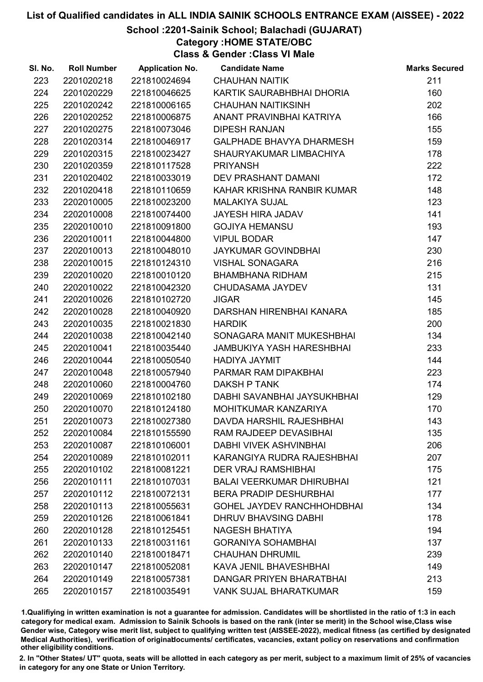# School :2201-Sainik School; Balachadi (GUJARAT)

Category :HOME STATE/OBC

Class & Gender :Class VI Male

| SI. No. | <b>Roll Number</b> | <b>Application No.</b> | <b>Candidate Name</b>             | <b>Marks Secured</b> |
|---------|--------------------|------------------------|-----------------------------------|----------------------|
| 223     | 2201020218         | 221810024694           | <b>CHAUHAN NAITIK</b>             | 211                  |
| 224     | 2201020229         | 221810046625           | KARTIK SAURABHBHAI DHORIA         | 160                  |
| 225     | 2201020242         | 221810006165           | <b>CHAUHAN NAITIKSINH</b>         | 202                  |
| 226     | 2201020252         | 221810006875           | ANANT PRAVINBHAI KATRIYA          | 166                  |
| 227     | 2201020275         | 221810073046           | <b>DIPESH RANJAN</b>              | 155                  |
| 228     | 2201020314         | 221810046917           | <b>GALPHADE BHAVYA DHARMESH</b>   | 159                  |
| 229     | 2201020315         | 221810023427           | SHAURYAKUMAR LIMBACHIYA           | 178                  |
| 230     | 2201020359         | 221810117528           | <b>PRIYANSH</b>                   | 222                  |
| 231     | 2201020402         | 221810033019           | DEV PRASHANT DAMANI               | 172                  |
| 232     | 2201020418         | 221810110659           | KAHAR KRISHNA RANBIR KUMAR        | 148                  |
| 233     | 2202010005         | 221810023200           | <b>MALAKIYA SUJAL</b>             | 123                  |
| 234     | 2202010008         | 221810074400           | <b>JAYESH HIRA JADAV</b>          | 141                  |
| 235     | 2202010010         | 221810091800           | <b>GOJIYA HEMANSU</b>             | 193                  |
| 236     | 2202010011         | 221810044800           | <b>VIPUL BODAR</b>                | 147                  |
| 237     | 2202010013         | 221810048010           | <b>JAYKUMAR GOVINDBHAI</b>        | 230                  |
| 238     | 2202010015         | 221810124310           | <b>VISHAL SONAGARA</b>            | 216                  |
| 239     | 2202010020         | 221810010120           | <b>BHAMBHANA RIDHAM</b>           | 215                  |
| 240     | 2202010022         | 221810042320           | CHUDASAMA JAYDEV                  | 131                  |
| 241     | 2202010026         | 221810102720           | <b>JIGAR</b>                      | 145                  |
| 242     | 2202010028         | 221810040920           | DARSHAN HIRENBHAI KANARA          | 185                  |
| 243     | 2202010035         | 221810021830           | <b>HARDIK</b>                     | 200                  |
| 244     | 2202010038         | 221810042140           | SONAGARA MANIT MUKESHBHAI         | 134                  |
| 245     | 2202010041         | 221810035440           | <b>JAMBUKIYA YASH HARESHBHAI</b>  | 233                  |
| 246     | 2202010044         | 221810050540           | HADIYA JAYMIT                     | 144                  |
| 247     | 2202010048         | 221810057940           | PARMAR RAM DIPAKBHAI              | 223                  |
| 248     | 2202010060         | 221810004760           | <b>DAKSH P TANK</b>               | 174                  |
| 249     | 2202010069         | 221810102180           | DABHI SAVANBHAI JAYSUKHBHAI       | 129                  |
| 250     | 2202010070         | 221810124180           | MOHITKUMAR KANZARIYA              | 170                  |
| 251     | 2202010073         | 221810027380           | DAVDA HARSHIL RAJESHBHAI          | 143                  |
| 252     | 2202010084         | 221810155590           | RAM RAJDEEP DEVASIBHAI            | 135                  |
| 253     | 2202010087         | 221810106001           | <b>DABHI VIVEK ASHVINBHAI</b>     | 206                  |
| 254     | 2202010089         | 221810102011           | KARANGIYA RUDRA RAJESHBHAI        | 207                  |
| 255     | 2202010102         | 221810081221           | <b>DER VRAJ RAMSHIBHAI</b>        | 175                  |
| 256     | 2202010111         | 221810107031           | <b>BALAI VEERKUMAR DHIRUBHAI</b>  | 121                  |
| 257     | 2202010112         | 221810072131           | <b>BERA PRADIP DESHURBHAI</b>     | 177                  |
| 258     | 2202010113         | 221810055631           | <b>GOHEL JAYDEV RANCHHOHDBHAI</b> | 134                  |
| 259     | 2202010126         | 221810061841           | DHRUV BHAVSING DABHI              | 178                  |
| 260     | 2202010128         | 221810125451           | <b>NAGESH BHATIYA</b>             | 194                  |
| 261     | 2202010133         | 221810031161           | <b>GORANIYA SOHAMBHAI</b>         | 137                  |
| 262     | 2202010140         | 221810018471           | <b>CHAUHAN DHRUMIL</b>            | 239                  |
| 263     | 2202010147         | 221810052081           | KAVA JENIL BHAVESHBHAI            | 149                  |
| 264     | 2202010149         | 221810057381           | DANGAR PRIYEN BHARATBHAI          | 213                  |
| 265     | 2202010157         | 221810035491           | <b>VANK SUJAL BHARATKUMAR</b>     | 159                  |

1.Qualifiying in written examination is not a guarantee for admission. Candidates will be shortlisted in the ratio of 1:3 in each category for medical exam. Admission to Sainik Schools is based on the rank (inter se merit) in the School wise,Class wise Gender wise, Category wise merit list, subject to qualifying written test (AISSEE-2022), medical fitness (as certified by designated Medical Authorities), verification of originablocuments/ certificates, vacancies, extant policy on reservations and confirmation other eligibility conditions.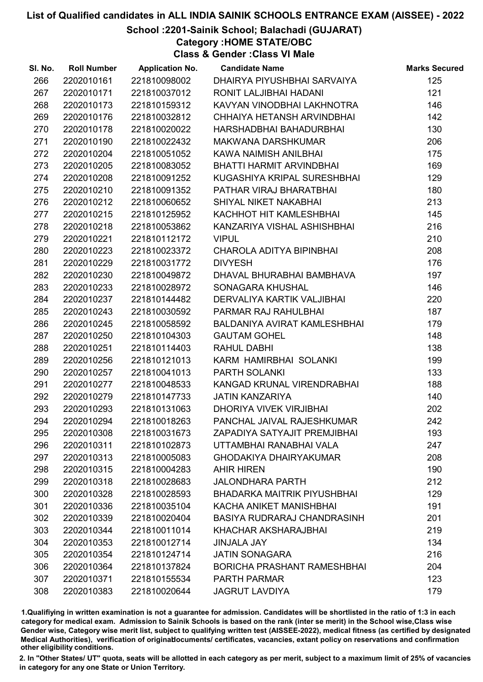School :2201-Sainik School; Balachadi (GUJARAT)

Category :HOME STATE/OBC

Class & Gender :Class VI Male

| SI. No. | <b>Roll Number</b> | <b>Application No.</b> | <b>Candidate Name</b>              | <b>Marks Secured</b> |
|---------|--------------------|------------------------|------------------------------------|----------------------|
| 266     | 2202010161         | 221810098002           | DHAIRYA PIYUSHBHAI SARVAIYA        | 125                  |
| 267     | 2202010171         | 221810037012           | RONIT LALJIBHAI HADANI             | 121                  |
| 268     | 2202010173         | 221810159312           | KAVYAN VINODBHAI LAKHNOTRA         | 146                  |
| 269     | 2202010176         | 221810032812           | CHHAIYA HETANSH ARVINDBHAI         | 142                  |
| 270     | 2202010178         | 221810020022           | HARSHADBHAI BAHADURBHAI            | 130                  |
| 271     | 2202010190         | 221810022432           | <b>MAKWANA DARSHKUMAR</b>          | 206                  |
| 272     | 2202010204         | 221810051052           | KAWA NAIMISH ANILBHAI              | 175                  |
| 273     | 2202010205         | 221810083052           | BHATTI HARMIT ARVINDBHAI           | 169                  |
| 274     | 2202010208         | 221810091252           | KUGASHIYA KRIPAL SURESHBHAI        | 129                  |
| 275     | 2202010210         | 221810091352           | PATHAR VIRAJ BHARATBHAI            | 180                  |
| 276     | 2202010212         | 221810060652           | SHIYAL NIKET NAKABHAI              | 213                  |
| 277     | 2202010215         | 221810125952           | KACHHOT HIT KAMLESHBHAI            | 145                  |
| 278     | 2202010218         | 221810053862           | KANZARIYA VISHAL ASHISHBHAI        | 216                  |
| 279     | 2202010221         | 221810112172           | <b>VIPUL</b>                       | 210                  |
| 280     | 2202010223         | 221810023372           | CHAROLA ADITYA BIPINBHAI           | 208                  |
| 281     | 2202010229         | 221810031772           | <b>DIVYESH</b>                     | 176                  |
| 282     | 2202010230         | 221810049872           | DHAVAL BHURABHAI BAMBHAVA          | 197                  |
| 283     | 2202010233         | 221810028972           | SONAGARA KHUSHAL                   | 146                  |
| 284     | 2202010237         | 221810144482           | DERVALIYA KARTIK VALJIBHAI         | 220                  |
| 285     | 2202010243         | 221810030592           | PARMAR RAJ RAHULBHAI               | 187                  |
| 286     | 2202010245         | 221810058592           | BALDANIYA AVIRAT KAMLESHBHAI       | 179                  |
| 287     | 2202010250         | 221810104303           | <b>GAUTAM GOHEL</b>                | 148                  |
| 288     | 2202010251         | 221810114403           | RAHUL DABHI                        | 138                  |
| 289     | 2202010256         | 221810121013           | KARM HAMIRBHAI SOLANKI             | 199                  |
| 290     | 2202010257         | 221810041013           | PARTH SOLANKI                      | 133                  |
| 291     | 2202010277         | 221810048533           | KANGAD KRUNAL VIRENDRABHAI         | 188                  |
| 292     | 2202010279         | 221810147733           | <b>JATIN KANZARIYA</b>             | 140                  |
| 293     | 2202010293         | 221810131063           | DHORIYA VIVEK VIRJIBHAI            | 202                  |
| 294     | 2202010294         | 221810018263           | PANCHAL JAIVAL RAJESHKUMAR         | 242                  |
| 295     | 2202010308         | 221810031673           | ZAPADIYA SATYAJIT PREMJIBHAI       | 193                  |
| 296     | 2202010311         | 221810102873           | UTTAMBHAI RANABHAI VALA            | 247                  |
| 297     | 2202010313         | 221810005083           | <b>GHODAKIYA DHAIRYAKUMAR</b>      | 208                  |
| 298     | 2202010315         | 221810004283           | <b>AHIR HIREN</b>                  | 190                  |
| 299     | 2202010318         | 221810028683           | <b>JALONDHARA PARTH</b>            | 212                  |
| 300     | 2202010328         | 221810028593           | <b>BHADARKA MAITRIK PIYUSHBHAI</b> | 129                  |
| 301     | 2202010336         | 221810035104           | KACHA ANIKET MANISHBHAI            | 191                  |
| 302     | 2202010339         | 221810020404           | <b>BASIYA RUDRARAJ CHANDRASINH</b> | 201                  |
| 303     | 2202010344         | 221810011014           | KHACHAR AKSHARAJBHAI               | 219                  |
| 304     | 2202010353         | 221810012714           | <b>JINJALA JAY</b>                 | 134                  |
| 305     | 2202010354         | 221810124714           | <b>JATIN SONAGARA</b>              | 216                  |
| 306     | 2202010364         | 221810137824           | <b>BORICHA PRASHANT RAMESHBHAI</b> | 204                  |
| 307     | 2202010371         | 221810155534           | <b>PARTH PARMAR</b>                | 123                  |
| 308     | 2202010383         | 221810020644           | <b>JAGRUT LAVDIYA</b>              | 179                  |

1.Qualifiying in written examination is not a guarantee for admission. Candidates will be shortlisted in the ratio of 1:3 in each category for medical exam. Admission to Sainik Schools is based on the rank (inter se merit) in the School wise,Class wise Gender wise, Category wise merit list, subject to qualifying written test (AISSEE-2022), medical fitness (as certified by designated Medical Authorities), verification of originablocuments/ certificates, vacancies, extant policy on reservations and confirmation other eligibility conditions.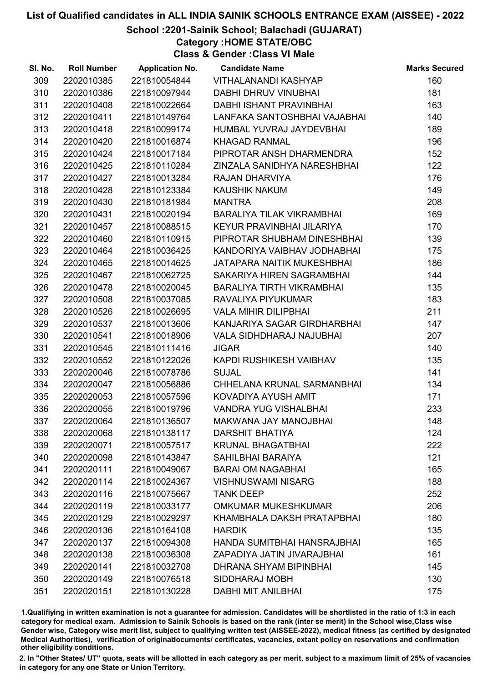School :2201-Sainik School; Balachadi (GUJARAT)

Category :HOME STATE/OBC

Class & Gender :Class VI Male

| SI. No. | <b>Roll Number</b> | <b>Application No.</b> | <b>Candidate Name</b>            | <b>Marks Secured</b> |
|---------|--------------------|------------------------|----------------------------------|----------------------|
| 309     | 2202010385         | 221810054844           | VITHALANANDI KASHYAP             | 160                  |
| 310     | 2202010386         | 221810097944           | <b>DABHI DHRUV VINUBHAI</b>      | 181                  |
| 311     | 2202010408         | 221810022664           | DABHI ISHANT PRAVINBHAI          | 163                  |
| 312     | 2202010411         | 221810149764           | LANFAKA SANTOSHBHAI VAJABHAI     | 140                  |
| 313     | 2202010418         | 221810099174           | HUMBAL YUVRAJ JAYDEVBHAI         | 189                  |
| 314     | 2202010420         | 221810016874           | <b>KHAGAD RANMAL</b>             | 196                  |
| 315     | 2202010424         | 221810017184           | PIPROTAR ANSH DHARMENDRA         | 152                  |
| 316     | 2202010425         | 221810110284           | ZINZALA SANIDHYA NARESHBHAI      | 122                  |
| 317     | 2202010427         | 221810013284           | RAJAN DHARVIYA                   | 176                  |
| 318     | 2202010428         | 221810123384           | <b>KAUSHIK NAKUM</b>             | 149                  |
| 319     | 2202010430         | 221810181984           | <b>MANTRA</b>                    | 208                  |
| 320     | 2202010431         | 221810020194           | <b>BARALIYA TILAK VIKRAMBHAI</b> | 169                  |
| 321     | 2202010457         | 221810088515           | KEYUR PRAVINBHAI JILARIYA        | 170                  |
| 322     | 2202010460         | 221810110915           | PIPROTAR SHUBHAM DINESHBHAI      | 139                  |
| 323     | 2202010464         | 221810036425           | KANDORIYA VAIBHAV JODHABHAI      | 175                  |
| 324     | 2202010465         | 221810014625           | JATAPARA NAITIK MUKESHBHAI       | 186                  |
| 325     | 2202010467         | 221810062725           | SAKARIYA HIREN SAGRAMBHAI        | 144                  |
| 326     | 2202010478         | 221810020045           | <b>BARALIYA TIRTH VIKRAMBHAI</b> | 135                  |
| 327     | 2202010508         | 221810037085           | RAVALIYA PIYUKUMAR               | 183                  |
| 328     | 2202010526         | 221810026695           | <b>VALA MIHIR DILIPBHAI</b>      | 211                  |
| 329     | 2202010537         | 221810013606           | KANJARIYA SAGAR GIRDHARBHAI      | 147                  |
| 330     | 2202010541         | 221810018906           | <b>VALA SIDHDHARAJ NAJUBHAI</b>  | 207                  |
| 331     | 2202010545         | 221810111416           | <b>JIGAR</b>                     | 140                  |
| 332     | 2202010552         | 221810122026           | KAPDI RUSHIKESH VAIBHAV          | 135                  |
| 333     | 2202020046         | 221810078786           | <b>SUJAL</b>                     | 141                  |
| 334     | 2202020047         | 221810056886           | CHHELANA KRUNAL SARMANBHAI       | 134                  |
| 335     | 2202020053         | 221810057596           | KOVADIYA AYUSH AMIT              | 171                  |
| 336     | 2202020055         | 221810019796           | <b>VANDRA YUG VISHALBHAI</b>     | 233                  |
| 337     | 2202020064         | 221810136507           | MAKWANA JAY MANOJBHAI            | 148                  |
| 338     | 2202020068         | 221810138117           | <b>DARSHIT BHATIYA</b>           | 124                  |
| 339     | 2202020071         | 221810057517           | <b>KRUNAL BHAGATBHAI</b>         | 222                  |
| 340     | 2202020098         | 221810143847           | <b>SAHILBHAI BARAIYA</b>         | 121                  |
| 341     | 2202020111         | 221810049067           | <b>BARAI OM NAGABHAI</b>         | 165                  |
| 342     | 2202020114         | 221810024367           | <b>VISHNUSWAMI NISARG</b>        | 188                  |
| 343     | 2202020116         | 221810075667           | <b>TANK DEEP</b>                 | 252                  |
| 344     | 2202020119         | 221810033177           | <b>OMKUMAR MUKESHKUMAR</b>       | 206                  |
| 345     | 2202020129         | 221810029297           | KHAMBHALA DAKSH PRATAPBHAI       | 180                  |
| 346     | 2202020136         | 221810164108           | <b>HARDIK</b>                    | 135                  |
| 347     | 2202020137         | 221810094308           | HANDA SUMITBHAI HANSRAJBHAI      | 165                  |
| 348     | 2202020138         | 221810036308           | ZAPADIYA JATIN JIVARAJBHAI       | 161                  |
| 349     | 2202020141         | 221810032708           | DHRANA SHYAM BIPINBHAI           | 145                  |
| 350     | 2202020149         | 221810076518           | SIDDHARAJ MOBH                   | 130                  |
| 351     | 2202020151         | 221810130228           | <b>DABHI MIT ANILBHAI</b>        | 175                  |

1.Qualifiying in written examination is not a guarantee for admission. Candidates will be shortlisted in the ratio of 1:3 in each category for medical exam. Admission to Sainik Schools is based on the rank (inter se merit) in the School wise,Class wise Gender wise, Category wise merit list, subject to qualifying written test (AISSEE-2022), medical fitness (as certified by designated Medical Authorities), verification of originablocuments/ certificates, vacancies, extant policy on reservations and confirmation other eligibility conditions.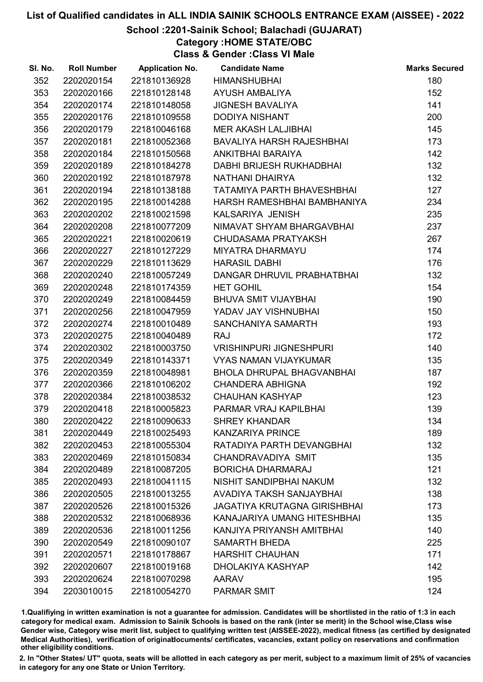# School :2201-Sainik School; Balachadi (GUJARAT)

# Category :HOME STATE/OBC

Class & Gender :Class VI Male

| SI. No. | <b>Roll Number</b> | <b>Application No.</b> | <b>Candidate Name</b>               | <b>Marks Secured</b> |
|---------|--------------------|------------------------|-------------------------------------|----------------------|
| 352     | 2202020154         | 221810136928           | <b>HIMANSHUBHAI</b>                 | 180                  |
| 353     | 2202020166         | 221810128148           | <b>AYUSH AMBALIYA</b>               | 152                  |
| 354     | 2202020174         | 221810148058           | <b>JIGNESH BAVALIYA</b>             | 141                  |
| 355     | 2202020176         | 221810109558           | <b>DODIYA NISHANT</b>               | 200                  |
| 356     | 2202020179         | 221810046168           | MER AKASH LALJIBHAI                 | 145                  |
| 357     | 2202020181         | 221810052368           | <b>BAVALIYA HARSH RAJESHBHAI</b>    | 173                  |
| 358     | 2202020184         | 221810150568           | ANKITBHAI BARAIYA                   | 142                  |
| 359     | 2202020189         | 221810184278           | DABHI BRIJESH RUKHADBHAI            | 132                  |
| 360     | 2202020192         | 221810187978           | NATHANI DHAIRYA                     | 132                  |
| 361     | 2202020194         | 221810138188           | TATAMIYA PARTH BHAVESHBHAI          | 127                  |
| 362     | 2202020195         | 221810014288           | HARSH RAMESHBHAI BAMBHANIYA         | 234                  |
| 363     | 2202020202         | 221810021598           | KALSARIYA JENISH                    | 235                  |
| 364     | 2202020208         | 221810077209           | NIMAVAT SHYAM BHARGAVBHAI           | 237                  |
| 365     | 2202020221         | 221810020619           | CHUDASAMA PRATYAKSH                 | 267                  |
| 366     | 2202020227         | 221810127229           | <b>MIYATRA DHARMAYU</b>             | 174                  |
| 367     | 2202020229         | 221810113629           | <b>HARASIL DABHI</b>                | 176                  |
| 368     | 2202020240         | 221810057249           | DANGAR DHRUVIL PRABHATBHAI          | 132                  |
| 369     | 2202020248         | 221810174359           | <b>HET GOHIL</b>                    | 154                  |
| 370     | 2202020249         | 221810084459           | <b>BHUVA SMIT VIJAYBHAI</b>         | 190                  |
| 371     | 2202020256         | 221810047959           | YADAV JAY VISHNUBHAI                | 150                  |
| 372     | 2202020274         | 221810010489           | SANCHANIYA SAMARTH                  | 193                  |
| 373     | 2202020275         | 221810040489           | <b>RAJ</b>                          | 172                  |
| 374     | 2202020302         | 221810003750           | <b>VRISHINPURI JIGNESHPURI</b>      | 140                  |
| 375     | 2202020349         | 221810143371           | <b>VYAS NAMAN VIJAYKUMAR</b>        | 135                  |
| 376     | 2202020359         | 221810048981           | <b>BHOLA DHRUPAL BHAGVANBHAI</b>    | 187                  |
| 377     | 2202020366         | 221810106202           | <b>CHANDERA ABHIGNA</b>             | 192                  |
| 378     | 2202020384         | 221810038532           | <b>CHAUHAN KASHYAP</b>              | 123                  |
| 379     | 2202020418         | 221810005823           | PARMAR VRAJ KAPILBHAI               | 139                  |
| 380     | 2202020422         | 221810090633           | <b>SHREY KHANDAR</b>                | 134                  |
| 381     | 2202020449         | 221810025493           | <b>KANZARIYA PRINCE</b>             | 189                  |
| 382     | 2202020453         | 221810055304           | RATADIYA PARTH DEVANGBHAI           | 132                  |
| 383     | 2202020469         | 221810150834           | CHANDRAVADIYA SMIT                  | 135                  |
| 384     | 2202020489         | 221810087205           | <b>BORICHA DHARMARAJ</b>            | 121                  |
| 385     | 2202020493         | 221810041115           | NISHIT SANDIPBHAI NAKUM             | 132                  |
| 386     | 2202020505         | 221810013255           | AVADIYA TAKSH SANJAYBHAI            | 138                  |
| 387     | 2202020526         | 221810015326           | <b>JAGATIYA KRUTAGNA GIRISHBHAI</b> | 173                  |
| 388     | 2202020532         | 221810068936           | KANAJARIYA UMANG HITESHBHAI         | 135                  |
| 389     | 2202020536         | 221810011256           | KANJIYA PRIYANSH AMITBHAI           | 140                  |
| 390     | 2202020549         | 221810090107           | <b>SAMARTH BHEDA</b>                | 225                  |
| 391     | 2202020571         | 221810178867           | <b>HARSHIT CHAUHAN</b>              | 171                  |
| 392     | 2202020607         | 221810019168           | DHOLAKIYA KASHYAP                   | 142                  |
| 393     | 2202020624         | 221810070298           | <b>AARAV</b>                        | 195                  |
| 394     | 2203010015         | 221810054270           | <b>PARMAR SMIT</b>                  | 124                  |

1.Qualifiying in written examination is not a guarantee for admission. Candidates will be shortlisted in the ratio of 1:3 in each category for medical exam. Admission to Sainik Schools is based on the rank (inter se merit) in the School wise,Class wise Gender wise, Category wise merit list, subject to qualifying written test (AISSEE-2022), medical fitness (as certified by designated Medical Authorities), verification of originablocuments/ certificates, vacancies, extant policy on reservations and confirmation other eligibility conditions.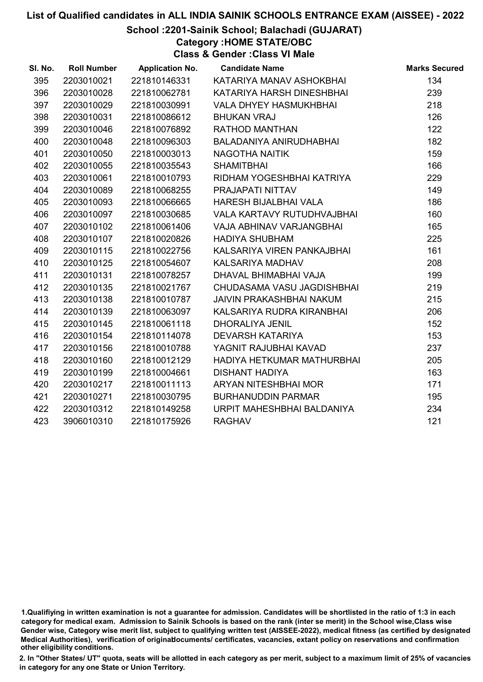#### School :2201-Sainik School; Balachadi (GUJARAT)

Category :HOME STATE/OBC

Class & Gender :Class VI Male

| SI. No. | <b>Roll Number</b> | <b>Application No.</b> | <b>Candidate Name</b>         | <b>Marks Secured</b> |
|---------|--------------------|------------------------|-------------------------------|----------------------|
| 395     | 2203010021         | 221810146331           | KATARIYA MANAV ASHOKBHAI      | 134                  |
| 396     | 2203010028         | 221810062781           | KATARIYA HARSH DINESHBHAI     | 239                  |
| 397     | 2203010029         | 221810030991           | <b>VALA DHYEY HASMUKHBHAI</b> | 218                  |
| 398     | 2203010031         | 221810086612           | <b>BHUKAN VRAJ</b>            | 126                  |
| 399     | 2203010046         | 221810076892           | RATHOD MANTHAN                | 122                  |
| 400     | 2203010048         | 221810096303           | BALADANIYA ANIRUDHABHAI       | 182                  |
| 401     | 2203010050         | 221810003013           | <b>NAGOTHA NAITIK</b>         | 159                  |
| 402     | 2203010055         | 221810035543           | <b>SHAMITBHAI</b>             | 166                  |
| 403     | 2203010061         | 221810010793           | RIDHAM YOGESHBHAI KATRIYA     | 229                  |
| 404     | 2203010089         | 221810068255           | PRAJAPATI NITTAV              | 149                  |
| 405     | 2203010093         | 221810066665           | <b>HARESH BIJALBHAI VALA</b>  | 186                  |
| 406     | 2203010097         | 221810030685           | VALA KARTAVY RUTUDHVAJBHAI    | 160                  |
| 407     | 2203010102         | 221810061406           | VAJA ABHINAV VARJANGBHAI      | 165                  |
| 408     | 2203010107         | 221810020826           | <b>HADIYA SHUBHAM</b>         | 225                  |
| 409     | 2203010115         | 221810022756           | KALSARIYA VIREN PANKAJBHAI    | 161                  |
| 410     | 2203010125         | 221810054607           | KALSARIYA MADHAV              | 208                  |
| 411     | 2203010131         | 221810078257           | DHAVAL BHIMABHAI VAJA         | 199                  |
| 412     | 2203010135         | 221810021767           | CHUDASAMA VASU JAGDISHBHAI    | 219                  |
| 413     | 2203010138         | 221810010787           | JAIVIN PRAKASHBHAI NAKUM      | 215                  |
| 414     | 2203010139         | 221810063097           | KALSARIYA RUDRA KIRANBHAI     | 206                  |
| 415     | 2203010145         | 221810061118           | <b>DHORALIYA JENIL</b>        | 152                  |
| 416     | 2203010154         | 221810114078           | <b>DEVARSH KATARIYA</b>       | 153                  |
| 417     | 2203010156         | 221810010788           | YAGNIT RAJUBHAI KAVAD         | 237                  |
| 418     | 2203010160         | 221810012129           | HADIYA HETKUMAR MATHURBHAI    | 205                  |
| 419     | 2203010199         | 221810004661           | <b>DISHANT HADIYA</b>         | 163                  |
| 420     | 2203010217         | 221810011113           | ARYAN NITESHBHAI MOR          | 171                  |
| 421     | 2203010271         | 221810030795           | <b>BURHANUDDIN PARMAR</b>     | 195                  |
| 422     | 2203010312         | 221810149258           | URPIT MAHESHBHAI BALDANIYA    | 234                  |
| 423     | 3906010310         | 221810175926           | <b>RAGHAV</b>                 | 121                  |
|         |                    |                        |                               |                      |

<sup>1.</sup>Qualifiying in written examination is not a guarantee for admission. Candidates will be shortlisted in the ratio of 1:3 in each category for medical exam. Admission to Sainik Schools is based on the rank (inter se merit) in the School wise,Class wise Gender wise, Category wise merit list, subject to qualifying written test (AISSEE-2022), medical fitness (as certified by designated Medical Authorities), verification of originablocuments/ certificates, vacancies, extant policy on reservations and confirmation other eligibility conditions.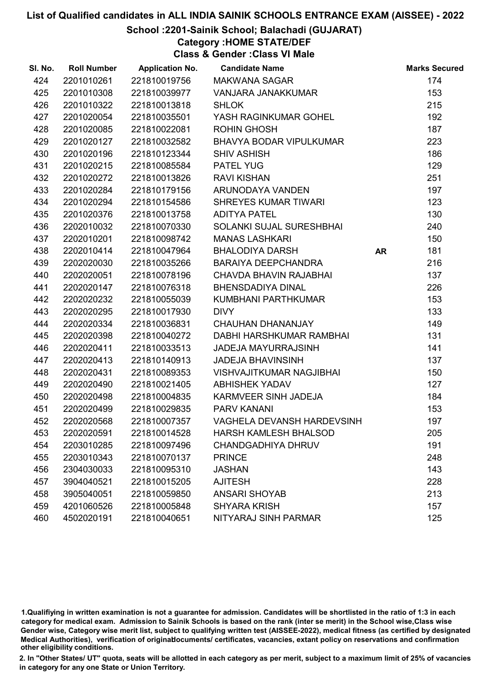# School :2201-Sainik School; Balachadi (GUJARAT)

# Category :HOME STATE/DEF

Class & Gender :Class VI Male

| SI. No. | <b>Roll Number</b> | <b>Application No.</b> | <b>Candidate Name</b>           |           | <b>Marks Secured</b> |
|---------|--------------------|------------------------|---------------------------------|-----------|----------------------|
| 424     | 2201010261         | 221810019756           | MAKWANA SAGAR                   |           | 174                  |
| 425     | 2201010308         | 221810039977           | VANJARA JANAKKUMAR              |           | 153                  |
| 426     | 2201010322         | 221810013818           | <b>SHLOK</b>                    |           | 215                  |
| 427     | 2201020054         | 221810035501           | YASH RAGINKUMAR GOHEL           |           | 192                  |
| 428     | 2201020085         | 221810022081           | <b>ROHIN GHOSH</b>              |           | 187                  |
| 429     | 2201020127         | 221810032582           | <b>BHAVYA BODAR VIPULKUMAR</b>  |           | 223                  |
| 430     | 2201020196         | 221810123344           | <b>SHIV ASHISH</b>              |           | 186                  |
| 431     | 2201020215         | 221810085584           | <b>PATEL YUG</b>                |           | 129                  |
| 432     | 2201020272         | 221810013826           | <b>RAVI KISHAN</b>              |           | 251                  |
| 433     | 2201020284         | 221810179156           | ARUNODAYA VANDEN                |           | 197                  |
| 434     | 2201020294         | 221810154586           | SHREYES KUMAR TIWARI            |           | 123                  |
| 435     | 2201020376         | 221810013758           | <b>ADITYA PATEL</b>             |           | 130                  |
| 436     | 2202010032         | 221810070330           | SOLANKI SUJAL SURESHBHAI        |           | 240                  |
| 437     | 2202010201         | 221810098742           | <b>MANAS LASHKARI</b>           |           | 150                  |
| 438     | 2202010414         | 221810047964           | <b>BHALODIYA DARSH</b>          | <b>AR</b> | 181                  |
| 439     | 2202020030         | 221810035266           | BARAIYA DEEPCHANDRA             |           | 216                  |
| 440     | 2202020051         | 221810078196           | CHAVDA BHAVIN RAJABHAI          |           | 137                  |
| 441     | 2202020147         | 221810076318           | <b>BHENSDADIYA DINAL</b>        |           | 226                  |
| 442     | 2202020232         | 221810055039           | KUMBHANI PARTHKUMAR             |           | 153                  |
| 443     | 2202020295         | 221810017930           | <b>DIVY</b>                     |           | 133                  |
| 444     | 2202020334         | 221810036831           | <b>CHAUHAN DHANANJAY</b>        |           | 149                  |
| 445     | 2202020398         | 221810040272           | DABHI HARSHKUMAR RAMBHAI        |           | 131                  |
| 446     | 2202020411         | 221810033513           | <b>JADEJA MAYURRAJSINH</b>      |           | 141                  |
| 447     | 2202020413         | 221810140913           | <b>JADEJA BHAVINSINH</b>        |           | 137                  |
| 448     | 2202020431         | 221810089353           | <b>VISHVAJITKUMAR NAGJIBHAI</b> |           | 150                  |
| 449     | 2202020490         | 221810021405           | <b>ABHISHEK YADAV</b>           |           | 127                  |
| 450     | 2202020498         | 221810004835           | KARMVEER SINH JADEJA            |           | 184                  |
| 451     | 2202020499         | 221810029835           | <b>PARV KANANI</b>              |           | 153                  |
| 452     | 2202020568         | 221810007357           | VAGHELA DEVANSH HARDEVSINH      |           | 197                  |
| 453     | 2202020591         | 221810014528           | <b>HARSH KAMLESH BHALSOD</b>    |           | 205                  |
| 454     | 2203010285         | 221810097496           | <b>CHANDGADHIYA DHRUV</b>       |           | 191                  |
| 455     | 2203010343         | 221810070137           | <b>PRINCE</b>                   |           | 248                  |
| 456     | 2304030033         | 221810095310           | <b>JASHAN</b>                   |           | 143                  |
| 457     | 3904040521         | 221810015205           | <b>AJITESH</b>                  |           | 228                  |
| 458     | 3905040051         | 221810059850           | <b>ANSARI SHOYAB</b>            |           | 213                  |
| 459     | 4201060526         | 221810005848           | <b>SHYARA KRISH</b>             |           | 157                  |
| 460     | 4502020191         | 221810040651           | NITYARAJ SINH PARMAR            |           | 125                  |

1.Qualifiying in written examination is not a guarantee for admission. Candidates will be shortlisted in the ratio of 1:3 in each category for medical exam. Admission to Sainik Schools is based on the rank (inter se merit) in the School wise,Class wise Gender wise, Category wise merit list, subject to qualifying written test (AISSEE-2022), medical fitness (as certified by designated Medical Authorities), verification of originablocuments/ certificates, vacancies, extant policy on reservations and confirmation other eligibility conditions.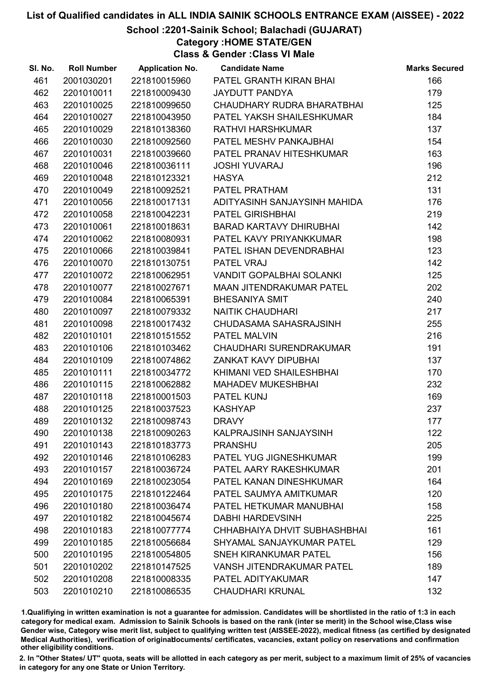# School :2201-Sainik School; Balachadi (GUJARAT)

Category :HOME STATE/GEN

Class & Gender :Class VI Male

| SI. No. | <b>Roll Number</b> | <b>Application No.</b> | <b>Candidate Name</b>            | <b>Marks Secured</b> |
|---------|--------------------|------------------------|----------------------------------|----------------------|
| 461     | 2001030201         | 221810015960           | PATEL GRANTH KIRAN BHAI          | 166                  |
| 462     | 2201010011         | 221810009430           | <b>JAYDUTT PANDYA</b>            | 179                  |
| 463     | 2201010025         | 221810099650           | CHAUDHARY RUDRA BHARATBHAI       | 125                  |
| 464     | 2201010027         | 221810043950           | PATEL YAKSH SHAILESHKUMAR        | 184                  |
| 465     | 2201010029         | 221810138360           | RATHVI HARSHKUMAR                | 137                  |
| 466     | 2201010030         | 221810092560           | PATEL MESHV PANKAJBHAI           | 154                  |
| 467     | 2201010031         | 221810039660           | PATEL PRANAV HITESHKUMAR         | 163                  |
| 468     | 2201010046         | 221810036111           | <b>JOSHI YUVARAJ</b>             | 196                  |
| 469     | 2201010048         | 221810123321           | <b>HASYA</b>                     | 212                  |
| 470     | 2201010049         | 221810092521           | PATEL PRATHAM                    | 131                  |
| 471     | 2201010056         | 221810017131           | ADITYASINH SANJAYSINH MAHIDA     | 176                  |
| 472     | 2201010058         | 221810042231           | <b>PATEL GIRISHBHAI</b>          | 219                  |
| 473     | 2201010061         | 221810018631           | BARAD KARTAVY DHIRUBHAI          | 142                  |
| 474     | 2201010062         | 221810080931           | PATEL KAVY PRIYANKKUMAR          | 198                  |
| 475     | 2201010066         | 221810039841           | PATEL ISHAN DEVENDRABHAI         | 123                  |
| 476     | 2201010070         | 221810130751           | PATEL VRAJ                       | 142                  |
| 477     | 2201010072         | 221810062951           | VANDIT GOPALBHAI SOLANKI         | 125                  |
| 478     | 2201010077         | 221810027671           | <b>MAAN JITENDRAKUMAR PATEL</b>  | 202                  |
| 479     | 2201010084         | 221810065391           | <b>BHESANIYA SMIT</b>            | 240                  |
| 480     | 2201010097         | 221810079332           | <b>NAITIK CHAUDHARI</b>          | 217                  |
| 481     | 2201010098         | 221810017432           | CHUDASAMA SAHASRAJSINH           | 255                  |
| 482     | 2201010101         | 221810151552           | PATEL MALVIN                     | 216                  |
| 483     | 2201010106         | 221810103462           | CHAUDHARI SURENDRAKUMAR          | 191                  |
| 484     | 2201010109         | 221810074862           | <b>ZANKAT KAVY DIPUBHAI</b>      | 137                  |
| 485     | 2201010111         | 221810034772           | KHIMANI VED SHAILESHBHAI         | 170                  |
| 486     | 2201010115         | 221810062882           | <b>MAHADEV MUKESHBHAI</b>        | 232                  |
| 487     | 2201010118         | 221810001503           | PATEL KUNJ                       | 169                  |
| 488     | 2201010125         | 221810037523           | <b>KASHYAP</b>                   | 237                  |
| 489     | 2201010132         | 221810098743           | <b>DRAVY</b>                     | 177                  |
| 490     | 2201010138         | 221810090263           | KALPRAJSINH SANJAYSINH           | 122                  |
| 491     | 2201010143         | 221810183773           | <b>PRANSHU</b>                   | 205                  |
| 492     | 2201010146         | 221810106283           | PATEL YUG JIGNESHKUMAR           | 199                  |
| 493     | 2201010157         | 221810036724           | PATEL AARY RAKESHKUMAR           | 201                  |
| 494     | 2201010169         | 221810023054           | PATEL KANAN DINESHKUMAR          | 164                  |
| 495     | 2201010175         | 221810122464           | PATEL SAUMYA AMITKUMAR           | 120                  |
| 496     | 2201010180         | 221810036474           | PATEL HETKUMAR MANUBHAI          | 158                  |
| 497     | 2201010182         | 221810045674           | <b>DABHI HARDEVSINH</b>          | 225                  |
| 498     | 2201010183         | 221810077774           | CHHABHAIYA DHVIT SUBHASHBHAI     | 161                  |
| 499     | 2201010185         | 221810056684           | SHYAMAL SANJAYKUMAR PATEL        | 129                  |
| 500     | 2201010195         | 221810054805           | <b>SNEH KIRANKUMAR PATEL</b>     | 156                  |
| 501     | 2201010202         | 221810147525           | <b>VANSH JITENDRAKUMAR PATEL</b> | 189                  |
| 502     | 2201010208         | 221810008335           | PATEL ADITYAKUMAR                | 147                  |
| 503     | 2201010210         | 221810086535           | <b>CHAUDHARI KRUNAL</b>          | 132                  |

1.Qualifiying in written examination is not a guarantee for admission. Candidates will be shortlisted in the ratio of 1:3 in each category for medical exam. Admission to Sainik Schools is based on the rank (inter se merit) in the School wise,Class wise Gender wise, Category wise merit list, subject to qualifying written test (AISSEE-2022), medical fitness (as certified by designated Medical Authorities), verification of originablocuments/ certificates, vacancies, extant policy on reservations and confirmation other eligibility conditions.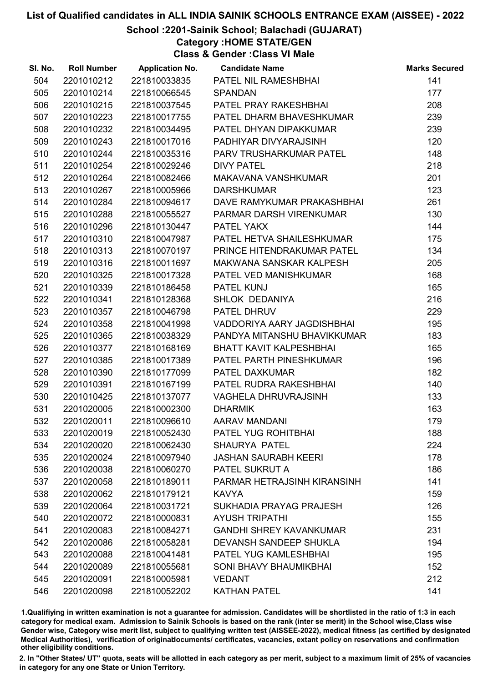School :2201-Sainik School; Balachadi (GUJARAT)

Category :HOME STATE/GEN

Class & Gender :Class VI Male

| SI. No. | <b>Roll Number</b> | <b>Application No.</b> | <b>Candidate Name</b>          | <b>Marks Secured</b> |
|---------|--------------------|------------------------|--------------------------------|----------------------|
| 504     | 2201010212         | 221810033835           | PATEL NIL RAMESHBHAI           | 141                  |
| 505     | 2201010214         | 221810066545           | <b>SPANDAN</b>                 | 177                  |
| 506     | 2201010215         | 221810037545           | PATEL PRAY RAKESHBHAI          | 208                  |
| 507     | 2201010223         | 221810017755           | PATEL DHARM BHAVESHKUMAR       | 239                  |
| 508     | 2201010232         | 221810034495           | PATEL DHYAN DIPAKKUMAR         | 239                  |
| 509     | 2201010243         | 221810017016           | PADHIYAR DIVYARAJSINH          | 120                  |
| 510     | 2201010244         | 221810035316           | PARV TRUSHARKUMAR PATEL        | 148                  |
| 511     | 2201010254         | 221810029246           | <b>DIVY PATEL</b>              | 218                  |
| 512     | 2201010264         | 221810082466           | MAKAVANA VANSHKUMAR            | 201                  |
| 513     | 2201010267         | 221810005966           | <b>DARSHKUMAR</b>              | 123                  |
| 514     | 2201010284         | 221810094617           | DAVE RAMYKUMAR PRAKASHBHAI     | 261                  |
| 515     | 2201010288         | 221810055527           | PARMAR DARSH VIRENKUMAR        | 130                  |
| 516     | 2201010296         | 221810130447           | PATEL YAKX                     | 144                  |
| 517     | 2201010310         | 221810047987           | PATEL HETVA SHAILESHKUMAR      | 175                  |
| 518     | 2201010313         | 221810070197           | PRINCE HITENDRAKUMAR PATEL     | 134                  |
| 519     | 2201010316         | 221810011697           | MAKWANA SANSKAR KALPESH        | 205                  |
| 520     | 2201010325         | 221810017328           | PATEL VED MANISHKUMAR          | 168                  |
| 521     | 2201010339         | 221810186458           | PATEL KUNJ                     | 165                  |
| 522     | 2201010341         | 221810128368           | SHLOK DEDANIYA                 | 216                  |
| 523     | 2201010357         | 221810046798           | PATEL DHRUV                    | 229                  |
| 524     | 2201010358         | 221810041998           | VADDORIYA AARY JAGDISHBHAI     | 195                  |
| 525     | 2201010365         | 221810038329           | PANDYA MITANSHU BHAVIKKUMAR    | 183                  |
| 526     | 2201010377         | 221810168169           | <b>BHATT KAVIT KALPESHBHAI</b> | 165                  |
| 527     | 2201010385         | 221810017389           | PATEL PARTH PINESHKUMAR        | 196                  |
| 528     | 2201010390         | 221810177099           | PATEL DAXKUMAR                 | 182                  |
| 529     | 2201010391         | 221810167199           | PATEL RUDRA RAKESHBHAI         | 140                  |
| 530     | 2201010425         | 221810137077           | VAGHELA DHRUVRAJSINH           | 133                  |
| 531     | 2201020005         | 221810002300           | <b>DHARMIK</b>                 | 163                  |
| 532     | 2201020011         | 221810096610           | AARAV MANDANI                  | 179                  |
| 533     | 2201020019         | 221810052430           | PATEL YUG ROHITBHAI            | 188                  |
| 534     | 2201020020         | 221810062430           | <b>SHAURYA PATEL</b>           | 224                  |
| 535     | 2201020024         | 221810097940           | <b>JASHAN SAURABH KEERI</b>    | 178                  |
| 536     | 2201020038         | 221810060270           | PATEL SUKRUT A                 | 186                  |
| 537     | 2201020058         | 221810189011           | PARMAR HETRAJSINH KIRANSINH    | 141                  |
| 538     | 2201020062         | 221810179121           | <b>KAVYA</b>                   | 159                  |
| 539     | 2201020064         | 221810031721           | SUKHADIA PRAYAG PRAJESH        | 126                  |
| 540     | 2201020072         | 221810000831           | <b>AYUSH TRIPATHI</b>          | 155                  |
| 541     | 2201020083         | 221810084271           | <b>GANDHI SHREY KAVANKUMAR</b> | 231                  |
| 542     | 2201020086         | 221810058281           | DEVANSH SANDEEP SHUKLA         | 194                  |
| 543     | 2201020088         | 221810041481           | PATEL YUG KAMLESHBHAI          | 195                  |
| 544     | 2201020089         | 221810055681           | SONI BHAVY BHAUMIKBHAI         | 152                  |
| 545     | 2201020091         | 221810005981           | <b>VEDANT</b>                  | 212                  |
| 546     | 2201020098         | 221810052202           | <b>KATHAN PATEL</b>            | 141                  |

1.Qualifiying in written examination is not a guarantee for admission. Candidates will be shortlisted in the ratio of 1:3 in each category for medical exam. Admission to Sainik Schools is based on the rank (inter se merit) in the School wise,Class wise Gender wise, Category wise merit list, subject to qualifying written test (AISSEE-2022), medical fitness (as certified by designated Medical Authorities), verification of originablocuments/ certificates, vacancies, extant policy on reservations and confirmation other eligibility conditions.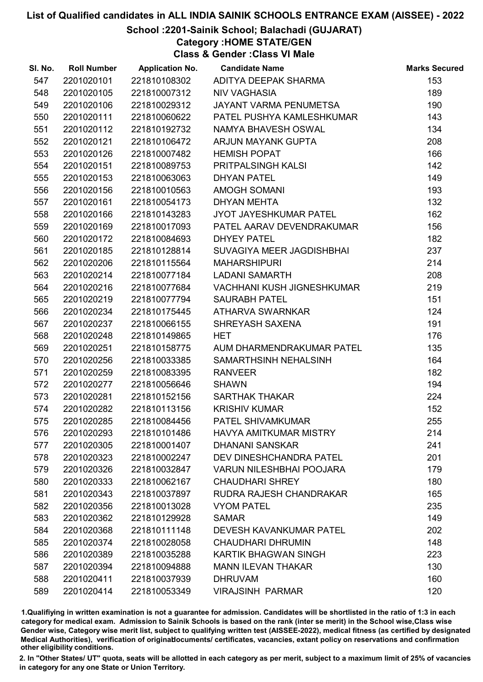## School :2201-Sainik School; Balachadi (GUJARAT)

Category :HOME STATE/GEN

Class & Gender :Class VI Male

| SI. No. | <b>Roll Number</b> | <b>Application No.</b> | <b>Candidate Name</b>             | <b>Marks Secured</b> |
|---------|--------------------|------------------------|-----------------------------------|----------------------|
| 547     | 2201020101         | 221810108302           | ADITYA DEEPAK SHARMA              | 153                  |
| 548     | 2201020105         | 221810007312           | <b>NIV VAGHASIA</b>               | 189                  |
| 549     | 2201020106         | 221810029312           | JAYANT VARMA PENUMETSA            | 190                  |
| 550     | 2201020111         | 221810060622           | PATEL PUSHYA KAMLESHKUMAR         | 143                  |
| 551     | 2201020112         | 221810192732           | NAMYA BHAVESH OSWAL               | 134                  |
| 552     | 2201020121         | 221810106472           | ARJUN MAYANK GUPTA                | 208                  |
| 553     | 2201020126         | 221810007482           | <b>HEMISH POPAT</b>               | 166                  |
| 554     | 2201020151         | 221810089753           | PRITPALSINGH KALSI                | 142                  |
| 555     | 2201020153         | 221810063063           | <b>DHYAN PATEL</b>                | 149                  |
| 556     | 2201020156         | 221810010563           | <b>AMOGH SOMANI</b>               | 193                  |
| 557     | 2201020161         | 221810054173           | <b>DHYAN MEHTA</b>                | 132                  |
| 558     | 2201020166         | 221810143283           | JYOT JAYESHKUMAR PATEL            | 162                  |
| 559     | 2201020169         | 221810017093           | PATEL AARAV DEVENDRAKUMAR         | 156                  |
| 560     | 2201020172         | 221810084693           | <b>DHYEY PATEL</b>                | 182                  |
| 561     | 2201020185         | 221810128814           | SUVAGIYA MEER JAGDISHBHAI         | 237                  |
| 562     | 2201020206         | 221810115564           | <b>MAHARSHIPURI</b>               | 214                  |
| 563     | 2201020214         | 221810077184           | <b>LADANI SAMARTH</b>             | 208                  |
| 564     | 2201020216         | 221810077684           | <b>VACHHANI KUSH JIGNESHKUMAR</b> | 219                  |
| 565     | 2201020219         | 221810077794           | <b>SAURABH PATEL</b>              | 151                  |
| 566     | 2201020234         | 221810175445           | ATHARVA SWARNKAR                  | 124                  |
| 567     | 2201020237         | 221810066155           | SHREYASH SAXENA                   | 191                  |
| 568     | 2201020248         | 221810149865           | <b>HET</b>                        | 176                  |
| 569     | 2201020251         | 221810158775           | AUM DHARMENDRAKUMAR PATEL         | 135                  |
| 570     | 2201020256         | 221810033385           | SAMARTHSINH NEHALSINH             | 164                  |
| 571     | 2201020259         | 221810083395           | <b>RANVEER</b>                    | 182                  |
| 572     | 2201020277         | 221810056646           | <b>SHAWN</b>                      | 194                  |
| 573     | 2201020281         | 221810152156           | <b>SARTHAK THAKAR</b>             | 224                  |
| 574     | 2201020282         | 221810113156           | <b>KRISHIV KUMAR</b>              | 152                  |
| 575     | 2201020285         | 221810084456           | PATEL SHIVAMKUMAR                 | 255                  |
| 576     | 2201020293         | 221810101486           | <b>HAVYA AMITKUMAR MISTRY</b>     | 214                  |
| 577     | 2201020305         | 221810001407           | <b>DHANANI SANSKAR</b>            | 241                  |
| 578     | 2201020323         | 221810002247           | DEV DINESHCHANDRA PATEL           | 201                  |
| 579     | 2201020326         | 221810032847           | <b>VARUN NILESHBHAI POOJARA</b>   | 179                  |
| 580     | 2201020333         | 221810062167           | <b>CHAUDHARI SHREY</b>            | 180                  |
| 581     | 2201020343         | 221810037897           | RUDRA RAJESH CHANDRAKAR           | 165                  |
| 582     | 2201020356         | 221810013028           | <b>VYOM PATEL</b>                 | 235                  |
| 583     | 2201020362         | 221810129928           | <b>SAMAR</b>                      | 149                  |
| 584     | 2201020368         | 221810111148           | <b>DEVESH KAVANKUMAR PATEL</b>    | 202                  |
| 585     | 2201020374         | 221810028058           | <b>CHAUDHARI DHRUMIN</b>          | 148                  |
| 586     | 2201020389         | 221810035288           | KARTIK BHAGWAN SINGH              | 223                  |
| 587     | 2201020394         | 221810094888           | <b>MANN ILEVAN THAKAR</b>         | 130                  |
| 588     | 2201020411         | 221810037939           | <b>DHRUVAM</b>                    | 160                  |
| 589     | 2201020414         | 221810053349           | <b>VIRAJSINH PARMAR</b>           | 120                  |

1.Qualifiying in written examination is not a guarantee for admission. Candidates will be shortlisted in the ratio of 1:3 in each category for medical exam. Admission to Sainik Schools is based on the rank (inter se merit) in the School wise,Class wise Gender wise, Category wise merit list, subject to qualifying written test (AISSEE-2022), medical fitness (as certified by designated Medical Authorities), verification of originablocuments/ certificates, vacancies, extant policy on reservations and confirmation other eligibility conditions.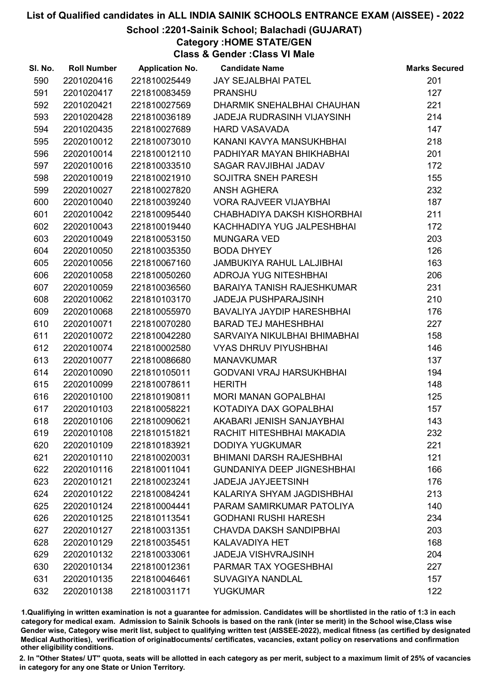# School :2201-Sainik School; Balachadi (GUJARAT)

# Category :HOME STATE/GEN

Class & Gender :Class VI Male

| SI. No. | <b>Roll Number</b> | <b>Application No.</b> | <b>Candidate Name</b>             | <b>Marks Secured</b> |
|---------|--------------------|------------------------|-----------------------------------|----------------------|
| 590     | 2201020416         | 221810025449           | <b>JAY SEJALBHAI PATEL</b>        | 201                  |
| 591     | 2201020417         | 221810083459           | <b>PRANSHU</b>                    | 127                  |
| 592     | 2201020421         | 221810027569           | DHARMIK SNEHALBHAI CHAUHAN        | 221                  |
| 593     | 2201020428         | 221810036189           | JADEJA RUDRASINH VIJAYSINH        | 214                  |
| 594     | 2201020435         | 221810027689           | <b>HARD VASAVADA</b>              | 147                  |
| 595     | 2202010012         | 221810073010           | KANANI KAVYA MANSUKHBHAI          | 218                  |
| 596     | 2202010014         | 221810012110           | PADHIYAR MAYAN BHIKHABHAI         | 201                  |
| 597     | 2202010016         | 221810033510           | <b>SAGAR RAVJIBHAI JADAV</b>      | 172                  |
| 598     | 2202010019         | 221810021910           | SOJITRA SNEH PARESH               | 155                  |
| 599     | 2202010027         | 221810027820           | <b>ANSH AGHERA</b>                | 232                  |
| 600     | 2202010040         | 221810039240           | <b>VORA RAJVEER VIJAYBHAI</b>     | 187                  |
| 601     | 2202010042         | 221810095440           | CHABHADIYA DAKSH KISHORBHAI       | 211                  |
| 602     | 2202010043         | 221810019440           | KACHHADIYA YUG JALPESHBHAI        | 172                  |
| 603     | 2202010049         | 221810053150           | <b>MUNGARA VED</b>                | 203                  |
| 604     | 2202010050         | 221810035350           | <b>BODA DHYEY</b>                 | 126                  |
| 605     | 2202010056         | 221810067160           | <b>JAMBUKIYA RAHUL LALJIBHAI</b>  | 163                  |
| 606     | 2202010058         | 221810050260           | ADROJA YUG NITESHBHAI             | 206                  |
| 607     | 2202010059         | 221810036560           | <b>BARAIYA TANISH RAJESHKUMAR</b> | 231                  |
| 608     | 2202010062         | 221810103170           | <b>JADEJA PUSHPARAJSINH</b>       | 210                  |
| 609     | 2202010068         | 221810055970           | BAVALIYA JAYDIP HARESHBHAI        | 176                  |
| 610     | 2202010071         | 221810070280           | <b>BARAD TEJ MAHESHBHAI</b>       | 227                  |
| 611     | 2202010072         | 221810042280           | SARVAIYA NIKULBHAI BHIMABHAI      | 158                  |
| 612     | 2202010074         | 221810002580           | <b>VYAS DHRUV PIYUSHBHAI</b>      | 146                  |
| 613     | 2202010077         | 221810086680           | <b>MANAVKUMAR</b>                 | 137                  |
| 614     | 2202010090         | 221810105011           | <b>GODVANI VRAJ HARSUKHBHAI</b>   | 194                  |
| 615     | 2202010099         | 221810078611           | <b>HERITH</b>                     | 148                  |
| 616     | 2202010100         | 221810190811           | <b>MORI MANAN GOPALBHAI</b>       | 125                  |
| 617     | 2202010103         | 221810058221           | KOTADIYA DAX GOPALBHAI            | 157                  |
| 618     | 2202010106         | 221810090621           | AKABARI JENISH SANJAYBHAI         | 143                  |
| 619     | 2202010108         | 221810151821           | RACHIT HITESHBHAI MAKADIA         | 232                  |
| 620     | 2202010109         | 221810183921           | <b>DODIYA YUGKUMAR</b>            | 221                  |
| 621     | 2202010110         | 221810020031           | <b>BHIMANI DARSH RAJESHBHAI</b>   | 121                  |
| 622     | 2202010116         | 221810011041           | <b>GUNDANIYA DEEP JIGNESHBHAI</b> | 166                  |
| 623     | 2202010121         | 221810023241           | <b>JADEJA JAYJEETSINH</b>         | 176                  |
| 624     | 2202010122         | 221810084241           | KALARIYA SHYAM JAGDISHBHAI        | 213                  |
| 625     | 2202010124         | 221810004441           | PARAM SAMIRKUMAR PATOLIYA         | 140                  |
| 626     | 2202010125         | 221810113541           | <b>GODHANI RUSHI HARESH</b>       | 234                  |
| 627     | 2202010127         | 221810031351           | <b>CHAVDA DAKSH SANDIPBHAI</b>    | 203                  |
| 628     | 2202010129         | 221810035451           | <b>KALAVADIYA HET</b>             | 168                  |
| 629     | 2202010132         | 221810033061           | <b>JADEJA VISHVRAJSINH</b>        | 204                  |
| 630     | 2202010134         | 221810012361           | PARMAR TAX YOGESHBHAI             | 227                  |
| 631     | 2202010135         | 221810046461           | <b>SUVAGIYA NANDLAL</b>           | 157                  |
| 632     | 2202010138         | 221810031171           | <b>YUGKUMAR</b>                   | 122                  |

1.Qualifiying in written examination is not a guarantee for admission. Candidates will be shortlisted in the ratio of 1:3 in each category for medical exam. Admission to Sainik Schools is based on the rank (inter se merit) in the School wise,Class wise Gender wise, Category wise merit list, subject to qualifying written test (AISSEE-2022), medical fitness (as certified by designated Medical Authorities), verification of originablocuments/ certificates, vacancies, extant policy on reservations and confirmation other eligibility conditions.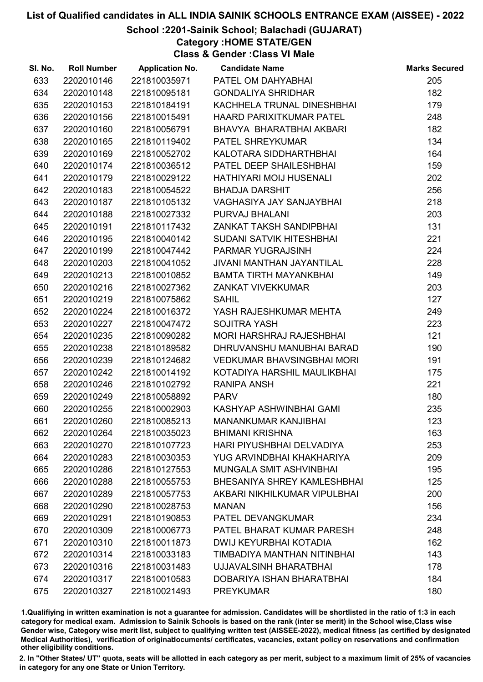# School :2201-Sainik School; Balachadi (GUJARAT)

Category :HOME STATE/GEN

Class & Gender :Class VI Male

| SI. No. | <b>Roll Number</b> | <b>Application No.</b> | <b>Candidate Name</b>             | <b>Marks Secured</b> |
|---------|--------------------|------------------------|-----------------------------------|----------------------|
| 633     | 2202010146         | 221810035971           | PATEL OM DAHYABHAI                | 205                  |
| 634     | 2202010148         | 221810095181           | <b>GONDALIYA SHRIDHAR</b>         | 182                  |
| 635     | 2202010153         | 221810184191           | KACHHELA TRUNAL DINESHBHAI        | 179                  |
| 636     | 2202010156         | 221810015491           | <b>HAARD PARIXITKUMAR PATEL</b>   | 248                  |
| 637     | 2202010160         | 221810056791           | BHAVYA BHARATBHAI AKBARI          | 182                  |
| 638     | 2202010165         | 221810119402           | PATEL SHREYKUMAR                  | 134                  |
| 639     | 2202010169         | 221810052702           | KALOTARA SIDDHARTHBHAI            | 164                  |
| 640     | 2202010174         | 221810036512           | PATEL DEEP SHAILESHBHAI           | 159                  |
| 641     | 2202010179         | 221810029122           | HATHIYARI MOIJ HUSENALI           | 202                  |
| 642     | 2202010183         | 221810054522           | <b>BHADJA DARSHIT</b>             | 256                  |
| 643     | 2202010187         | 221810105132           | <b>VAGHASIYA JAY SANJAYBHAI</b>   | 218                  |
| 644     | 2202010188         | 221810027332           | PURVAJ BHALANI                    | 203                  |
| 645     | 2202010191         | 221810117432           | ZANKAT TAKSH SANDIPBHAI           | 131                  |
| 646     | 2202010195         | 221810040142           | <b>SUDANI SATVIK HITESHBHAI</b>   | 221                  |
| 647     | 2202010199         | 221810047442           | PARMAR YUGRAJSINH                 | 224                  |
| 648     | 2202010203         | 221810041052           | <b>JIVANI MANTHAN JAYANTILAL</b>  | 228                  |
| 649     | 2202010213         | 221810010852           | <b>BAMTA TIRTH MAYANKBHAI</b>     | 149                  |
| 650     | 2202010216         | 221810027362           | <b>ZANKAT VIVEKKUMAR</b>          | 203                  |
| 651     | 2202010219         | 221810075862           | <b>SAHIL</b>                      | 127                  |
| 652     | 2202010224         | 221810016372           | YASH RAJESHKUMAR MEHTA            | 249                  |
| 653     | 2202010227         | 221810047472           | <b>SOJITRA YASH</b>               | 223                  |
| 654     | 2202010235         | 221810090282           | <b>MORI HARSHRAJ RAJESHBHAI</b>   | 121                  |
| 655     | 2202010238         | 221810189582           | DHRUVANSHU MANUBHAI BARAD         | 190                  |
| 656     | 2202010239         | 221810124682           | <b>VEDKUMAR BHAVSINGBHAI MORI</b> | 191                  |
| 657     | 2202010242         | 221810014192           | KOTADIYA HARSHIL MAULIKBHAI       | 175                  |
| 658     | 2202010246         | 221810102792           | <b>RANIPA ANSH</b>                | 221                  |
| 659     | 2202010249         | 221810058892           | <b>PARV</b>                       | 180                  |
| 660     | 2202010255         | 221810002903           | KASHYAP ASHWINBHAI GAMI           | 235                  |
| 661     | 2202010260         | 221810085213           | <b>MANANKUMAR KANJIBHAI</b>       | 123                  |
| 662     | 2202010264         | 221810035023           | <b>BHIMANI KRISHNA</b>            | 163                  |
| 663     | 2202010270         | 221810107723           | HARI PIYUSHBHAI DELVADIYA         | 253                  |
| 664     | 2202010283         | 221810030353           | YUG ARVINDBHAI KHAKHARIYA         | 209                  |
| 665     | 2202010286         | 221810127553           | MUNGALA SMIT ASHVINBHAI           | 195                  |
| 666     | 2202010288         | 221810055753           | BHESANIYA SHREY KAMLESHBHAI       | 125                  |
| 667     | 2202010289         | 221810057753           | AKBARI NIKHILKUMAR VIPULBHAI      | 200                  |
| 668     | 2202010290         | 221810028753           | <b>MANAN</b>                      | 156                  |
| 669     | 2202010291         | 221810190853           | <b>PATEL DEVANGKUMAR</b>          | 234                  |
| 670     | 2202010309         | 221810006773           | PATEL BHARAT KUMAR PARESH         | 248                  |
| 671     | 2202010310         | 221810011873           | DWIJ KEYURBHAI KOTADIA            | 162                  |
| 672     | 2202010314         | 221810033183           | TIMBADIYA MANTHAN NITINBHAI       | 143                  |
| 673     | 2202010316         | 221810031483           | UJJAVALSINH BHARATBHAI            | 178                  |
| 674     | 2202010317         | 221810010583           | DOBARIYA ISHAN BHARATBHAI         | 184                  |
| 675     | 2202010327         | 221810021493           | <b>PREYKUMAR</b>                  | 180                  |

1.Qualifiying in written examination is not a guarantee for admission. Candidates will be shortlisted in the ratio of 1:3 in each category for medical exam. Admission to Sainik Schools is based on the rank (inter se merit) in the School wise,Class wise Gender wise, Category wise merit list, subject to qualifying written test (AISSEE-2022), medical fitness (as certified by designated Medical Authorities), verification of originablocuments/ certificates, vacancies, extant policy on reservations and confirmation other eligibility conditions.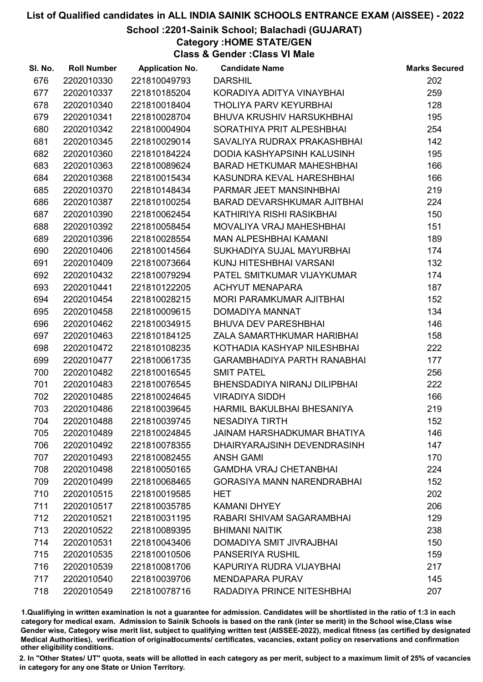# School :2201-Sainik School; Balachadi (GUJARAT)

Category :HOME STATE/GEN

Class & Gender :Class VI Male

| SI. No. | <b>Roll Number</b> | <b>Application No.</b> | <b>Candidate Name</b>              | <b>Marks Secured</b> |
|---------|--------------------|------------------------|------------------------------------|----------------------|
| 676     | 2202010330         | 221810049793           | <b>DARSHIL</b>                     | 202                  |
| 677     | 2202010337         | 221810185204           | KORADIYA ADITYA VINAYBHAI          | 259                  |
| 678     | 2202010340         | 221810018404           | THOLIYA PARV KEYURBHAI             | 128                  |
| 679     | 2202010341         | 221810028704           | <b>BHUVA KRUSHIV HARSUKHBHAI</b>   | 195                  |
| 680     | 2202010342         | 221810004904           | SORATHIYA PRIT ALPESHBHAI          | 254                  |
| 681     | 2202010345         | 221810029014           | SAVALIYA RUDRAX PRAKASHBHAI        | 142                  |
| 682     | 2202010360         | 221810184224           | DODIA KASHYAPSINH KALUSINH         | 195                  |
| 683     | 2202010363         | 221810089624           | <b>BARAD HETKUMAR MAHESHBHAI</b>   | 166                  |
| 684     | 2202010368         | 221810015434           | KASUNDRA KEVAL HARESHBHAI          | 166                  |
| 685     | 2202010370         | 221810148434           | PARMAR JEET MANSINHBHAI            | 219                  |
| 686     | 2202010387         | 221810100254           | <b>BARAD DEVARSHKUMAR AJITBHAI</b> | 224                  |
| 687     | 2202010390         | 221810062454           | KATHIRIYA RISHI RASIKBHAI          | 150                  |
| 688     | 2202010392         | 221810058454           | MOVALIYA VRAJ MAHESHBHAI           | 151                  |
| 689     | 2202010396         | 221810028554           | <b>MAN ALPESHBHAI KAMANI</b>       | 189                  |
| 690     | 2202010406         | 221810014564           | SUKHADIYA SUJAL MAYURBHAI          | 174                  |
| 691     | 2202010409         | 221810073664           | KUNJ HITESHBHAI VARSANI            | 132                  |
| 692     | 2202010432         | 221810079294           | PATEL SMITKUMAR VIJAYKUMAR         | 174                  |
| 693     | 2202010441         | 221810122205           | <b>ACHYUT MENAPARA</b>             | 187                  |
| 694     | 2202010454         | 221810028215           | MORI PARAMKUMAR AJITBHAI           | 152                  |
| 695     | 2202010458         | 221810009615           | DOMADIYA MANNAT                    | 134                  |
| 696     | 2202010462         | 221810034915           | <b>BHUVA DEV PARESHBHAI</b>        | 146                  |
| 697     | 2202010463         | 221810184125           | ZALA SAMARTHKUMAR HARIBHAI         | 158                  |
| 698     | 2202010472         | 221810108235           | KOTHADIA KASHYAP NILESHBHAI        | 222                  |
| 699     | 2202010477         | 221810061735           | <b>GARAMBHADIYA PARTH RANABHAI</b> | 177                  |
| 700     | 2202010482         | 221810016545           | <b>SMIT PATEL</b>                  | 256                  |
| 701     | 2202010483         | 221810076545           | BHENSDADIYA NIRANJ DILIPBHAI       | 222                  |
| 702     | 2202010485         | 221810024645           | <b>VIRADIYA SIDDH</b>              | 166                  |
| 703     | 2202010486         | 221810039645           | HARMIL BAKULBHAI BHESANIYA         | 219                  |
| 704     | 2202010488         | 221810039745           | <b>NESADIYA TIRTH</b>              | 152                  |
| 705     | 2202010489         | 221810024845           | JAINAM HARSHADKUMAR BHATIYA        | 146                  |
| 706     | 2202010492         | 221810078355           | DHAIRYARAJSINH DEVENDRASINH        | 147                  |
| 707     | 2202010493         | 221810082455           | <b>ANSH GAMI</b>                   | 170                  |
| 708     | 2202010498         | 221810050165           | <b>GAMDHA VRAJ CHETANBHAI</b>      | 224                  |
| 709     | 2202010499         | 221810068465           | <b>GORASIYA MANN NARENDRABHAI</b>  | 152                  |
| 710     | 2202010515         | 221810019585           | <b>HET</b>                         | 202                  |
| 711     | 2202010517         | 221810035785           | KAMANI DHYEY                       | 206                  |
| 712     | 2202010521         | 221810031195           | RABARI SHIVAM SAGARAMBHAI          | 129                  |
| 713     | 2202010522         | 221810089395           | <b>BHIMANI NAITIK</b>              | 238                  |
| 714     | 2202010531         | 221810043406           | DOMADIYA SMIT JIVRAJBHAI           | 150                  |
| 715     | 2202010535         | 221810010506           | PANSERIYA RUSHIL                   | 159                  |
| 716     | 2202010539         | 221810081706           | KAPURIYA RUDRA VIJAYBHAI           | 217                  |
| 717     | 2202010540         | 221810039706           | <b>MENDAPARA PURAV</b>             | 145                  |
| 718     | 2202010549         | 221810078716           | RADADIYA PRINCE NITESHBHAI         | 207                  |

1.Qualifiying in written examination is not a guarantee for admission. Candidates will be shortlisted in the ratio of 1:3 in each category for medical exam. Admission to Sainik Schools is based on the rank (inter se merit) in the School wise,Class wise Gender wise, Category wise merit list, subject to qualifying written test (AISSEE-2022), medical fitness (as certified by designated Medical Authorities), verification of originablocuments/ certificates, vacancies, extant policy on reservations and confirmation other eligibility conditions.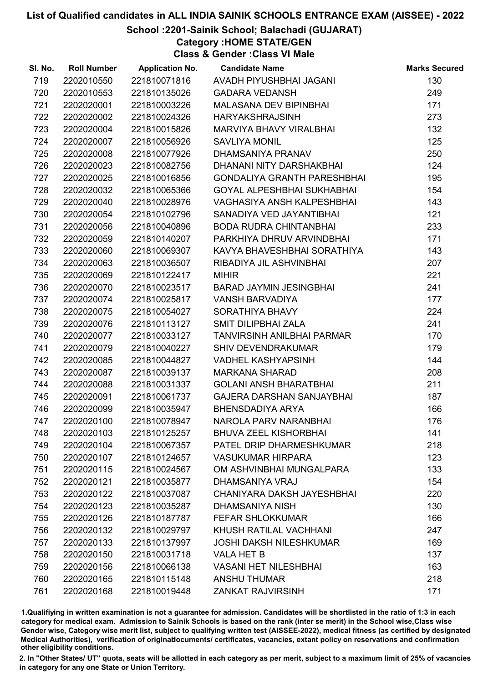# School :2201-Sainik School; Balachadi (GUJARAT)

Category :HOME STATE/GEN

Class & Gender :Class VI Male

| SI. No. | <b>Roll Number</b> | <b>Application No.</b> | <b>Candidate Name</b>              | <b>Marks Secured</b> |
|---------|--------------------|------------------------|------------------------------------|----------------------|
| 719     | 2202010550         | 221810071816           | AVADH PIYUSHBHAI JAGANI            | 130                  |
| 720     | 2202010553         | 221810135026           | <b>GADARA VEDANSH</b>              | 249                  |
| 721     | 2202020001         | 221810003226           | <b>MALASANA DEV BIPINBHAI</b>      | 171                  |
| 722     | 2202020002         | 221810024326           | <b>HARYAKSHRAJSINH</b>             | 273                  |
| 723     | 2202020004         | 221810015826           | MARVIYA BHAVY VIRALBHAI            | 132                  |
| 724     | 2202020007         | 221810056926           | <b>SAVLIYA MONIL</b>               | 125                  |
| 725     | 2202020008         | 221810077926           | DHAMSANIYA PRANAV                  | 250                  |
| 726     | 2202020023         | 221810082756           | DHANANI NITY DARSHAKBHAI           | 124                  |
| 727     | 2202020025         | 221810016856           | <b>GONDALIYA GRANTH PARESHBHAI</b> | 195                  |
| 728     | 2202020032         | 221810065366           | <b>GOYAL ALPESHBHAI SUKHABHAI</b>  | 154                  |
| 729     | 2202020040         | 221810028976           | VAGHASIYA ANSH KALPESHBHAI         | 143                  |
| 730     | 2202020054         | 221810102796           | SANADIYA VED JAYANTIBHAI           | 121                  |
| 731     | 2202020056         | 221810040896           | <b>BODA RUDRA CHINTANBHAI</b>      | 233                  |
| 732     | 2202020059         | 221810140207           | PARKHIYA DHRUV ARVINDBHAI          | 171                  |
| 733     | 2202020060         | 221810069307           | KAVYA BHAVESHBHAI SORATHIYA        | 143                  |
| 734     | 2202020063         | 221810036507           | RIBADIYA JIL ASHVINBHAI            | 207                  |
| 735     | 2202020069         | 221810122417           | <b>MIHIR</b>                       | 221                  |
| 736     | 2202020070         | 221810023517           | <b>BARAD JAYMIN JESINGBHAI</b>     | 241                  |
| 737     | 2202020074         | 221810025817           | <b>VANSH BARVADIYA</b>             | 177                  |
| 738     | 2202020075         | 221810054027           | SORATHIYA BHAVY                    | 224                  |
| 739     | 2202020076         | 221810113127           | SMIT DILIPBHAI ZALA                | 241                  |
| 740     | 2202020077         | 221810033127           | <b>TANVIRSINH ANILBHAI PARMAR</b>  | 170                  |
| 741     | 2202020079         | 221810040227           | <b>SHIV DEVENDRAKUMAR</b>          | 179                  |
| 742     | 2202020085         | 221810044827           | <b>VADHEL KASHYAPSINH</b>          | 144                  |
| 743     | 2202020087         | 221810039137           | <b>MARKANA SHARAD</b>              | 208                  |
| 744     | 2202020088         | 221810031337           | <b>GOLANI ANSH BHARATBHAI</b>      | 211                  |
| 745     | 2202020091         | 221810061737           | <b>GAJERA DARSHAN SANJAYBHAI</b>   | 187                  |
| 746     | 2202020099         | 221810035947           | <b>BHENSDADIYA ARYA</b>            | 166                  |
| 747     | 2202020100         | 221810078947           | NAROLA PARV NARANBHAI              | 176                  |
| 748     | 2202020103         | 221810125257           | <b>BHUVA ZEEL KISHORBHAI</b>       | 141                  |
| 749     | 2202020104         | 221810067357           | PATEL DRIP DHARMESHKUMAR           | 218                  |
| 750     | 2202020107         | 221810124657           | <b>VASUKUMAR HIRPARA</b>           | 123                  |
| 751     | 2202020115         | 221810024567           | OM ASHVINBHAI MUNGALPARA           | 133                  |
| 752     | 2202020121         | 221810035877           | DHAMSANIYA VRAJ                    | 154                  |
| 753     | 2202020122         | 221810037087           | CHANIYARA DAKSH JAYESHBHAI         | 220                  |
| 754     | 2202020123         | 221810035287           | <b>DHAMSANIYA NISH</b>             | 130                  |
| 755     | 2202020126         | 221810187787           | <b>FEFAR SHLOKKUMAR</b>            | 166                  |
| 756     | 2202020132         | 221810029797           | KHUSH RATILAL VACHHANI             | 247                  |
| 757     | 2202020133         | 221810137997           | <b>JOSHI DAKSH NILESHKUMAR</b>     | 169                  |
| 758     | 2202020150         | 221810031718           | <b>VALA HET B</b>                  | 137                  |
| 759     | 2202020156         | 221810066138           | <b>VASANI HET NILESHBHAI</b>       | 163                  |
| 760     | 2202020165         | 221810115148           | <b>ANSHU THUMAR</b>                | 218                  |
| 761     | 2202020168         | 221810019448           | <b>ZANKAT RAJVIRSINH</b>           | 171                  |

1.Qualifiying in written examination is not a guarantee for admission. Candidates will be shortlisted in the ratio of 1:3 in each category for medical exam. Admission to Sainik Schools is based on the rank (inter se merit) in the School wise,Class wise Gender wise, Category wise merit list, subject to qualifying written test (AISSEE-2022), medical fitness (as certified by designated Medical Authorities), verification of originablocuments/ certificates, vacancies, extant policy on reservations and confirmation other eligibility conditions.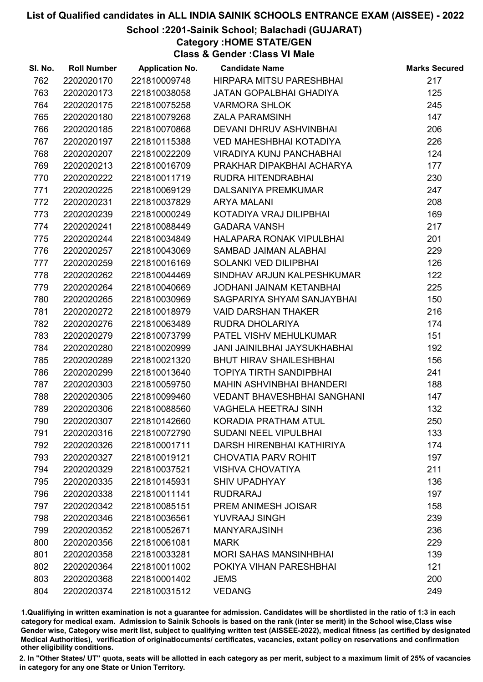### School :2201-Sainik School; Balachadi (GUJARAT)

Category :HOME STATE/GEN

Class & Gender :Class VI Male

| SI. No. | <b>Roll Number</b> | <b>Application No.</b> | <b>Candidate Name</b>              | <b>Marks Secured</b> |
|---------|--------------------|------------------------|------------------------------------|----------------------|
| 762     | 2202020170         | 221810009748           | HIRPARA MITSU PARESHBHAI           | 217                  |
| 763     | 2202020173         | 221810038058           | <b>JATAN GOPALBHAI GHADIYA</b>     | 125                  |
| 764     | 2202020175         | 221810075258           | <b>VARMORA SHLOK</b>               | 245                  |
| 765     | 2202020180         | 221810079268           | <b>ZALA PARAMSINH</b>              | 147                  |
| 766     | 2202020185         | 221810070868           | DEVANI DHRUV ASHVINBHAI            | 206                  |
| 767     | 2202020197         | 221810115388           | <b>VED MAHESHBHAI KOTADIYA</b>     | 226                  |
| 768     | 2202020207         | 221810022209           | <b>VIRADIYA KUNJ PANCHABHAI</b>    | 124                  |
| 769     | 2202020213         | 221810016709           | PRAKHAR DIPAKBHAI ACHARYA          | 177                  |
| 770     | 2202020222         | 221810011719           | RUDRA HITENDRABHAI                 | 230                  |
| 771     | 2202020225         | 221810069129           | <b>DALSANIYA PREMKUMAR</b>         | 247                  |
| 772     | 2202020231         | 221810037829           | <b>ARYA MALANI</b>                 | 208                  |
| 773     | 2202020239         | 221810000249           | KOTADIYA VRAJ DILIPBHAI            | 169                  |
| 774     | 2202020241         | 221810088449           | <b>GADARA VANSH</b>                | 217                  |
| 775     | 2202020244         | 221810034849           | HALAPARA RONAK VIPULBHAI           | 201                  |
| 776     | 2202020257         | 221810043069           | SAMBAD JAIMAN ALABHAI              | 229                  |
| 777     | 2202020259         | 221810016169           | SOLANKI VED DILIPBHAI              | 126                  |
| 778     | 2202020262         | 221810044469           | SINDHAV ARJUN KALPESHKUMAR         | 122                  |
| 779     | 2202020264         | 221810040669           | <b>JODHANI JAINAM KETANBHAI</b>    | 225                  |
| 780     | 2202020265         | 221810030969           | SAGPARIYA SHYAM SANJAYBHAI         | 150                  |
| 781     | 2202020272         | 221810018979           | <b>VAID DARSHAN THAKER</b>         | 216                  |
| 782     | 2202020276         | 221810063489           | RUDRA DHOLARIYA                    | 174                  |
| 783     | 2202020279         | 221810073799           | PATEL VISHV MEHULKUMAR             | 151                  |
| 784     | 2202020280         | 221810020999           | JANI JAINILBHAI JAYSUKHABHAI       | 192                  |
| 785     | 2202020289         | 221810021320           | <b>BHUT HIRAV SHAILESHBHAI</b>     | 156                  |
| 786     | 2202020299         | 221810013640           | <b>TOPIYA TIRTH SANDIPBHAI</b>     | 241                  |
| 787     | 2202020303         | 221810059750           | <b>MAHIN ASHVINBHAI BHANDERI</b>   | 188                  |
| 788     | 2202020305         | 221810099460           | <b>VEDANT BHAVESHBHAI SANGHANI</b> | 147                  |
| 789     | 2202020306         | 221810088560           | <b>VAGHELA HEETRAJ SINH</b>        | 132                  |
| 790     | 2202020307         | 221810142660           | KORADIA PRATHAM ATUL               | 250                  |
| 791     | 2202020316         | 221810072790           | <b>SUDANI NEEL VIPULBHAI</b>       | 133                  |
| 792     | 2202020326         | 221810001711           | DARSH HIRENBHAI KATHIRIYA          | 174                  |
| 793     | 2202020327         | 221810019121           | <b>CHOVATIA PARV ROHIT</b>         | 197                  |
| 794     | 2202020329         | 221810037521           | <b>VISHVA CHOVATIYA</b>            | 211                  |
| 795     | 2202020335         | 221810145931           | <b>SHIV UPADHYAY</b>               | 136                  |
| 796     | 2202020338         | 221810011141           | <b>RUDRARAJ</b>                    | 197                  |
| 797     | 2202020342         | 221810085151           | PREM ANIMESH JOISAR                | 158                  |
| 798     | 2202020346         | 221810036561           | YUVRAAJ SINGH                      | 239                  |
| 799     | 2202020352         | 221810052671           | <b>MANYARAJSINH</b>                | 236                  |
| 800     | 2202020356         | 221810061081           | <b>MARK</b>                        | 229                  |
| 801     | 2202020358         | 221810033281           | <b>MORI SAHAS MANSINHBHAI</b>      | 139                  |
| 802     | 2202020364         | 221810011002           | POKIYA VIHAN PARESHBHAI            | 121                  |
| 803     | 2202020368         | 221810001402           | <b>JEMS</b>                        | 200                  |
| 804     | 2202020374         | 221810031512           | <b>VEDANG</b>                      | 249                  |

1.Qualifiying in written examination is not a guarantee for admission. Candidates will be shortlisted in the ratio of 1:3 in each category for medical exam. Admission to Sainik Schools is based on the rank (inter se merit) in the School wise,Class wise Gender wise, Category wise merit list, subject to qualifying written test (AISSEE-2022), medical fitness (as certified by designated Medical Authorities), verification of originablocuments/ certificates, vacancies, extant policy on reservations and confirmation other eligibility conditions.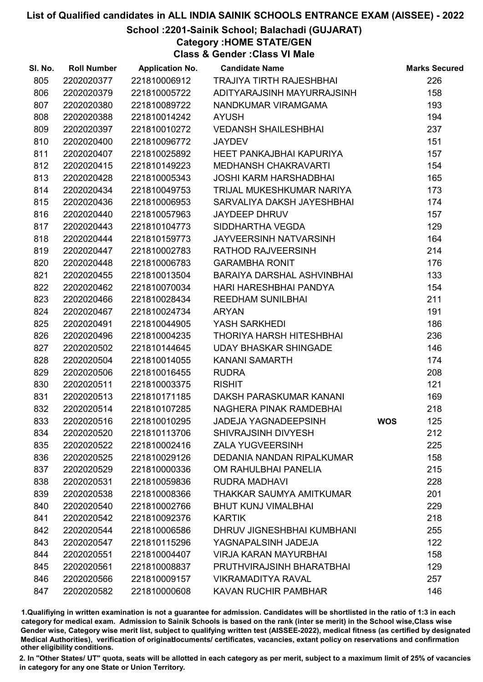# School :2201-Sainik School; Balachadi (GUJARAT)

Category :HOME STATE/GEN

Class & Gender :Class VI Male

| SI. No. | <b>Roll Number</b> | <b>Application No.</b> | <b>Candidate Name</b>           |            | <b>Marks Secured</b> |
|---------|--------------------|------------------------|---------------------------------|------------|----------------------|
| 805     | 2202020377         | 221810006912           | <b>TRAJIYA TIRTH RAJESHBHAI</b> |            | 226                  |
| 806     | 2202020379         | 221810005722           | ADITYARAJSINH MAYURRAJSINH      |            | 158                  |
| 807     | 2202020380         | 221810089722           | NANDKUMAR VIRAMGAMA             |            | 193                  |
| 808     | 2202020388         | 221810014242           | <b>AYUSH</b>                    |            | 194                  |
| 809     | 2202020397         | 221810010272           | <b>VEDANSH SHAILESHBHAI</b>     |            | 237                  |
| 810     | 2202020400         | 221810096772           | <b>JAYDEV</b>                   |            | 151                  |
| 811     | 2202020407         | 221810025892           | HEET PANKAJBHAI KAPURIYA        |            | 157                  |
| 812     | 2202020415         | 221810149223           | <b>MEDHANSH CHAKRAVARTI</b>     |            | 154                  |
| 813     | 2202020428         | 221810005343           | <b>JOSHI KARM HARSHADBHAI</b>   |            | 165                  |
| 814     | 2202020434         | 221810049753           | TRIJAL MUKESHKUMAR NARIYA       |            | 173                  |
| 815     | 2202020436         | 221810006953           | SARVALIYA DAKSH JAYESHBHAI      |            | 174                  |
| 816     | 2202020440         | 221810057963           | <b>JAYDEEP DHRUV</b>            |            | 157                  |
| 817     | 2202020443         | 221810104773           | SIDDHARTHA VEGDA                |            | 129                  |
| 818     | 2202020444         | 221810159773           | <b>JAYVEERSINH NATVARSINH</b>   |            | 164                  |
| 819     | 2202020447         | 221810002783           | RATHOD RAJVEERSINH              |            | 214                  |
| 820     | 2202020448         | 221810006783           | <b>GARAMBHA RONIT</b>           |            | 176                  |
| 821     | 2202020455         | 221810013504           | BARAIYA DARSHAL ASHVINBHAI      |            | 133                  |
| 822     | 2202020462         | 221810070034           | HARI HARESHBHAI PANDYA          |            | 154                  |
| 823     | 2202020466         | 221810028434           | <b>REEDHAM SUNILBHAI</b>        |            | 211                  |
| 824     | 2202020467         | 221810024734           | <b>ARYAN</b>                    |            | 191                  |
| 825     | 2202020491         | 221810044905           | YASH SARKHEDI                   |            | 186                  |
| 826     | 2202020496         | 221810004235           | THORIYA HARSH HITESHBHAI        |            | 236                  |
| 827     | 2202020502         | 221810144645           | <b>UDAY BHASKAR SHINGADE</b>    |            | 146                  |
| 828     | 2202020504         | 221810014055           | <b>KANANI SAMARTH</b>           |            | 174                  |
| 829     | 2202020506         | 221810016455           | <b>RUDRA</b>                    |            | 208                  |
| 830     | 2202020511         | 221810003375           | <b>RISHIT</b>                   |            | 121                  |
| 831     | 2202020513         | 221810171185           | DAKSH PARASKUMAR KANANI         |            | 169                  |
| 832     | 2202020514         | 221810107285           | NAGHERA PINAK RAMDEBHAI         |            | 218                  |
| 833     | 2202020516         | 221810010295           | <b>JADEJA YAGNADEEPSINH</b>     | <b>WOS</b> | 125                  |
| 834     | 2202020520         | 221810113706           | <b>SHIVRAJSINH DIVYESH</b>      |            | 212                  |
| 835     | 2202020522         | 221810002416           | <b>ZALA YUGVEERSINH</b>         |            | 225                  |
| 836     | 2202020525         | 221810029126           | DEDANIA NANDAN RIPALKUMAR       |            | 158                  |
| 837     | 2202020529         | 221810000336           | OM RAHULBHAI PANELIA            |            | 215                  |
| 838     | 2202020531         | 221810059836           | <b>RUDRA MADHAVI</b>            |            | 228                  |
| 839     | 2202020538         | 221810008366           | THAKKAR SAUMYA AMITKUMAR        |            | 201                  |
| 840     | 2202020540         | 221810002766           | <b>BHUT KUNJ VIMALBHAI</b>      |            | 229                  |
| 841     | 2202020542         | 221810092376           | <b>KARTIK</b>                   |            | 218                  |
| 842     | 2202020544         | 221810006586           | DHRUV JIGNESHBHAI KUMBHANI      |            | 255                  |
| 843     | 2202020547         | 221810115296           | YAGNAPALSINH JADEJA             |            | 122                  |
| 844     | 2202020551         | 221810004407           | <b>VIRJA KARAN MAYURBHAI</b>    |            | 158                  |
| 845     | 2202020561         | 221810008837           | PRUTHVIRAJSINH BHARATBHAI       |            | 129                  |
| 846     | 2202020566         | 221810009157           | <b>VIKRAMADITYA RAVAL</b>       |            | 257                  |
| 847     | 2202020582         | 221810000608           | <b>KAVAN RUCHIR PAMBHAR</b>     |            | 146                  |

1.Qualifiying in written examination is not a guarantee for admission. Candidates will be shortlisted in the ratio of 1:3 in each category for medical exam. Admission to Sainik Schools is based on the rank (inter se merit) in the School wise,Class wise Gender wise, Category wise merit list, subject to qualifying written test (AISSEE-2022), medical fitness (as certified by designated Medical Authorities), verification of originablocuments/ certificates, vacancies, extant policy on reservations and confirmation other eligibility conditions.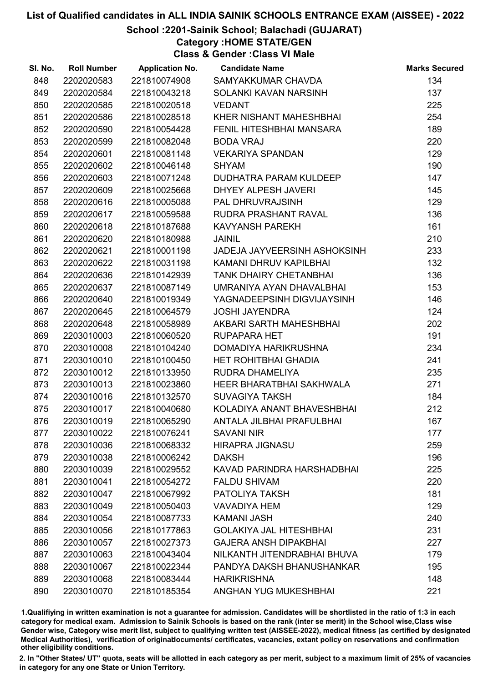# School :2201-Sainik School; Balachadi (GUJARAT)

# Category :HOME STATE/GEN

Class & Gender :Class VI Male

| SI. No. | <b>Roll Number</b> | <b>Application No.</b> | <b>Candidate Name</b>               | <b>Marks Secured</b> |
|---------|--------------------|------------------------|-------------------------------------|----------------------|
| 848     | 2202020583         | 221810074908           | SAMYAKKUMAR CHAVDA                  | 134                  |
| 849     | 2202020584         | 221810043218           | SOLANKI KAVAN NARSINH               | 137                  |
| 850     | 2202020585         | 221810020518           | <b>VEDANT</b>                       | 225                  |
| 851     | 2202020586         | 221810028518           | KHER NISHANT MAHESHBHAI             | 254                  |
| 852     | 2202020590         | 221810054428           | FENIL HITESHBHAI MANSARA            | 189                  |
| 853     | 2202020599         | 221810082048           | <b>BODA VRAJ</b>                    | 220                  |
| 854     | 2202020601         | 221810081148           | <b>VEKARIYA SPANDAN</b>             | 129                  |
| 855     | 2202020602         | 221810046148           | <b>SHYAM</b>                        | 190                  |
| 856     | 2202020603         | 221810071248           | <b>DUDHATRA PARAM KULDEEP</b>       | 147                  |
| 857     | 2202020609         | 221810025668           | DHYEY ALPESH JAVERI                 | 145                  |
| 858     | 2202020616         | 221810005088           | PAL DHRUVRAJSINH                    | 129                  |
| 859     | 2202020617         | 221810059588           | RUDRA PRASHANT RAVAL                | 136                  |
| 860     | 2202020618         | 221810187688           | <b>KAVYANSH PAREKH</b>              | 161                  |
| 861     | 2202020620         | 221810180988           | <b>JAINIL</b>                       | 210                  |
| 862     | 2202020621         | 221810001198           | <b>JADEJA JAYVEERSINH ASHOKSINH</b> | 233                  |
| 863     | 2202020622         | 221810031198           | KAMANI DHRUV KAPILBHAI              | 132                  |
| 864     | 2202020636         | 221810142939           | <b>TANK DHAIRY CHETANBHAI</b>       | 136                  |
| 865     | 2202020637         | 221810087149           | UMRANIYA AYAN DHAVALBHAI            | 153                  |
| 866     | 2202020640         | 221810019349           | YAGNADEEPSINH DIGVIJAYSINH          | 146                  |
| 867     | 2202020645         | 221810064579           | <b>JOSHI JAYENDRA</b>               | 124                  |
| 868     | 2202020648         | 221810058989           | AKBARI SARTH MAHESHBHAI             | 202                  |
| 869     | 2203010003         | 221810060520           | <b>RUPAPARA HET</b>                 | 191                  |
| 870     | 2203010008         | 221810104240           | DOMADIYA HARIKRUSHNA                | 234                  |
| 871     | 2203010010         | 221810100450           | <b>HET ROHITBHAI GHADIA</b>         | 241                  |
| 872     | 2203010012         | 221810133950           | RUDRA DHAMELIYA                     | 235                  |
| 873     | 2203010013         | 221810023860           | HEER BHARATBHAI SAKHWALA            | 271                  |
| 874     | 2203010016         | 221810132570           | <b>SUVAGIYA TAKSH</b>               | 184                  |
| 875     | 2203010017         | 221810040680           | KOLADIYA ANANT BHAVESHBHAI          | 212                  |
| 876     | 2203010019         | 221810065290           | ANTALA JILBHAI PRAFULBHAI           | 167                  |
| 877     | 2203010022         | 221810076241           | <b>SAVANI NIR</b>                   | 177                  |
| 878     | 2203010036         | 221810068332           | <b>HIRAPRA JIGNASU</b>              | 259                  |
| 879     | 2203010038         | 221810006242           | <b>DAKSH</b>                        | 196                  |
| 880     | 2203010039         | 221810029552           | KAVAD PARINDRA HARSHADBHAI          | 225                  |
| 881     | 2203010041         | 221810054272           | <b>FALDU SHIVAM</b>                 | 220                  |
| 882     | 2203010047         | 221810067992           | PATOLIYA TAKSH                      | 181                  |
| 883     | 2203010049         | 221810050403           | <b>VAVADIYA HEM</b>                 | 129                  |
| 884     | 2203010054         | 221810087733           | <b>KAMANI JASH</b>                  | 240                  |
| 885     | 2203010056         | 221810177863           | <b>GOLAKIYA JAL HITESHBHAI</b>      | 231                  |
| 886     | 2203010057         | 221810027373           | <b>GAJERA ANSH DIPAKBHAI</b>        | 227                  |
| 887     | 2203010063         | 221810043404           | NILKANTH JITENDRABHAI BHUVA         | 179                  |
| 888     | 2203010067         | 221810022344           | PANDYA DAKSH BHANUSHANKAR           | 195                  |
| 889     | 2203010068         | 221810083444           | <b>HARIKRISHNA</b>                  | 148                  |
| 890     | 2203010070         | 221810185354           | ANGHAN YUG MUKESHBHAI               | 221                  |

1.Qualifiying in written examination is not a guarantee for admission. Candidates will be shortlisted in the ratio of 1:3 in each category for medical exam. Admission to Sainik Schools is based on the rank (inter se merit) in the School wise,Class wise Gender wise, Category wise merit list, subject to qualifying written test (AISSEE-2022), medical fitness (as certified by designated Medical Authorities), verification of originablocuments/ certificates, vacancies, extant policy on reservations and confirmation other eligibility conditions.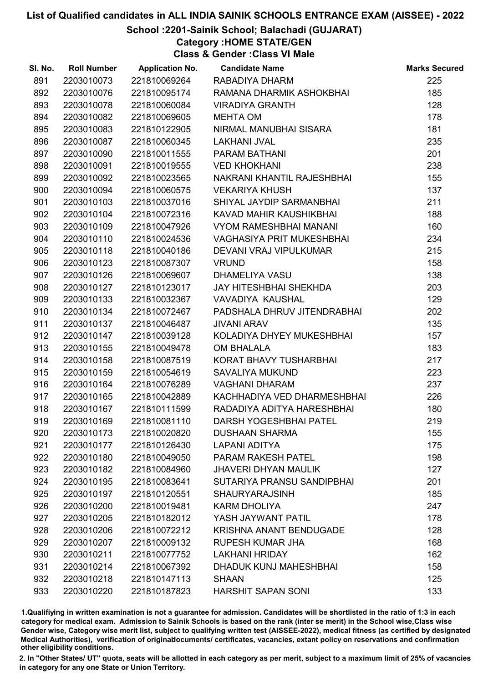# School :2201-Sainik School; Balachadi (GUJARAT)

Category :HOME STATE/GEN

Class & Gender :Class VI Male

| SI. No. | <b>Roll Number</b> | <b>Application No.</b> | <b>Candidate Name</b>            | <b>Marks Secured</b> |
|---------|--------------------|------------------------|----------------------------------|----------------------|
| 891     | 2203010073         | 221810069264           | RABADIYA DHARM                   | 225                  |
| 892     | 2203010076         | 221810095174           | RAMANA DHARMIK ASHOKBHAI         | 185                  |
| 893     | 2203010078         | 221810060084           | <b>VIRADIYA GRANTH</b>           | 128                  |
| 894     | 2203010082         | 221810069605           | <b>MEHTA OM</b>                  | 178                  |
| 895     | 2203010083         | 221810122905           | NIRMAL MANUBHAI SISARA           | 181                  |
| 896     | 2203010087         | 221810060345           | <b>LAKHANI JVAL</b>              | 235                  |
| 897     | 2203010090         | 221810011555           | PARAM BATHANI                    | 201                  |
| 898     | 2203010091         | 221810019555           | <b>VED KHOKHANI</b>              | 238                  |
| 899     | 2203010092         | 221810023565           | NAKRANI KHANTIL RAJESHBHAI       | 155                  |
| 900     | 2203010094         | 221810060575           | <b>VEKARIYA KHUSH</b>            | 137                  |
| 901     | 2203010103         | 221810037016           | SHIYAL JAYDIP SARMANBHAI         | 211                  |
| 902     | 2203010104         | 221810072316           | KAVAD MAHIR KAUSHIKBHAI          | 188                  |
| 903     | 2203010109         | 221810047926           | <b>VYOM RAMESHBHAI MANANI</b>    | 160                  |
| 904     | 2203010110         | 221810024536           | <b>VAGHASIYA PRIT MUKESHBHAI</b> | 234                  |
| 905     | 2203010118         | 221810040186           | DEVANI VRAJ VIPULKUMAR           | 215                  |
| 906     | 2203010123         | 221810087307           | <b>VRUND</b>                     | 158                  |
| 907     | 2203010126         | 221810069607           | DHAMELIYA VASU                   | 138                  |
| 908     | 2203010127         | 221810123017           | <b>JAY HITESHBHAI SHEKHDA</b>    | 203                  |
| 909     | 2203010133         | 221810032367           | VAVADIYA KAUSHAL                 | 129                  |
| 910     | 2203010134         | 221810072467           | PADSHALA DHRUV JITENDRABHAI      | 202                  |
| 911     | 2203010137         | 221810046487           | <b>JIVANI ARAV</b>               | 135                  |
| 912     | 2203010147         | 221810039128           | KOLADIYA DHYEY MUKESHBHAI        | 157                  |
| 913     | 2203010155         | 221810049478           | <b>OM BHALALA</b>                | 183                  |
| 914     | 2203010158         | 221810087519           | KORAT BHAVY TUSHARBHAI           | 217                  |
| 915     | 2203010159         | 221810054619           | <b>SAVALIYA MUKUND</b>           | 223                  |
| 916     | 2203010164         | 221810076289           | <b>VAGHANI DHARAM</b>            | 237                  |
| 917     | 2203010165         | 221810042889           | KACHHADIYA VED DHARMESHBHAI      | 226                  |
| 918     | 2203010167         | 221810111599           | RADADIYA ADITYA HARESHBHAI       | 180                  |
| 919     | 2203010169         | 221810081110           | <b>DARSH YOGESHBHAI PATEL</b>    | 219                  |
| 920     | 2203010173         | 221810020820           | <b>DUSHAAN SHARMA</b>            | 155                  |
| 921     | 2203010177         | 221810126430           | <b>LAPANI ADITYA</b>             | 175                  |
| 922     | 2203010180         | 221810049050           | PARAM RAKESH PATEL               | 198                  |
| 923     | 2203010182         | 221810084960           | <b>JHAVERI DHYAN MAULIK</b>      | 127                  |
| 924     | 2203010195         | 221810083641           | SUTARIYA PRANSU SANDIPBHAI       | 201                  |
| 925     | 2203010197         | 221810120551           | <b>SHAURYARAJSINH</b>            | 185                  |
| 926     | 2203010200         | 221810019481           | <b>KARM DHOLIYA</b>              | 247                  |
| 927     | 2203010205         | 221810182012           | YASH JAYWANT PATIL               | 178                  |
| 928     | 2203010206         | 221810072212           | <b>KRISHNA ANANT BENDUGADE</b>   | 128                  |
| 929     | 2203010207         | 221810009132           | <b>RUPESH KUMAR JHA</b>          | 168                  |
| 930     | 2203010211         | 221810077752           | <b>LAKHANI HRIDAY</b>            | 162                  |
| 931     | 2203010214         | 221810067392           | <b>DHADUK KUNJ MAHESHBHAI</b>    | 158                  |
| 932     | 2203010218         | 221810147113           | <b>SHAAN</b>                     | 125                  |
| 933     | 2203010220         | 221810187823           | <b>HARSHIT SAPAN SONI</b>        | 133                  |

1.Qualifiying in written examination is not a guarantee for admission. Candidates will be shortlisted in the ratio of 1:3 in each category for medical exam. Admission to Sainik Schools is based on the rank (inter se merit) in the School wise,Class wise Gender wise, Category wise merit list, subject to qualifying written test (AISSEE-2022), medical fitness (as certified by designated Medical Authorities), verification of originablocuments/ certificates, vacancies, extant policy on reservations and confirmation other eligibility conditions.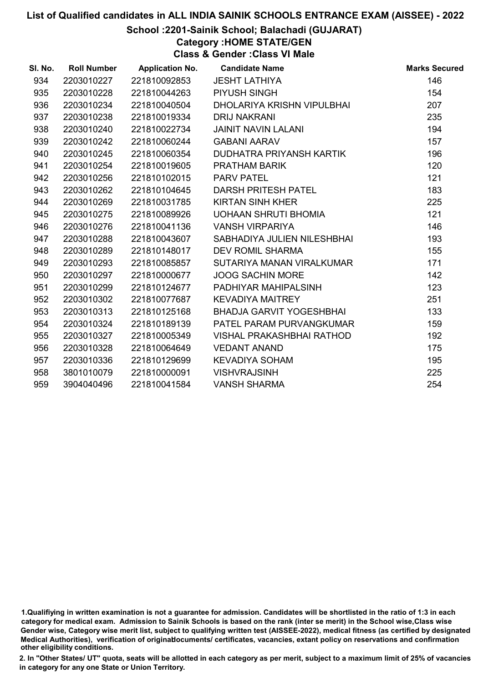# School :2201-Sainik School; Balachadi (GUJARAT)

Category :HOME STATE/GEN

Class & Gender :Class VI Male

| SI. No. | <b>Roll Number</b> | <b>Application No.</b> | <b>Candidate Name</b>       | <b>Marks Secured</b> |
|---------|--------------------|------------------------|-----------------------------|----------------------|
| 934     | 2203010227         | 221810092853           | <b>JESHT LATHIYA</b>        | 146                  |
| 935     | 2203010228         | 221810044263           | <b>PIYUSH SINGH</b>         | 154                  |
| 936     | 2203010234         | 221810040504           | DHOLARIYA KRISHN VIPULBHAI  | 207                  |
| 937     | 2203010238         | 221810019334           | <b>DRIJ NAKRANI</b>         | 235                  |
| 938     | 2203010240         | 221810022734           | <b>JAINIT NAVIN LALANI</b>  | 194                  |
| 939     | 2203010242         | 221810060244           | <b>GABANI AARAV</b>         | 157                  |
| 940     | 2203010245         | 221810060354           | DUDHATRA PRIYANSH KARTIK    | 196                  |
| 941     | 2203010254         | 221810019605           | <b>PRATHAM BARIK</b>        | 120                  |
| 942     | 2203010256         | 221810102015           | <b>PARV PATEL</b>           | 121                  |
| 943     | 2203010262         | 221810104645           | DARSH PRITESH PATEL         | 183                  |
| 944     | 2203010269         | 221810031785           | <b>KIRTAN SINH KHER</b>     | 225                  |
| 945     | 2203010275         | 221810089926           | UOHAAN SHRUTI BHOMIA        | 121                  |
| 946     | 2203010276         | 221810041136           | <b>VANSH VIRPARIYA</b>      | 146                  |
| 947     | 2203010288         | 221810043607           | SABHADIYA JULIEN NILESHBHAI | 193                  |
| 948     | 2203010289         | 221810148017           | <b>DEV ROMIL SHARMA</b>     | 155                  |
| 949     | 2203010293         | 221810085857           | SUTARIYA MANAN VIRALKUMAR   | 171                  |
| 950     | 2203010297         | 221810000677           | <b>JOOG SACHIN MORE</b>     | 142                  |
| 951     | 2203010299         | 221810124677           | PADHIYAR MAHIPALSINH        | 123                  |
| 952     | 2203010302         | 221810077687           | <b>KEVADIYA MAITREY</b>     | 251                  |
| 953     | 2203010313         | 221810125168           | BHADJA GARVIT YOGESHBHAI    | 133                  |
| 954     | 2203010324         | 221810189139           | PATEL PARAM PURVANGKUMAR    | 159                  |
| 955     | 2203010327         | 221810005349           | VISHAL PRAKASHBHAI RATHOD   | 192                  |
| 956     | 2203010328         | 221810064649           | <b>VEDANT ANAND</b>         | 175                  |
| 957     | 2203010336         | 221810129699           | <b>KEVADIYA SOHAM</b>       | 195                  |
| 958     | 3801010079         | 221810000091           | <b>VISHVRAJSINH</b>         | 225                  |
| 959     | 3904040496         | 221810041584           | <b>VANSH SHARMA</b>         | 254                  |

<sup>1.</sup>Qualifiying in written examination is not a guarantee for admission. Candidates will be shortlisted in the ratio of 1:3 in each category for medical exam. Admission to Sainik Schools is based on the rank (inter se merit) in the School wise,Class wise Gender wise, Category wise merit list, subject to qualifying written test (AISSEE-2022), medical fitness (as certified by designated Medical Authorities), verification of originablocuments/ certificates, vacancies, extant policy on reservations and confirmation other eligibility conditions.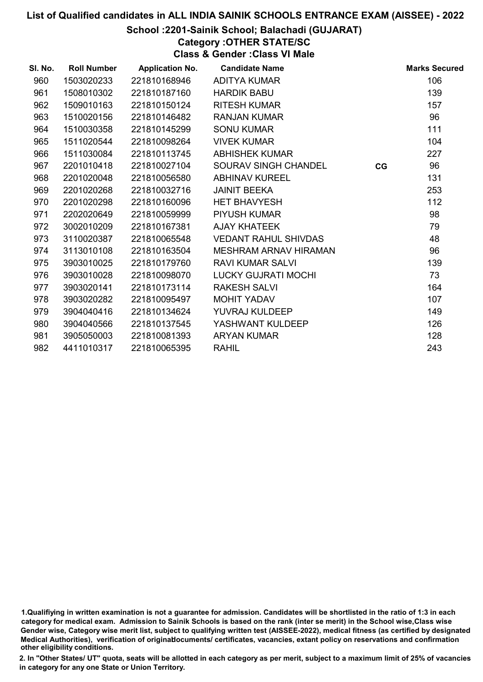# School :2201-Sainik School; Balachadi (GUJARAT)

Category :OTHER STATE/SC

Class & Gender :Class VI Male

| SI. No. | <b>Roll Number</b> | <b>Application No.</b> | <b>Candidate Name</b>        |    | <b>Marks Secured</b> |
|---------|--------------------|------------------------|------------------------------|----|----------------------|
| 960     | 1503020233         | 221810168946           | <b>ADITYA KUMAR</b>          |    | 106                  |
| 961     | 1508010302         | 221810187160           | <b>HARDIK BABU</b>           |    | 139                  |
| 962     | 1509010163         | 221810150124           | <b>RITESH KUMAR</b>          |    | 157                  |
| 963     | 1510020156         | 221810146482           | <b>RANJAN KUMAR</b>          |    | 96                   |
| 964     | 1510030358         | 221810145299           | <b>SONU KUMAR</b>            |    | 111                  |
| 965     | 1511020544         | 221810098264           | <b>VIVEK KUMAR</b>           |    | 104                  |
| 966     | 1511030084         | 221810113745           | <b>ABHISHEK KUMAR</b>        |    | 227                  |
| 967     | 2201010418         | 221810027104           | SOURAV SINGH CHANDEL         | CG | 96                   |
| 968     | 2201020048         | 221810056580           | <b>ABHINAV KUREEL</b>        |    | 131                  |
| 969     | 2201020268         | 221810032716           | <b>JAINIT BEEKA</b>          |    | 253                  |
| 970     | 2201020298         | 221810160096           | <b>HET BHAVYESH</b>          |    | 112                  |
| 971     | 2202020649         | 221810059999           | <b>PIYUSH KUMAR</b>          |    | 98                   |
| 972     | 3002010209         | 221810167381           | <b>AJAY KHATEEK</b>          |    | 79                   |
| 973     | 3110020387         | 221810065548           | <b>VEDANT RAHUL SHIVDAS</b>  |    | 48                   |
| 974     | 3113010108         | 221810163504           | <b>MESHRAM ARNAV HIRAMAN</b> |    | 96                   |
| 975     | 3903010025         | 221810179760           | <b>RAVI KUMAR SALVI</b>      |    | 139                  |
| 976     | 3903010028         | 221810098070           | <b>LUCKY GUJRATI MOCHI</b>   |    | 73                   |
| 977     | 3903020141         | 221810173114           | <b>RAKESH SALVI</b>          |    | 164                  |
| 978     | 3903020282         | 221810095497           | <b>MOHIT YADAV</b>           |    | 107                  |
| 979     | 3904040416         | 221810134624           | YUVRAJ KULDEEP               |    | 149                  |
| 980     | 3904040566         | 221810137545           | YASHWANT KULDEEP             |    | 126                  |
| 981     | 3905050003         | 221810081393           | <b>ARYAN KUMAR</b>           |    | 128                  |
| 982     | 4411010317         | 221810065395           | <b>RAHIL</b>                 |    | 243                  |

<sup>1.</sup>Qualifiying in written examination is not a guarantee for admission. Candidates will be shortlisted in the ratio of 1:3 in each category for medical exam. Admission to Sainik Schools is based on the rank (inter se merit) in the School wise,Class wise Gender wise, Category wise merit list, subject to qualifying written test (AISSEE-2022), medical fitness (as certified by designated Medical Authorities), verification of originablocuments/ certificates, vacancies, extant policy on reservations and confirmation other eligibility conditions.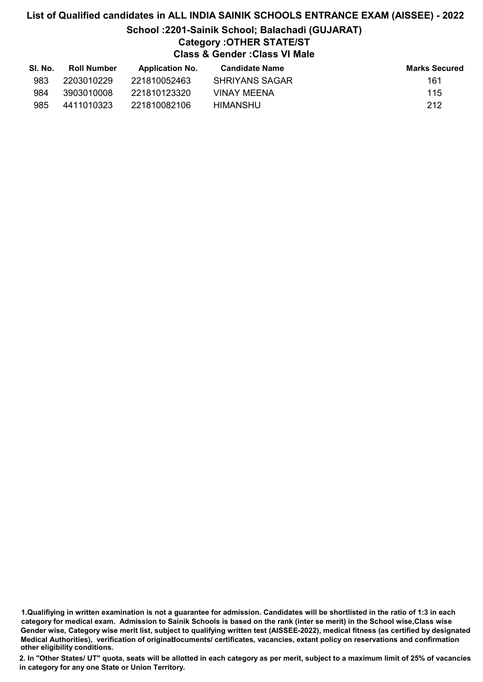# List of Qualified candidates in ALL INDIA SAINIK SCHOOLS ENTRANCE EXAM (AISSEE) - 2022 School :2201-Sainik School; Balachadi (GUJARAT) Category :OTHER STATE/ST Class & Gender :Class VI Male

| SI. No. | <b>Roll Number</b> | <b>Application No.</b> | <b>Candidate Name</b> | <b>Marks Secured</b> |
|---------|--------------------|------------------------|-----------------------|----------------------|
| 983     | 2203010229         | 221810052463           | <b>SHRIYANS SAGAR</b> | 161                  |
| 984     | 3903010008         | 221810123320           | VINAY MEENA           | 115                  |
| 985     | 4411010323         | 221810082106           | HIMANSHU              | 212                  |

1.Qualifiying in written examination is not a guarantee for admission. Candidates will be shortlisted in the ratio of 1:3 in each category for medical exam. Admission to Sainik Schools is based on the rank (inter se merit) in the School wise,Class wise Gender wise, Category wise merit list, subject to qualifying written test (AISSEE-2022), medical fitness (as certified by designated Medical Authorities), verification of originablocuments/ certificates, vacancies, extant policy on reservations and confirmation other eligibility conditions.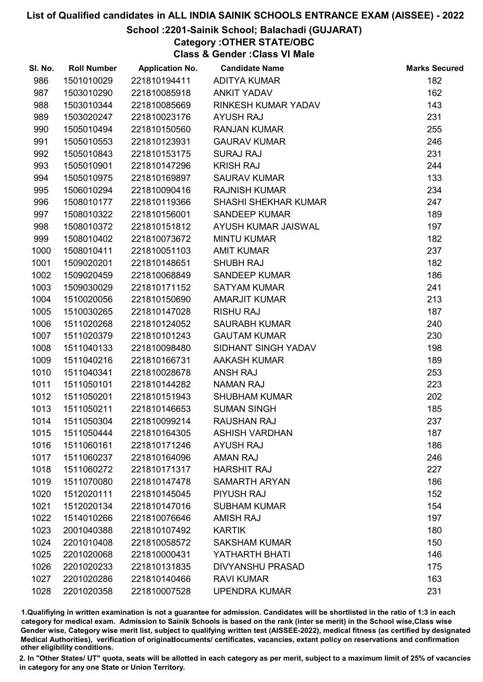# School :2201-Sainik School; Balachadi (GUJARAT)

Category :OTHER STATE/OBC

Class & Gender :Class VI Male

| SI. No. | <b>Roll Number</b> | <b>Application No.</b> | <b>Candidate Name</b>       | <b>Marks Secured</b> |
|---------|--------------------|------------------------|-----------------------------|----------------------|
| 986     | 1501010029         | 221810194411           | <b>ADITYA KUMAR</b>         | 182                  |
| 987     | 1503010290         | 221810085918           | <b>ANKIT YADAV</b>          | 162                  |
| 988     | 1503010344         | 221810085669           | RINKESH KUMAR YADAV         | 143                  |
| 989     | 1503020247         | 221810023176           | <b>AYUSH RAJ</b>            | 231                  |
| 990     | 1505010494         | 221810150560           | <b>RANJAN KUMAR</b>         | 255                  |
| 991     | 1505010553         | 221810123931           | <b>GAURAV KUMAR</b>         | 246                  |
| 992     | 1505010843         | 221810153175           | <b>SURAJ RAJ</b>            | 231                  |
| 993     | 1505010901         | 221810147296           | <b>KRISH RAJ</b>            | 244                  |
| 994     | 1505010975         | 221810169897           | <b>SAURAV KUMAR</b>         | 133                  |
| 995     | 1506010294         | 221810090416           | <b>RAJNISH KUMAR</b>        | 234                  |
| 996     | 1508010177         | 221810119366           | <b>SHASHI SHEKHAR KUMAR</b> | 247                  |
| 997     | 1508010322         | 221810156001           | <b>SANDEEP KUMAR</b>        | 189                  |
| 998     | 1508010372         | 221810151812           | AYUSH KUMAR JAISWAL         | 197                  |
| 999     | 1508010402         | 221810073672           | <b>MINTU KUMAR</b>          | 182                  |
| 1000    | 1508010411         | 221810051103           | <b>AMIT KUMAR</b>           | 237                  |
| 1001    | 1509020201         | 221810148651           | <b>SHUBH RAJ</b>            | 182                  |
| 1002    | 1509020459         | 221810068849           | <b>SANDEEP KUMAR</b>        | 186                  |
| 1003    | 1509030029         | 221810171152           | <b>SATYAM KUMAR</b>         | 241                  |
| 1004    | 1510020056         | 221810150690           | <b>AMARJIT KUMAR</b>        | 213                  |
| 1005    | 1510030265         | 221810147028           | <b>RISHU RAJ</b>            | 187                  |
| 1006    | 1511020268         | 221810124052           | <b>SAURABH KUMAR</b>        | 240                  |
| 1007    | 1511020379         | 221810101243           | <b>GAUTAM KUMAR</b>         | 230                  |
| 1008    | 1511040133         | 221810098480           | SIDHANT SINGH YADAV         | 198                  |
| 1009    | 1511040216         | 221810166731           | <b>AAKASH KUMAR</b>         | 189                  |
| 1010    | 1511040341         | 221810028678           | <b>ANSH RAJ</b>             | 253                  |
| 1011    | 1511050101         | 221810144282           | <b>NAMAN RAJ</b>            | 223                  |
| 1012    | 1511050201         | 221810151943           | <b>SHUBHAM KUMAR</b>        | 202                  |
| 1013    | 1511050211         | 221810146653           | <b>SUMAN SINGH</b>          | 185                  |
| 1014    | 1511050304         | 221810099214           | <b>RAUSHAN RAJ</b>          | 237                  |
| 1015    | 1511050444         | 221810164305           | <b>ASHISH VARDHAN</b>       | 187                  |
| 1016    | 1511060161         | 221810171246           | <b>AYUSH RAJ</b>            | 186                  |
| 1017    | 1511060237         | 221810164096           | <b>AMAN RAJ</b>             | 246                  |
| 1018    | 1511060272         | 221810171317           | <b>HARSHIT RAJ</b>          | 227                  |
| 1019    | 1511070080         | 221810147478           | <b>SAMARTH ARYAN</b>        | 186                  |
| 1020    | 1512020111         | 221810145045           | <b>PIYUSH RAJ</b>           | 152                  |
| 1021    | 1512020134         | 221810147016           | <b>SUBHAM KUMAR</b>         | 154                  |
| 1022    | 1514010266         | 221810076646           | <b>AMISH RAJ</b>            | 197                  |
| 1023    | 2001040388         | 221810107492           | <b>KARTIK</b>               | 180                  |
| 1024    | 2201010408         | 221810058572           | <b>SAKSHAM KUMAR</b>        | 150                  |
| 1025    | 2201020068         | 221810000431           | YATHARTH BHATI              | 146                  |
| 1026    | 2201020233         | 221810131835           | <b>DIVYANSHU PRASAD</b>     | 175                  |
| 1027    | 2201020286         | 221810140466           | <b>RAVI KUMAR</b>           | 163                  |
| 1028    | 2201020358         | 221810007528           | <b>UPENDRA KUMAR</b>        | 231                  |

1.Qualifiying in written examination is not a guarantee for admission. Candidates will be shortlisted in the ratio of 1:3 in each category for medical exam. Admission to Sainik Schools is based on the rank (inter se merit) in the School wise,Class wise Gender wise, Category wise merit list, subject to qualifying written test (AISSEE-2022), medical fitness (as certified by designated Medical Authorities), verification of originablocuments/ certificates, vacancies, extant policy on reservations and confirmation other eligibility conditions.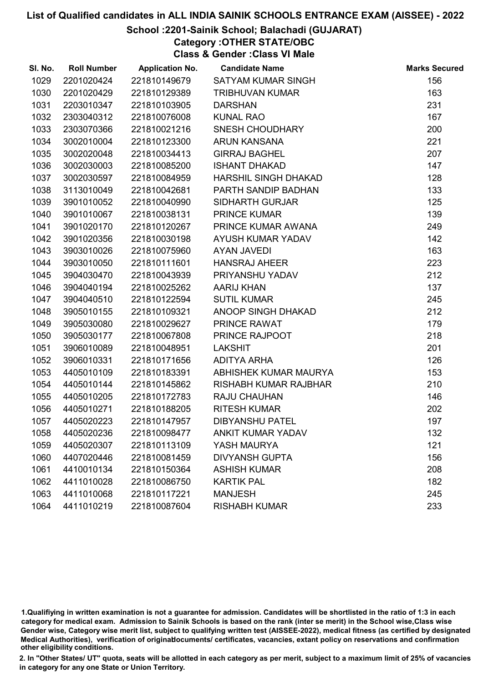# School :2201-Sainik School; Balachadi (GUJARAT)

Category :OTHER STATE/OBC

Class & Gender :Class VI Male

| SI. No. | <b>Roll Number</b> | <b>Application No.</b> | <b>Candidate Name</b>        | <b>Marks Secured</b> |
|---------|--------------------|------------------------|------------------------------|----------------------|
| 1029    | 2201020424         | 221810149679           | SATYAM KUMAR SINGH           | 156                  |
| 1030    | 2201020429         | 221810129389           | <b>TRIBHUVAN KUMAR</b>       | 163                  |
| 1031    | 2203010347         | 221810103905           | <b>DARSHAN</b>               | 231                  |
| 1032    | 2303040312         | 221810076008           | <b>KUNAL RAO</b>             | 167                  |
| 1033    | 2303070366         | 221810021216           | SNESH CHOUDHARY              | 200                  |
| 1034    | 3002010004         | 221810123300           | <b>ARUN KANSANA</b>          | 221                  |
| 1035    | 3002020048         | 221810034413           | <b>GIRRAJ BAGHEL</b>         | 207                  |
| 1036    | 3002030003         | 221810085200           | <b>ISHANT DHAKAD</b>         | 147                  |
| 1037    | 3002030597         | 221810084959           | HARSHIL SINGH DHAKAD         | 128                  |
| 1038    | 3113010049         | 221810042681           | PARTH SANDIP BADHAN          | 133                  |
| 1039    | 3901010052         | 221810040990           | <b>SIDHARTH GURJAR</b>       | 125                  |
| 1040    | 3901010067         | 221810038131           | <b>PRINCE KUMAR</b>          | 139                  |
| 1041    | 3901020170         | 221810120267           | PRINCE KUMAR AWANA           | 249                  |
| 1042    | 3901020356         | 221810030198           | AYUSH KUMAR YADAV            | 142                  |
| 1043    | 3903010026         | 221810075960           | <b>AYAN JAVEDI</b>           | 163                  |
| 1044    | 3903010050         | 221810111601           | <b>HANSRAJ AHEER</b>         | 223                  |
| 1045    | 3904030470         | 221810043939           | PRIYANSHU YADAV              | 212                  |
| 1046    | 3904040194         | 221810025262           | <b>AARIJ KHAN</b>            | 137                  |
| 1047    | 3904040510         | 221810122594           | <b>SUTIL KUMAR</b>           | 245                  |
| 1048    | 3905010155         | 221810109321           | ANOOP SINGH DHAKAD           | 212                  |
| 1049    | 3905030080         | 221810029627           | PRINCE RAWAT                 | 179                  |
| 1050    | 3905030177         | 221810067808           | PRINCE RAJPOOT               | 218                  |
| 1051    | 3906010089         | 221810048951           | <b>LAKSHIT</b>               | 201                  |
| 1052    | 3906010331         | 221810171656           | ADITYA ARHA                  | 126                  |
| 1053    | 4405010109         | 221810183391           | ABHISHEK KUMAR MAURYA        | 153                  |
| 1054    | 4405010144         | 221810145862           | <b>RISHABH KUMAR RAJBHAR</b> | 210                  |
| 1055    | 4405010205         | 221810172783           | RAJU CHAUHAN                 | 146                  |
| 1056    | 4405010271         | 221810188205           | <b>RITESH KUMAR</b>          | 202                  |
| 1057    | 4405020223         | 221810147957           | <b>DIBYANSHU PATEL</b>       | 197                  |
| 1058    | 4405020236         | 221810098477           | <b>ANKIT KUMAR YADAV</b>     | 132                  |
| 1059    | 4405020307         | 221810113109           | YASH MAURYA                  | 121                  |
| 1060    | 4407020446         | 221810081459           | <b>DIVYANSH GUPTA</b>        | 156                  |
| 1061    | 4410010134         | 221810150364           | <b>ASHISH KUMAR</b>          | 208                  |
| 1062    | 4411010028         | 221810086750           | <b>KARTIK PAL</b>            | 182                  |
| 1063    | 4411010068         | 221810117221           | <b>MANJESH</b>               | 245                  |
| 1064    | 4411010219         | 221810087604           | <b>RISHABH KUMAR</b>         | 233                  |

1.Qualifiying in written examination is not a guarantee for admission. Candidates will be shortlisted in the ratio of 1:3 in each category for medical exam. Admission to Sainik Schools is based on the rank (inter se merit) in the School wise,Class wise Gender wise, Category wise merit list, subject to qualifying written test (AISSEE-2022), medical fitness (as certified by designated Medical Authorities), verification of originablocuments/ certificates, vacancies, extant policy on reservations and confirmation other eligibility conditions.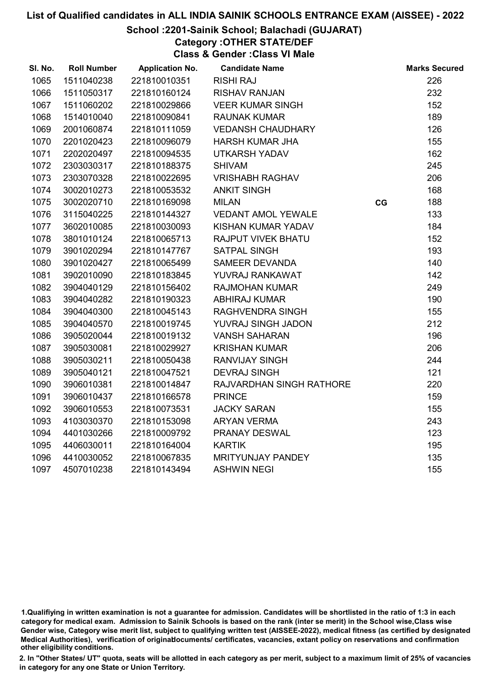#### School :2201-Sainik School; Balachadi (GUJARAT)

Category :OTHER STATE/DEF

Class & Gender :Class VI Male

| SI. No. | <b>Roll Number</b> | <b>Application No.</b> | <b>Candidate Name</b>     |    | <b>Marks Secured</b> |
|---------|--------------------|------------------------|---------------------------|----|----------------------|
| 1065    | 1511040238         | 221810010351           | <b>RISHI RAJ</b>          |    | 226                  |
| 1066    | 1511050317         | 221810160124           | <b>RISHAV RANJAN</b>      |    | 232                  |
| 1067    | 1511060202         | 221810029866           | <b>VEER KUMAR SINGH</b>   |    | 152                  |
| 1068    | 1514010040         | 221810090841           | <b>RAUNAK KUMAR</b>       |    | 189                  |
| 1069    | 2001060874         | 221810111059           | <b>VEDANSH CHAUDHARY</b>  |    | 126                  |
| 1070    | 2201020423         | 221810096079           | <b>HARSH KUMAR JHA</b>    |    | 155                  |
| 1071    | 2202020497         | 221810094535           | <b>UTKARSH YADAV</b>      |    | 162                  |
| 1072    | 2303030317         | 221810188375           | <b>SHIVAM</b>             |    | 245                  |
| 1073    | 2303070328         | 221810022695           | <b>VRISHABH RAGHAV</b>    |    | 206                  |
| 1074    | 3002010273         | 221810053532           | <b>ANKIT SINGH</b>        |    | 168                  |
| 1075    | 3002020710         | 221810169098           | <b>MILAN</b>              | CG | 188                  |
| 1076    | 3115040225         | 221810144327           | <b>VEDANT AMOL YEWALE</b> |    | 133                  |
| 1077    | 3602010085         | 221810030093           | KISHAN KUMAR YADAV        |    | 184                  |
| 1078    | 3801010124         | 221810065713           | <b>RAJPUT VIVEK BHATU</b> |    | 152                  |
| 1079    | 3901020294         | 221810147767           | <b>SATPAL SINGH</b>       |    | 193                  |
| 1080    | 3901020427         | 221810065499           | SAMEER DEVANDA            |    | 140                  |
| 1081    | 3902010090         | 221810183845           | YUVRAJ RANKAWAT           |    | 142                  |
| 1082    | 3904040129         | 221810156402           | <b>RAJMOHAN KUMAR</b>     |    | 249                  |
| 1083    | 3904040282         | 221810190323           | <b>ABHIRAJ KUMAR</b>      |    | 190                  |
| 1084    | 3904040300         | 221810045143           | RAGHVENDRA SINGH          |    | 155                  |
| 1085    | 3904040570         | 221810019745           | YUVRAJ SINGH JADON        |    | 212                  |
| 1086    | 3905020044         | 221810019132           | <b>VANSH SAHARAN</b>      |    | 196                  |
| 1087    | 3905030081         | 221810029927           | <b>KRISHAN KUMAR</b>      |    | 206                  |
| 1088    | 3905030211         | 221810050438           | <b>RANVIJAY SINGH</b>     |    | 244                  |
| 1089    | 3905040121         | 221810047521           | <b>DEVRAJ SINGH</b>       |    | 121                  |
| 1090    | 3906010381         | 221810014847           | RAJVARDHAN SINGH RATHORE  |    | 220                  |
| 1091    | 3906010437         | 221810166578           | <b>PRINCE</b>             |    | 159                  |
| 1092    | 3906010553         | 221810073531           | <b>JACKY SARAN</b>        |    | 155                  |
| 1093    | 4103030370         | 221810153098           | <b>ARYAN VERMA</b>        |    | 243                  |
| 1094    | 4401030266         | 221810009792           | PRANAY DESWAL             |    | 123                  |
| 1095    | 4406030011         | 221810164004           | <b>KARTIK</b>             |    | 195                  |
| 1096    | 4410030052         | 221810067835           | MRITYUNJAY PANDEY         |    | 135                  |
| 1097    | 4507010238         | 221810143494           | <b>ASHWIN NEGI</b>        |    | 155                  |

<sup>1.</sup>Qualifiying in written examination is not a guarantee for admission. Candidates will be shortlisted in the ratio of 1:3 in each category for medical exam. Admission to Sainik Schools is based on the rank (inter se merit) in the School wise,Class wise Gender wise, Category wise merit list, subject to qualifying written test (AISSEE-2022), medical fitness (as certified by designated Medical Authorities), verification of originablocuments/ certificates, vacancies, extant policy on reservations and confirmation other eligibility conditions.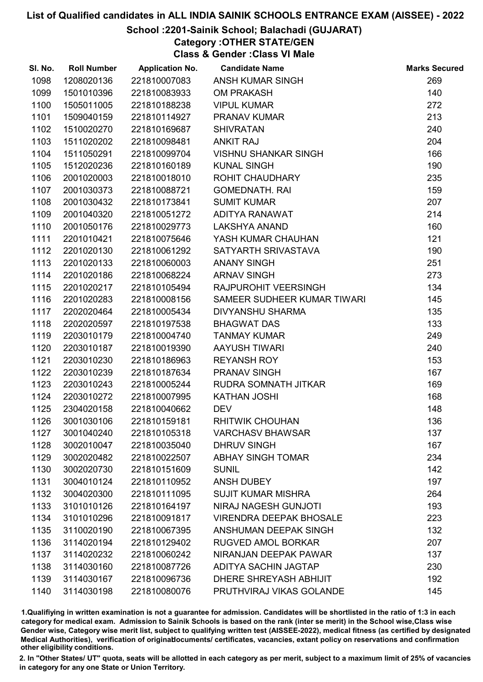# School :2201-Sainik School; Balachadi (GUJARAT)

Category :OTHER STATE/GEN

Class & Gender :Class VI Male

| SI. No. | <b>Roll Number</b> | <b>Application No.</b> | <b>Candidate Name</b>          | <b>Marks Secured</b> |
|---------|--------------------|------------------------|--------------------------------|----------------------|
| 1098    | 1208020136         | 221810007083           | <b>ANSH KUMAR SINGH</b>        | 269                  |
| 1099    | 1501010396         | 221810083933           | <b>OM PRAKASH</b>              | 140                  |
| 1100    | 1505011005         | 221810188238           | <b>VIPUL KUMAR</b>             | 272                  |
| 1101    | 1509040159         | 221810114927           | PRANAV KUMAR                   | 213                  |
| 1102    | 1510020270         | 221810169687           | <b>SHIVRATAN</b>               | 240                  |
| 1103    | 1511020202         | 221810098481           | <b>ANKIT RAJ</b>               | 204                  |
| 1104    | 1511050291         | 221810099704           | <b>VISHNU SHANKAR SINGH</b>    | 166                  |
| 1105    | 1512020236         | 221810160189           | <b>KUNAL SINGH</b>             | 190                  |
| 1106    | 2001020003         | 221810018010           | ROHIT CHAUDHARY                | 235                  |
| 1107    | 2001030373         | 221810088721           | <b>GOMEDNATH. RAI</b>          | 159                  |
| 1108    | 2001030432         | 221810173841           | <b>SUMIT KUMAR</b>             | 207                  |
| 1109    | 2001040320         | 221810051272           | ADITYA RANAWAT                 | 214                  |
| 1110    | 2001050176         | 221810029773           | <b>LAKSHYA ANAND</b>           | 160                  |
| 1111    | 2201010421         | 221810075646           | YASH KUMAR CHAUHAN             | 121                  |
| 1112    | 2201020130         | 221810061292           | SATYARTH SRIVASTAVA            | 190                  |
| 1113    | 2201020133         | 221810060003           | <b>ANANY SINGH</b>             | 251                  |
| 1114    | 2201020186         | 221810068224           | <b>ARNAV SINGH</b>             | 273                  |
| 1115    | 2201020217         | 221810105494           | RAJPUROHIT VEERSINGH           | 134                  |
| 1116    | 2201020283         | 221810008156           | SAMEER SUDHEER KUMAR TIWARI    | 145                  |
| 1117    | 2202020464         | 221810005434           | <b>DIVYANSHU SHARMA</b>        | 135                  |
| 1118    | 2202020597         | 221810197538           | <b>BHAGWAT DAS</b>             | 133                  |
| 1119    | 2203010179         | 221810004740           | <b>TANMAY KUMAR</b>            | 249                  |
| 1120    | 2203010187         | 221810019390           | <b>AAYUSH TIWARI</b>           | 240                  |
| 1121    | 2203010230         | 221810186963           | <b>REYANSH ROY</b>             | 153                  |
| 1122    | 2203010239         | 221810187634           | <b>PRANAV SINGH</b>            | 167                  |
| 1123    | 2203010243         | 221810005244           | RUDRA SOMNATH JITKAR           | 169                  |
| 1124    | 2203010272         | 221810007995           | <b>KATHAN JOSHI</b>            | 168                  |
| 1125    | 2304020158         | 221810040662           | <b>DEV</b>                     | 148                  |
| 1126    | 3001030106         | 221810159181           | <b>RHITWIK CHOUHAN</b>         | 136                  |
| 1127    | 3001040240         | 221810105318           | <b>VARCHASV BHAWSAR</b>        | 137                  |
| 1128    | 3002010047         | 221810035040           | <b>DHRUV SINGH</b>             | 167                  |
| 1129    | 3002020482         | 221810022507           | <b>ABHAY SINGH TOMAR</b>       | 234                  |
| 1130    | 3002020730         | 221810151609           | <b>SUNIL</b>                   | 142                  |
| 1131    | 3004010124         | 221810110952           | <b>ANSH DUBEY</b>              | 197                  |
| 1132    | 3004020300         | 221810111095           | <b>SUJIT KUMAR MISHRA</b>      | 264                  |
| 1133    | 3101010126         | 221810164197           | NIRAJ NAGESH GUNJOTI           | 193                  |
| 1134    | 3101010296         | 221810091817           | <b>VIRENDRA DEEPAK BHOSALE</b> | 223                  |
| 1135    | 3110020190         | 221810067395           | ANSHUMAN DEEPAK SINGH          | 132                  |
| 1136    | 3114020194         | 221810129402           | <b>RUGVED AMOL BORKAR</b>      | 207                  |
| 1137    | 3114020232         | 221810060242           | NIRANJAN DEEPAK PAWAR          | 137                  |
| 1138    | 3114030160         | 221810087726           | ADITYA SACHIN JAGTAP           | 230                  |
| 1139    | 3114030167         | 221810096736           | DHERE SHREYASH ABHIJIT         | 192                  |
| 1140    | 3114030198         | 221810080076           | PRUTHVIRAJ VIKAS GOLANDE       | 145                  |

1.Qualifiying in written examination is not a guarantee for admission. Candidates will be shortlisted in the ratio of 1:3 in each category for medical exam. Admission to Sainik Schools is based on the rank (inter se merit) in the School wise,Class wise Gender wise, Category wise merit list, subject to qualifying written test (AISSEE-2022), medical fitness (as certified by designated Medical Authorities), verification of originablocuments/ certificates, vacancies, extant policy on reservations and confirmation other eligibility conditions.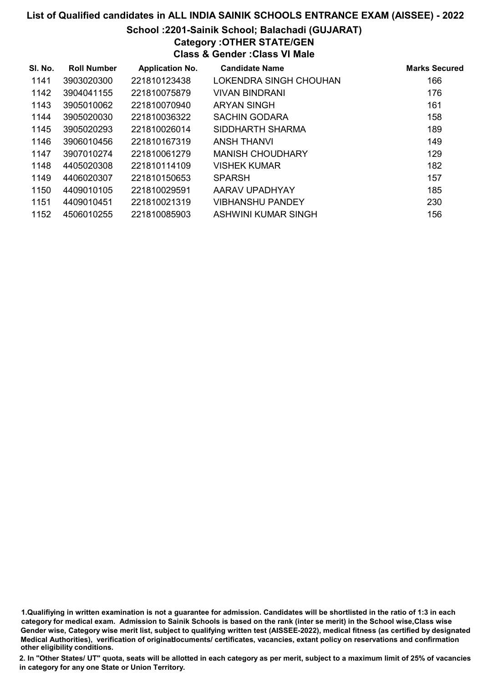# List of Qualified candidates in ALL INDIA SAINIK SCHOOLS ENTRANCE EXAM (AISSEE) - 2022 School :2201-Sainik School; Balachadi (GUJARAT)

# Category :OTHER STATE/GEN

Class & Gender :Class VI Male

| SI. No. | <b>Roll Number</b> | <b>Application No.</b> | <b>Candidate Name</b>   | <b>Marks Secured</b> |
|---------|--------------------|------------------------|-------------------------|----------------------|
| 1141    | 3903020300         | 221810123438           | LOKENDRA SINGH CHOUHAN  | 166                  |
| 1142    | 3904041155         | 221810075879           | <b>VIVAN BINDRANI</b>   | 176                  |
| 1143    | 3905010062         | 221810070940           | <b>ARYAN SINGH</b>      | 161                  |
| 1144    | 3905020030         | 221810036322           | <b>SACHIN GODARA</b>    | 158                  |
| 1145    | 3905020293         | 221810026014           | SIDDHARTH SHARMA        | 189                  |
| 1146    | 3906010456         | 221810167319           | ANSH THANVI             | 149                  |
| 1147    | 3907010274         | 221810061279           | <b>MANISH CHOUDHARY</b> | 129                  |
| 1148    | 4405020308         | 221810114109           | <b>VISHEK KUMAR</b>     | 182                  |
| 1149    | 4406020307         | 221810150653           | <b>SPARSH</b>           | 157                  |
| 1150    | 4409010105         | 221810029591           | AARAV UPADHYAY          | 185                  |
| 1151    | 4409010451         | 221810021319           | <b>VIBHANSHU PANDEY</b> | 230                  |
| 1152    | 4506010255         | 221810085903           | ASHWINI KUMAR SINGH     | 156                  |

1.Qualifiying in written examination is not a guarantee for admission. Candidates will be shortlisted in the ratio of 1:3 in each category for medical exam. Admission to Sainik Schools is based on the rank (inter se merit) in the School wise,Class wise Gender wise, Category wise merit list, subject to qualifying written test (AISSEE-2022), medical fitness (as certified by designated Medical Authorities), verification of originablocuments/ certificates, vacancies, extant policy on reservations and confirmation other eligibility conditions.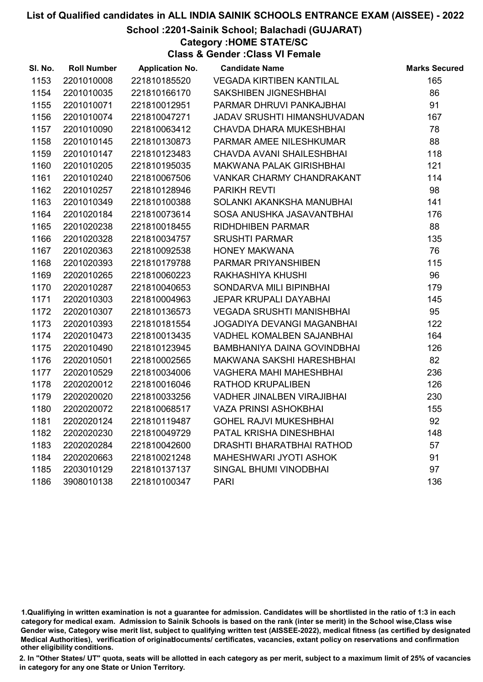# School :2201-Sainik School; Balachadi (GUJARAT)

Category :HOME STATE/SC

Class & Gender :Class VI Female

| SI. No. | <b>Roll Number</b> | <b>Application No.</b> | <b>Candidate Name</b>             | <b>Marks Secured</b> |
|---------|--------------------|------------------------|-----------------------------------|----------------------|
| 1153    | 2201010008         | 221810185520           | <b>VEGADA KIRTIBEN KANTILAL</b>   | 165                  |
| 1154    | 2201010035         | 221810166170           | <b>SAKSHIBEN JIGNESHBHAI</b>      | 86                   |
| 1155    | 2201010071         | 221810012951           | PARMAR DHRUVI PANKAJBHAI          | 91                   |
| 1156    | 2201010074         | 221810047271           | JADAV SRUSHTI HIMANSHUVADAN       | 167                  |
| 1157    | 2201010090         | 221810063412           | <b>CHAVDA DHARA MUKESHBHAI</b>    | 78                   |
| 1158    | 2201010145         | 221810130873           | PARMAR AMEE NILESHKUMAR           | 88                   |
| 1159    | 2201010147         | 221810123483           | CHAVDA AVANI SHAILESHBHAI         | 118                  |
| 1160    | 2201010205         | 221810195035           | <b>MAKWANA PALAK GIRISHBHAI</b>   | 121                  |
| 1161    | 2201010240         | 221810067506           | VANKAR CHARMY CHANDRAKANT         | 114                  |
| 1162    | 2201010257         | 221810128946           | <b>PARIKH REVTI</b>               | 98                   |
| 1163    | 2201010349         | 221810100388           | SOLANKI AKANKSHA MANUBHAI         | 141                  |
| 1164    | 2201020184         | 221810073614           | SOSA ANUSHKA JASAVANTBHAI         | 176                  |
| 1165    | 2201020238         | 221810018455           | <b>RIDHDHIBEN PARMAR</b>          | 88                   |
| 1166    | 2201020328         | 221810034757           | <b>SRUSHTI PARMAR</b>             | 135                  |
| 1167    | 2201020363         | 221810092538           | <b>HONEY MAKWANA</b>              | 76                   |
| 1168    | 2201020393         | 221810179788           | PARMAR PRIYANSHIBEN               | 115                  |
| 1169    | 2202010265         | 221810060223           | RAKHASHIYA KHUSHI                 | 96                   |
| 1170    | 2202010287         | 221810040653           | SONDARVA MILI BIPINBHAI           | 179                  |
| 1171    | 2202010303         | 221810004963           | <b>JEPAR KRUPALI DAYABHAI</b>     | 145                  |
| 1172    | 2202010307         | 221810136573           | <b>VEGADA SRUSHTI MANISHBHAI</b>  | 95                   |
| 1173    | 2202010393         | 221810181554           | <b>JOGADIYA DEVANGI MAGANBHAI</b> | 122                  |
| 1174    | 2202010473         | 221810013435           | <b>VADHEL KOMALBEN SAJANBHAI</b>  | 164                  |
| 1175    | 2202010490         | 221810123945           | BAMBHANIYA DAINA GOVINDBHAI       | 126                  |
| 1176    | 2202010501         | 221810002565           | MAKWANA SAKSHI HARESHBHAI         | 82                   |
| 1177    | 2202010529         | 221810034006           | <b>VAGHERA MAHI MAHESHBHAI</b>    | 236                  |
| 1178    | 2202020012         | 221810016046           | <b>RATHOD KRUPALIBEN</b>          | 126                  |
| 1179    | 2202020020         | 221810033256           | <b>VADHER JINALBEN VIRAJIBHAI</b> | 230                  |
| 1180    | 2202020072         | 221810068517           | <b>VAZA PRINSI ASHOKBHAI</b>      | 155                  |
| 1181    | 2202020124         | 221810119487           | <b>GOHEL RAJVI MUKESHBHAI</b>     | 92                   |
| 1182    | 2202020230         | 221810049729           | PATAL KRISHA DINESHBHAI           | 148                  |
| 1183    | 2202020284         | 221810042600           | DRASHTI BHARATBHAI RATHOD         | 57                   |
| 1184    | 2202020663         | 221810021248           | <b>MAHESHWARI JYOTI ASHOK</b>     | 91                   |
| 1185    | 2203010129         | 221810137137           | SINGAL BHUMI VINODBHAI            | 97                   |
| 1186    | 3908010138         | 221810100347           | <b>PARI</b>                       | 136                  |

<sup>1.</sup>Qualifiying in written examination is not a guarantee for admission. Candidates will be shortlisted in the ratio of 1:3 in each category for medical exam. Admission to Sainik Schools is based on the rank (inter se merit) in the School wise,Class wise Gender wise, Category wise merit list, subject to qualifying written test (AISSEE-2022), medical fitness (as certified by designated Medical Authorities), verification of originablocuments/ certificates, vacancies, extant policy on reservations and confirmation other eligibility conditions.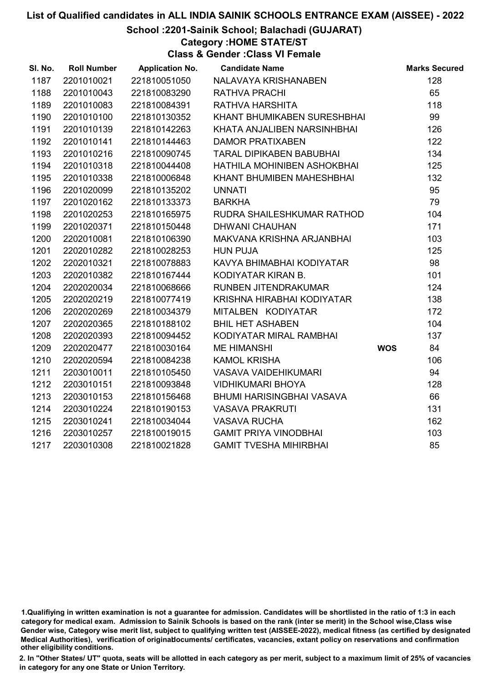# School :2201-Sainik School; Balachadi (GUJARAT)

Category :HOME STATE/ST

Class & Gender :Class VI Female

| SI. No. | <b>Roll Number</b> | <b>Application No.</b> | <b>Candidate Name</b>            |            | <b>Marks Secured</b> |
|---------|--------------------|------------------------|----------------------------------|------------|----------------------|
| 1187    | 2201010021         | 221810051050           | NALAVAYA KRISHANABEN             |            | 128                  |
| 1188    | 2201010043         | 221810083290           | <b>RATHVA PRACHI</b>             |            | 65                   |
| 1189    | 2201010083         | 221810084391           | RATHVA HARSHITA                  |            | 118                  |
| 1190    | 2201010100         | 221810130352           | KHANT BHUMIKABEN SURESHBHAI      |            | 99                   |
| 1191    | 2201010139         | 221810142263           | KHATA ANJALIBEN NARSINHBHAI      |            | 126                  |
| 1192    | 2201010141         | 221810144463           | <b>DAMOR PRATIXABEN</b>          |            | 122                  |
| 1193    | 2201010216         | 221810090745           | <b>TARAL DIPIKABEN BABUBHAI</b>  |            | 134                  |
| 1194    | 2201010318         | 221810044408           | HATHILA MOHINIBEN ASHOKBHAI      |            | 125                  |
| 1195    | 2201010338         | 221810006848           | KHANT BHUMIBEN MAHESHBHAI        |            | 132                  |
| 1196    | 2201020099         | 221810135202           | <b>UNNATI</b>                    |            | 95                   |
| 1197    | 2201020162         | 221810133373           | <b>BARKHA</b>                    |            | 79                   |
| 1198    | 2201020253         | 221810165975           | RUDRA SHAILESHKUMAR RATHOD       |            | 104                  |
| 1199    | 2201020371         | 221810150448           | <b>DHWANI CHAUHAN</b>            |            | 171                  |
| 1200    | 2202010081         | 221810106390           | MAKVANA KRISHNA ARJANBHAI        |            | 103                  |
| 1201    | 2202010282         | 221810028253           | <b>HUN PUJA</b>                  |            | 125                  |
| 1202    | 2202010321         | 221810078883           | KAVYA BHIMABHAI KODIYATAR        |            | 98                   |
| 1203    | 2202010382         | 221810167444           | KODIYATAR KIRAN B.               |            | 101                  |
| 1204    | 2202020034         | 221810068666           | RUNBEN JITENDRAKUMAR             |            | 124                  |
| 1205    | 2202020219         | 221810077419           | KRISHNA HIRABHAI KODIYATAR       |            | 138                  |
| 1206    | 2202020269         | 221810034379           | MITALBEN KODIYATAR               |            | 172                  |
| 1207    | 2202020365         | 221810188102           | <b>BHIL HET ASHABEN</b>          |            | 104                  |
| 1208    | 2202020393         | 221810094452           | KODIYATAR MIRAL RAMBHAI          |            | 137                  |
| 1209    | 2202020477         | 221810030164           | <b>ME HIMANSHI</b>               | <b>WOS</b> | 84                   |
| 1210    | 2202020594         | 221810084238           | <b>KAMOL KRISHA</b>              |            | 106                  |
| 1211    | 2203010011         | 221810105450           | <b>VASAVA VAIDEHIKUMARI</b>      |            | 94                   |
| 1212    | 2203010151         | 221810093848           | <b>VIDHIKUMARI BHOYA</b>         |            | 128                  |
| 1213    | 2203010153         | 221810156468           | <b>BHUMI HARISINGBHAI VASAVA</b> |            | 66                   |
| 1214    | 2203010224         | 221810190153           | <b>VASAVA PRAKRUTI</b>           |            | 131                  |
| 1215    | 2203010241         | 221810034044           | <b>VASAVA RUCHA</b>              |            | 162                  |
| 1216    | 2203010257         | 221810019015           | <b>GAMIT PRIYA VINODBHAI</b>     |            | 103                  |
| 1217    | 2203010308         | 221810021828           | <b>GAMIT TVESHA MIHIRBHAI</b>    |            | 85                   |

<sup>1.</sup>Qualifiying in written examination is not a guarantee for admission. Candidates will be shortlisted in the ratio of 1:3 in each category for medical exam. Admission to Sainik Schools is based on the rank (inter se merit) in the School wise,Class wise Gender wise, Category wise merit list, subject to qualifying written test (AISSEE-2022), medical fitness (as certified by designated Medical Authorities), verification of originablocuments/ certificates, vacancies, extant policy on reservations and confirmation other eligibility conditions.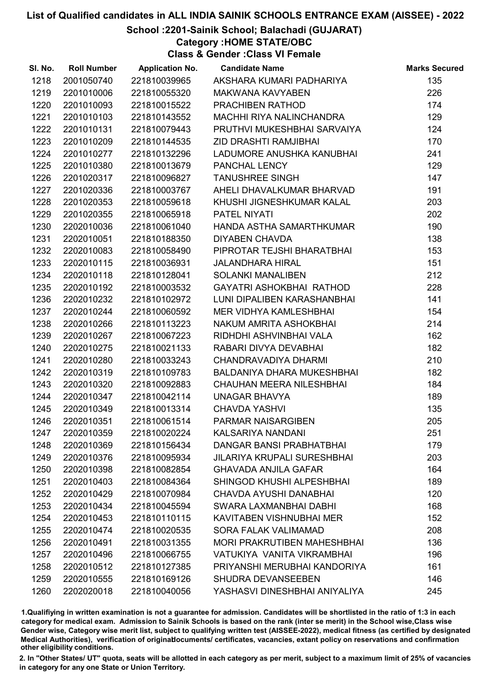# School :2201-Sainik School; Balachadi (GUJARAT)

Category :HOME STATE/OBC

Class & Gender :Class VI Female

| SI. No. | <b>Roll Number</b> | <b>Application No.</b> | <b>Candidate Name</b>              | <b>Marks Secured</b> |
|---------|--------------------|------------------------|------------------------------------|----------------------|
| 1218    | 2001050740         | 221810039965           | AKSHARA KUMARI PADHARIYA           | 135                  |
| 1219    | 2201010006         | 221810055320           | <b>MAKWANA KAVYABEN</b>            | 226                  |
| 1220    | 2201010093         | 221810015522           | PRACHIBEN RATHOD                   | 174                  |
| 1221    | 2201010103         | 221810143552           | MACHHI RIYA NALINCHANDRA           | 129                  |
| 1222    | 2201010131         | 221810079443           | PRUTHVI MUKESHBHAI SARVAIYA        | 124                  |
| 1223    | 2201010209         | 221810144535           | <b>ZID DRASHTI RAMJIBHAI</b>       | 170                  |
| 1224    | 2201010277         | 221810132296           | LADUMORE ANUSHKA KANUBHAI          | 241                  |
| 1225    | 2201010380         | 221810013679           | PANCHAL LENCY                      | 129                  |
| 1226    | 2201020317         | 221810096827           | <b>TANUSHREE SINGH</b>             | 147                  |
| 1227    | 2201020336         | 221810003767           | AHELI DHAVALKUMAR BHARVAD          | 191                  |
| 1228    | 2201020353         | 221810059618           | KHUSHI JIGNESHKUMAR KALAL          | 203                  |
| 1229    | 2201020355         | 221810065918           | PATEL NIYATI                       | 202                  |
| 1230    | 2202010036         | 221810061040           | HANDA ASTHA SAMARTHKUMAR           | 190                  |
| 1231    | 2202010051         | 221810188350           | <b>DIYABEN CHAVDA</b>              | 138                  |
| 1232    | 2202010083         | 221810058490           | PIPROTAR TEJSHI BHARATBHAI         | 153                  |
| 1233    | 2202010115         | 221810036931           | <b>JALANDHARA HIRAL</b>            | 151                  |
| 1234    | 2202010118         | 221810128041           | <b>SOLANKI MANALIBEN</b>           | 212                  |
| 1235    | 2202010192         | 221810003532           | GAYATRI ASHOKBHAI RATHOD           | 228                  |
| 1236    | 2202010232         | 221810102972           | LUNI DIPALIBEN KARASHANBHAI        | 141                  |
| 1237    | 2202010244         | 221810060592           | <b>MER VIDHYA KAMLESHBHAI</b>      | 154                  |
| 1238    | 2202010266         | 221810113223           | NAKUM AMRITA ASHOKBHAI             | 214                  |
| 1239    | 2202010267         | 221810067223           | RIDHDHI ASHVINBHAI VALA            | 162                  |
| 1240    | 2202010275         | 221810021133           | RABARI DIVYA DEVABHAI              | 182                  |
| 1241    | 2202010280         | 221810033243           | CHANDRAVADIYA DHARMI               | 210                  |
| 1242    | 2202010319         | 221810109783           | <b>BALDANIYA DHARA MUKESHBHAI</b>  | 182                  |
| 1243    | 2202010320         | 221810092883           | <b>CHAUHAN MEERA NILESHBHAI</b>    | 184                  |
| 1244    | 2202010347         | 221810042114           | UNAGAR BHAVYA                      | 189                  |
| 1245    | 2202010349         | 221810013314           | <b>CHAVDA YASHVI</b>               | 135                  |
| 1246    | 2202010351         | 221810061514           | <b>PARMAR NAISARGIBEN</b>          | 205                  |
| 1247    | 2202010359         | 221810020224           | <b>KALSARIYA NANDANI</b>           | 251                  |
| 1248    | 2202010369         | 221810156434           | DANGAR BANSI PRABHATBHAI           | 179                  |
| 1249    | 2202010376         | 221810095934           | <b>JILARIYA KRUPALI SURESHBHAI</b> | 203                  |
| 1250    | 2202010398         | 221810082854           | <b>GHAVADA ANJILA GAFAR</b>        | 164                  |
| 1251    | 2202010403         | 221810084364           | SHINGOD KHUSHI ALPESHBHAI          | 189                  |
| 1252    | 2202010429         | 221810070984           | CHAVDA AYUSHI DANABHAI             | 120                  |
| 1253    | 2202010434         | 221810045594           | <b>SWARA LAXMANBHAI DABHI</b>      | 168                  |
| 1254    | 2202010453         | 221810110115           | KAVITABEN VISHNUBHAI MER           | 152                  |
| 1255    | 2202010474         | 221810020535           | <b>SORA FALAK VALIMAMAD</b>        | 208                  |
| 1256    | 2202010491         | 221810031355           | <b>MORI PRAKRUTIBEN MAHESHBHAI</b> | 136                  |
| 1257    | 2202010496         | 221810066755           | VATUKIYA VANITA VIKRAMBHAI         | 196                  |
| 1258    | 2202010512         | 221810127385           | PRIYANSHI MERUBHAI KANDORIYA       | 161                  |
| 1259    | 2202010555         | 221810169126           | SHUDRA DEVANSEEBEN                 | 146                  |
| 1260    | 2202020018         | 221810040056           | YASHASVI DINESHBHAI ANIYALIYA      | 245                  |

1.Qualifiying in written examination is not a guarantee for admission. Candidates will be shortlisted in the ratio of 1:3 in each category for medical exam. Admission to Sainik Schools is based on the rank (inter se merit) in the School wise,Class wise Gender wise, Category wise merit list, subject to qualifying written test (AISSEE-2022), medical fitness (as certified by designated Medical Authorities), verification of originablocuments/ certificates, vacancies, extant policy on reservations and confirmation other eligibility conditions.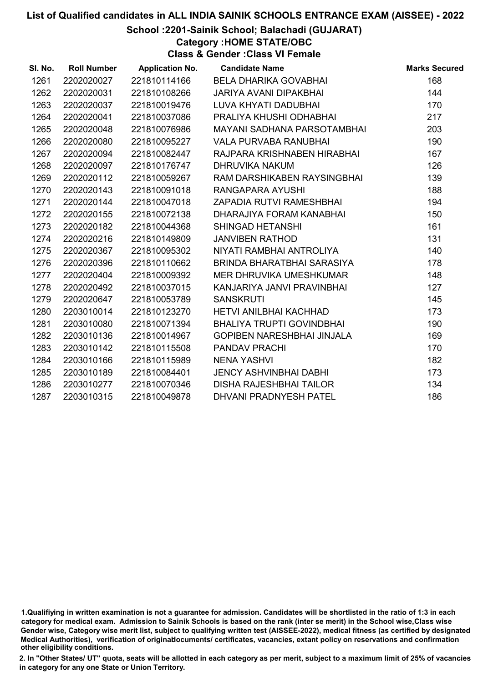School :2201-Sainik School; Balachadi (GUJARAT)

Category :HOME STATE/OBC

Class & Gender :Class VI Female

| SI. No. | <b>Roll Number</b> | <b>Application No.</b> | <b>Candidate Name</b>             | <b>Marks Secured</b> |
|---------|--------------------|------------------------|-----------------------------------|----------------------|
| 1261    | 2202020027         | 221810114166           | BELA DHARIKA GOVABHAI             | 168                  |
| 1262    | 2202020031         | 221810108266           | <b>JARIYA AVANI DIPAKBHAI</b>     | 144                  |
| 1263    | 2202020037         | 221810019476           | LUVA KHYATI DADUBHAI              | 170                  |
| 1264    | 2202020041         | 221810037086           | PRALIYA KHUSHI ODHABHAI           | 217                  |
| 1265    | 2202020048         | 221810076986           | MAYANI SADHANA PARSOTAMBHAI       | 203                  |
| 1266    | 2202020080         | 221810095227           | <b>VALA PURVABA RANUBHAI</b>      | 190                  |
| 1267    | 2202020094         | 221810082447           | RAJPARA KRISHNABEN HIRABHAI       | 167                  |
| 1268    | 2202020097         | 221810176747           | DHRUVIKA NAKUM                    | 126                  |
| 1269    | 2202020112         | 221810059267           | RAM DARSHIKABEN RAYSINGBHAI       | 139                  |
| 1270    | 2202020143         | 221810091018           | RANGAPARA AYUSHI                  | 188                  |
| 1271    | 2202020144         | 221810047018           | ZAPADIA RUTVI RAMESHBHAI          | 194                  |
| 1272    | 2202020155         | 221810072138           | DHARAJIYA FORAM KANABHAI          | 150                  |
| 1273    | 2202020182         | 221810044368           | <b>SHINGAD HETANSHI</b>           | 161                  |
| 1274    | 2202020216         | 221810149809           | <b>JANVIBEN RATHOD</b>            | 131                  |
| 1275    | 2202020367         | 221810095302           | NIYATI RAMBHAI ANTROLIYA          | 140                  |
| 1276    | 2202020396         | 221810110662           | BRINDA BHARATBHAI SARASIYA        | 178                  |
| 1277    | 2202020404         | 221810009392           | MER DHRUVIKA UMESHKUMAR           | 148                  |
| 1278    | 2202020492         | 221810037015           | KANJARIYA JANVI PRAVINBHAI        | 127                  |
| 1279    | 2202020647         | 221810053789           | <b>SANSKRUTI</b>                  | 145                  |
| 1280    | 2203010014         | 221810123270           | <b>HETVI ANILBHAI KACHHAD</b>     | 173                  |
| 1281    | 2203010080         | 221810071394           | BHALIYA TRUPTI GOVINDBHAI         | 190                  |
| 1282    | 2203010136         | 221810014967           | <b>GOPIBEN NARESHBHAI JINJALA</b> | 169                  |
| 1283    | 2203010142         | 221810115508           | <b>PANDAV PRACHI</b>              | 170                  |
| 1284    | 2203010166         | 221810115989           | <b>NENA YASHVI</b>                | 182                  |
| 1285    | 2203010189         | 221810084401           | <b>JENCY ASHVINBHAI DABHI</b>     | 173                  |
| 1286    | 2203010277         | 221810070346           | <b>DISHA RAJESHBHAI TAILOR</b>    | 134                  |
| 1287    | 2203010315         | 221810049878           | <b>DHVANI PRADNYESH PATEL</b>     | 186                  |

<sup>1.</sup>Qualifiying in written examination is not a guarantee for admission. Candidates will be shortlisted in the ratio of 1:3 in each category for medical exam. Admission to Sainik Schools is based on the rank (inter se merit) in the School wise,Class wise Gender wise, Category wise merit list, subject to qualifying written test (AISSEE-2022), medical fitness (as certified by designated Medical Authorities), verification of originablocuments/ certificates, vacancies, extant policy on reservations and confirmation other eligibility conditions.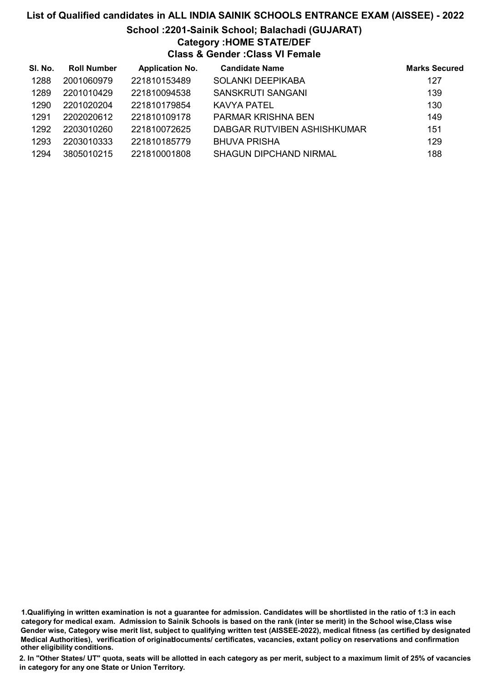# School :2201-Sainik School; Balachadi (GUJARAT)

# Category :HOME STATE/DEF

Class & Gender :Class VI Female

| SI. No. | <b>Roll Number</b> | <b>Application No.</b> | <b>Candidate Name</b>         | <b>Marks Secured</b> |
|---------|--------------------|------------------------|-------------------------------|----------------------|
| 1288    | 2001060979         | 221810153489           | <b>SOLANKI DEEPIKABA</b>      | 127                  |
| 1289    | 2201010429         | 221810094538           | <b>SANSKRUTI SANGANI</b>      | 139                  |
| 1290    | 2201020204         | 221810179854           | KAVYA PATEL                   | 130                  |
| 1291    | 2202020612         | 221810109178           | PARMAR KRISHNA BEN            | 149                  |
| 1292    | 2203010260         | 221810072625           | DABGAR RUTVIBEN ASHISHKUMAR   | 151                  |
| 1293    | 2203010333         | 221810185779           | <b>BHUVA PRISHA</b>           | 129                  |
| 1294    | 3805010215         | 221810001808           | <b>SHAGUN DIPCHAND NIRMAL</b> | 188                  |

1.Qualifiying in written examination is not a guarantee for admission. Candidates will be shortlisted in the ratio of 1:3 in each category for medical exam. Admission to Sainik Schools is based on the rank (inter se merit) in the School wise,Class wise Gender wise, Category wise merit list, subject to qualifying written test (AISSEE-2022), medical fitness (as certified by designated Medical Authorities), verification of originablocuments/ certificates, vacancies, extant policy on reservations and confirmation other eligibility conditions.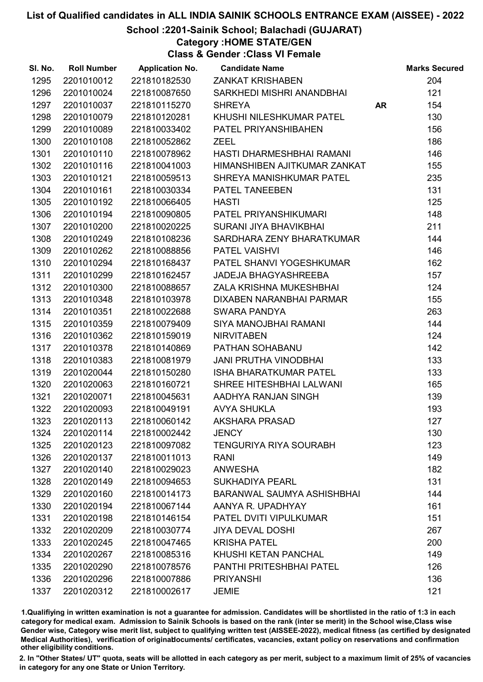# School :2201-Sainik School; Balachadi (GUJARAT)

# Category :HOME STATE/GEN

Class & Gender :Class VI Female

| SI. No. | <b>Roll Number</b> | <b>Application No.</b> | <b>Candidate Name</b>             |    | <b>Marks Secured</b> |
|---------|--------------------|------------------------|-----------------------------------|----|----------------------|
| 1295    | 2201010012         | 221810182530           | <b>ZANKAT KRISHABEN</b>           |    | 204                  |
| 1296    | 2201010024         | 221810087650           | SARKHEDI MISHRI ANANDBHAI         |    | 121                  |
| 1297    | 2201010037         | 221810115270           | <b>SHREYA</b>                     | AR | 154                  |
| 1298    | 2201010079         | 221810120281           | KHUSHI NILESHKUMAR PATEL          |    | 130                  |
| 1299    | 2201010089         | 221810033402           | PATEL PRIYANSHIBAHEN              |    | 156                  |
| 1300    | 2201010108         | 221810052862           | <b>ZEEL</b>                       |    | 186                  |
| 1301    | 2201010110         | 221810078962           | HASTI DHARMESHBHAI RAMANI         |    | 146                  |
| 1302    | 2201010116         | 221810041003           | HIMANSHIBEN AJITKUMAR ZANKAT      |    | 155                  |
| 1303    | 2201010121         | 221810059513           | SHREYA MANISHKUMAR PATEL          |    | 235                  |
| 1304    | 2201010161         | 221810030334           | PATEL TANEEBEN                    |    | 131                  |
| 1305    | 2201010192         | 221810066405           | <b>HASTI</b>                      |    | 125                  |
| 1306    | 2201010194         | 221810090805           | PATEL PRIYANSHIKUMARI             |    | 148                  |
| 1307    | 2201010200         | 221810020225           | SURANI JIYA BHAVIKBHAI            |    | 211                  |
| 1308    | 2201010249         | 221810108236           | SARDHARA ZENY BHARATKUMAR         |    | 144                  |
| 1309    | 2201010262         | 221810088856           | <b>PATEL VAISHVI</b>              |    | 146                  |
| 1310    | 2201010294         | 221810168437           | PATEL SHANVI YOGESHKUMAR          |    | 162                  |
| 1311    | 2201010299         | 221810162457           | <b>JADEJA BHAGYASHREEBA</b>       |    | 157                  |
| 1312    | 2201010300         | 221810088657           | ZALA KRISHNA MUKESHBHAI           |    | 124                  |
| 1313    | 2201010348         | 221810103978           | DIXABEN NARANBHAI PARMAR          |    | 155                  |
| 1314    | 2201010351         | 221810022688           | <b>SWARA PANDYA</b>               |    | 263                  |
| 1315    | 2201010359         | 221810079409           | SIYA MANOJBHAI RAMANI             |    | 144                  |
| 1316    | 2201010362         | 221810159019           | <b>NIRVITABEN</b>                 |    | 124                  |
| 1317    | 2201010378         | 221810140869           | PATHAN SOHABANU                   |    | 142                  |
| 1318    | 2201010383         | 221810081979           | <b>JANI PRUTHA VINODBHAI</b>      |    | 133                  |
| 1319    | 2201020044         | 221810150280           | ISHA BHARATKUMAR PATEL            |    | 133                  |
| 1320    | 2201020063         | 221810160721           | SHREE HITESHBHAI LALWANI          |    | 165                  |
| 1321    | 2201020071         | 221810045631           | AADHYA RANJAN SINGH               |    | 139                  |
| 1322    | 2201020093         | 221810049191           | <b>AVYA SHUKLA</b>                |    | 193                  |
| 1323    | 2201020113         | 221810060142           | <b>AKSHARA PRASAD</b>             |    | 127                  |
| 1324    | 2201020114         | 221810002442           | <b>JENCY</b>                      |    | 130                  |
| 1325    | 2201020123         | 221810097082           | <b>TENGURIYA RIYA SOURABH</b>     |    | 123                  |
| 1326    | 2201020137         | 221810011013           | <b>RANI</b>                       |    | 149                  |
| 1327    | 2201020140         | 221810029023           | <b>ANWESHA</b>                    |    | 182                  |
| 1328    | 2201020149         | 221810094653           | <b>SUKHADIYA PEARL</b>            |    | 131                  |
| 1329    | 2201020160         | 221810014173           | <b>BARANWAL SAUMYA ASHISHBHAI</b> |    | 144                  |
| 1330    | 2201020194         | 221810067144           | AANYA R. UPADHYAY                 |    | 161                  |
| 1331    | 2201020198         | 221810146154           | PATEL DVITI VIPULKUMAR            |    | 151                  |
| 1332    | 2201020209         | 221810030774           | <b>JIYA DEVAL DOSHI</b>           |    | 267                  |
| 1333    | 2201020245         | 221810047465           | <b>KRISHA PATEL</b>               |    | 200                  |
| 1334    | 2201020267         | 221810085316           | KHUSHI KETAN PANCHAL              |    | 149                  |
| 1335    | 2201020290         | 221810078576           | PANTHI PRITESHBHAI PATEL          |    | 126                  |
| 1336    | 2201020296         | 221810007886           | <b>PRIYANSHI</b>                  |    | 136                  |
| 1337    | 2201020312         | 221810002617           | <b>JEMIE</b>                      |    | 121                  |

1.Qualifiying in written examination is not a guarantee for admission. Candidates will be shortlisted in the ratio of 1:3 in each category for medical exam. Admission to Sainik Schools is based on the rank (inter se merit) in the School wise,Class wise Gender wise, Category wise merit list, subject to qualifying written test (AISSEE-2022), medical fitness (as certified by designated Medical Authorities), verification of originablocuments/ certificates, vacancies, extant policy on reservations and confirmation other eligibility conditions.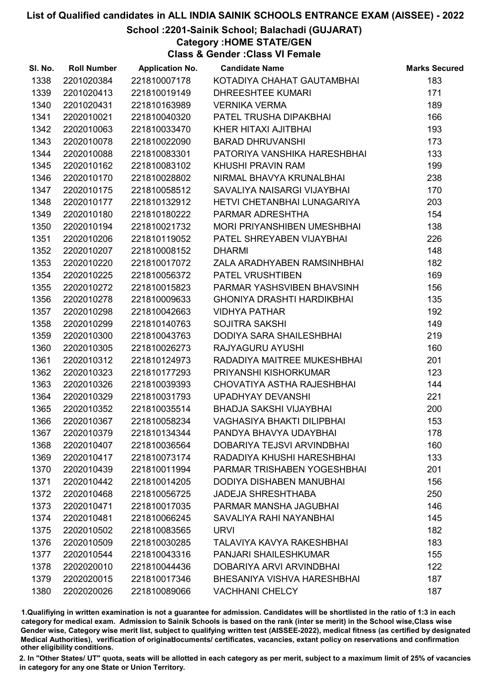# School :2201-Sainik School; Balachadi (GUJARAT)

Category :HOME STATE/GEN

Class & Gender :Class VI Female

| SI. No. | <b>Roll Number</b> | <b>Application No.</b> | <b>Candidate Name</b>             | <b>Marks Secured</b> |
|---------|--------------------|------------------------|-----------------------------------|----------------------|
| 1338    | 2201020384         | 221810007178           | KOTADIYA CHAHAT GAUTAMBHAI        | 183                  |
| 1339    | 2201020413         | 221810019149           | <b>DHREESHTEE KUMARI</b>          | 171                  |
| 1340    | 2201020431         | 221810163989           | <b>VERNIKA VERMA</b>              | 189                  |
| 1341    | 2202010021         | 221810040320           | PATEL TRUSHA DIPAKBHAI            | 166                  |
| 1342    | 2202010063         | 221810033470           | KHER HITAXI AJITBHAI              | 193                  |
| 1343    | 2202010078         | 221810022090           | <b>BARAD DHRUVANSHI</b>           | 173                  |
| 1344    | 2202010088         | 221810083301           | PATORIYA VANSHIKA HARESHBHAI      | 133                  |
| 1345    | 2202010162         | 221810083102           | KHUSHI PRAVIN RAM                 | 199                  |
| 1346    | 2202010170         | 221810028802           | NIRMAL BHAVYA KRUNALBHAI          | 238                  |
| 1347    | 2202010175         | 221810058512           | SAVALIYA NAISARGI VIJAYBHAI       | 170                  |
| 1348    | 2202010177         | 221810132912           | HETVI CHETANBHAI LUNAGARIYA       | 203                  |
| 1349    | 2202010180         | 221810180222           | PARMAR ADRESHTHA                  | 154                  |
| 1350    | 2202010194         | 221810021732           | MORI PRIYANSHIBEN UMESHBHAI       | 138                  |
| 1351    | 2202010206         | 221810119052           | PATEL SHREYABEN VIJAYBHAI         | 226                  |
| 1352    | 2202010207         | 221810008152           | <b>DHARMI</b>                     | 148                  |
| 1353    | 2202010220         | 221810017072           | ZALA ARADHYABEN RAMSINHBHAI       | 182                  |
| 1354    | 2202010225         | 221810056372           | PATEL VRUSHTIBEN                  | 169                  |
| 1355    | 2202010272         | 221810015823           | PARMAR YASHSVIBEN BHAVSINH        | 156                  |
| 1356    | 2202010278         | 221810009633           | <b>GHONIYA DRASHTI HARDIKBHAI</b> | 135                  |
| 1357    | 2202010298         | 221810042663           | <b>VIDHYA PATHAR</b>              | 192                  |
| 1358    | 2202010299         | 221810140763           | <b>SOJITRA SAKSHI</b>             | 149                  |
| 1359    | 2202010300         | 221810043763           | DODIYA SARA SHAILESHBHAI          | 219                  |
| 1360    | 2202010305         | 221810026273           | RAJYAGURU AYUSHI                  | 160                  |
| 1361    | 2202010312         | 221810124973           | RADADIYA MAITREE MUKESHBHAI       | 201                  |
| 1362    | 2202010323         | 221810177293           | PRIYANSHI KISHORKUMAR             | 123                  |
| 1363    | 2202010326         | 221810039393           | CHOVATIYA ASTHA RAJESHBHAI        | 144                  |
| 1364    | 2202010329         | 221810031793           | UPADHYAY DEVANSHI                 | 221                  |
| 1365    | 2202010352         | 221810035514           | <b>BHADJA SAKSHI VIJAYBHAI</b>    | 200                  |
| 1366    | 2202010367         | 221810058234           | <b>VAGHASIYA BHAKTI DILIPBHAI</b> | 153                  |
| 1367    | 2202010379         | 221810134344           | PANDYA BHAVYA UDAYBHAI            | 178                  |
| 1368    | 2202010407         | 221810036564           | DOBARIYA TEJSVI ARVINDBHAI        | 160                  |
| 1369    | 2202010417         | 221810073174           | RADADIYA KHUSHI HARESHBHAI        | 133                  |
| 1370    | 2202010439         | 221810011994           | PARMAR TRISHABEN YOGESHBHAI       | 201                  |
| 1371    | 2202010442         | 221810014205           | <b>DODIYA DISHABEN MANUBHAI</b>   | 156                  |
| 1372    | 2202010468         | 221810056725           | <b>JADEJA SHRESHTHABA</b>         | 250                  |
| 1373    | 2202010471         | 221810017035           | PARMAR MANSHA JAGUBHAI            | 146                  |
| 1374    | 2202010481         | 221810066245           | SAVALIYA RAHI NAYANBHAI           | 145                  |
| 1375    | 2202010502         | 221810083565           | <b>URVI</b>                       | 182                  |
| 1376    | 2202010509         | 221810030285           | TALAVIYA KAVYA RAKESHBHAI         | 183                  |
| 1377    | 2202010544         | 221810043316           | <b>PANJARI SHAILESHKUMAR</b>      | 155                  |
| 1378    | 2202020010         | 221810044436           | DOBARIYA ARVI ARVINDBHAI          | 122                  |
| 1379    | 2202020015         | 221810017346           | BHESANIYA VISHVA HARESHBHAI       | 187                  |
| 1380    | 2202020026         | 221810089066           | <b>VACHHANI CHELCY</b>            | 187                  |

1.Qualifiying in written examination is not a guarantee for admission. Candidates will be shortlisted in the ratio of 1:3 in each category for medical exam. Admission to Sainik Schools is based on the rank (inter se merit) in the School wise,Class wise Gender wise, Category wise merit list, subject to qualifying written test (AISSEE-2022), medical fitness (as certified by designated Medical Authorities), verification of originablocuments/ certificates, vacancies, extant policy on reservations and confirmation other eligibility conditions.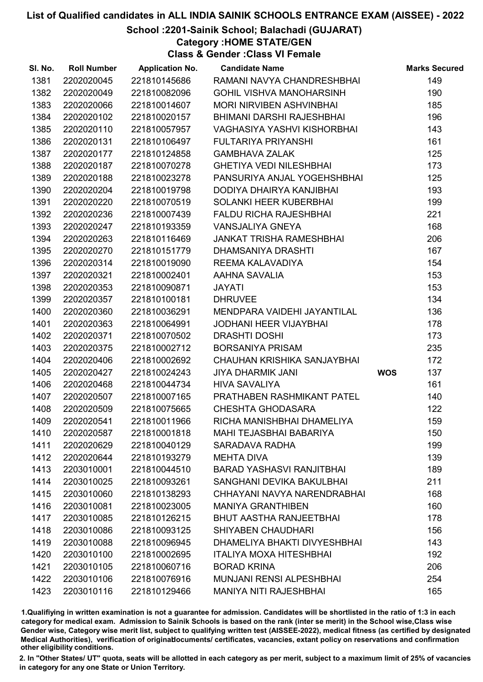# School :2201-Sainik School; Balachadi (GUJARAT)

Category :HOME STATE/GEN

Class & Gender :Class VI Female

| SI. No. | <b>Roll Number</b> | <b>Application No.</b> | <b>Candidate Name</b>            |            | <b>Marks Secured</b> |
|---------|--------------------|------------------------|----------------------------------|------------|----------------------|
| 1381    | 2202020045         | 221810145686           | RAMANI NAVYA CHANDRESHBHAI       |            | 149                  |
| 1382    | 2202020049         | 221810082096           | <b>GOHIL VISHVA MANOHARSINH</b>  |            | 190                  |
| 1383    | 2202020066         | 221810014607           | <b>MORI NIRVIBEN ASHVINBHAI</b>  |            | 185                  |
| 1384    | 2202020102         | 221810020157           | BHIMANI DARSHI RAJESHBHAI        |            | 196                  |
| 1385    | 2202020110         | 221810057957           | VAGHASIYA YASHVI KISHORBHAI      |            | 143                  |
| 1386    | 2202020131         | 221810106497           | <b>FULTARIYA PRIYANSHI</b>       |            | 161                  |
| 1387    | 2202020177         | 221810124858           | <b>GAMBHAVA ZALAK</b>            |            | 125                  |
| 1388    | 2202020187         | 221810070278           | <b>GHETIYA VEDI NILESHBHAI</b>   |            | 173                  |
| 1389    | 2202020188         | 221810023278           | PANSURIYA ANJAL YOGEHSHBHAI      |            | 125                  |
| 1390    | 2202020204         | 221810019798           | DODIYA DHAIRYA KANJIBHAI         |            | 193                  |
| 1391    | 2202020220         | 221810070519           | SOLANKI HEER KUBERBHAI           |            | 199                  |
| 1392    | 2202020236         | 221810007439           | <b>FALDU RICHA RAJESHBHAI</b>    |            | 221                  |
| 1393    | 2202020247         | 221810193359           | <b>VANSJALIYA GNEYA</b>          |            | 168                  |
| 1394    | 2202020263         | 221810116469           | <b>JANKAT TRISHA RAMESHBHAI</b>  |            | 206                  |
| 1395    | 2202020270         | 221810151779           | <b>DHAMSANIYA DRASHTI</b>        |            | 167                  |
| 1396    | 2202020314         | 221810019090           | REEMA KALAVADIYA                 |            | 154                  |
| 1397    | 2202020321         | 221810002401           | AAHNA SAVALIA                    |            | 153                  |
| 1398    | 2202020353         | 221810090871           | <b>JAYATI</b>                    |            | 153                  |
| 1399    | 2202020357         | 221810100181           | <b>DHRUVEE</b>                   |            | 134                  |
| 1400    | 2202020360         | 221810036291           | MENDPARA VAIDEHI JAYANTILAL      |            | 136                  |
| 1401    | 2202020363         | 221810064991           | <b>JODHANI HEER VIJAYBHAI</b>    |            | 178                  |
| 1402    | 2202020371         | 221810070502           | <b>DRASHTI DOSHI</b>             |            | 173                  |
| 1403    | 2202020375         | 221810002712           | <b>BORSANIYA PRISAM</b>          |            | 235                  |
| 1404    | 2202020406         | 221810002692           | CHAUHAN KRISHIKA SANJAYBHAI      |            | 172                  |
| 1405    | 2202020427         | 221810024243           | <b>JIYA DHARMIK JANI</b>         | <b>WOS</b> | 137                  |
| 1406    | 2202020468         | 221810044734           | <b>HIVA SAVALIYA</b>             |            | 161                  |
| 1407    | 2202020507         | 221810007165           | PRATHABEN RASHMIKANT PATEL       |            | 140                  |
| 1408    | 2202020509         | 221810075665           | <b>CHESHTA GHODASARA</b>         |            | 122                  |
| 1409    | 2202020541         | 221810011966           | RICHA MANISHBHAI DHAMELIYA       |            | 159                  |
| 1410    | 2202020587         | 221810001818           | <b>MAHI TEJASBHAI BABARIYA</b>   |            | 150                  |
| 1411    | 2202020629         | 221810040129           | SARADAVA RADHA                   |            | 199                  |
| 1412    | 2202020644         | 221810193279           | <b>MEHTA DIVA</b>                |            | 139                  |
| 1413    | 2203010001         | 221810044510           | <b>BARAD YASHASVI RANJITBHAI</b> |            | 189                  |
| 1414    | 2203010025         | 221810093261           | SANGHANI DEVIKA BAKULBHAI        |            | 211                  |
| 1415    | 2203010060         | 221810138293           | CHHAYANI NAVYA NARENDRABHAI      |            | 168                  |
| 1416    | 2203010081         | 221810023005           | <b>MANIYA GRANTHIBEN</b>         |            | 160                  |
| 1417    | 2203010085         | 221810126215           | <b>BHUT AASTHA RANJEETBHAI</b>   |            | 178                  |
| 1418    | 2203010086         | 221810093125           | <b>SHIYABEN CHAUDHARI</b>        |            | 156                  |
| 1419    | 2203010088         | 221810096945           | DHAMELIYA BHAKTI DIVYESHBHAI     |            | 143                  |
| 1420    | 2203010100         | 221810002695           | <b>ITALIYA MOXA HITESHBHAI</b>   |            | 192                  |
| 1421    | 2203010105         | 221810060716           | <b>BORAD KRINA</b>               |            | 206                  |
| 1422    | 2203010106         | 221810076916           | <b>MUNJANI RENSI ALPESHBHAI</b>  |            | 254                  |
| 1423    | 2203010116         | 221810129466           | <b>MANIYA NITI RAJESHBHAI</b>    |            | 165                  |

1.Qualifiying in written examination is not a guarantee for admission. Candidates will be shortlisted in the ratio of 1:3 in each category for medical exam. Admission to Sainik Schools is based on the rank (inter se merit) in the School wise,Class wise Gender wise, Category wise merit list, subject to qualifying written test (AISSEE-2022), medical fitness (as certified by designated Medical Authorities), verification of originablocuments/ certificates, vacancies, extant policy on reservations and confirmation other eligibility conditions.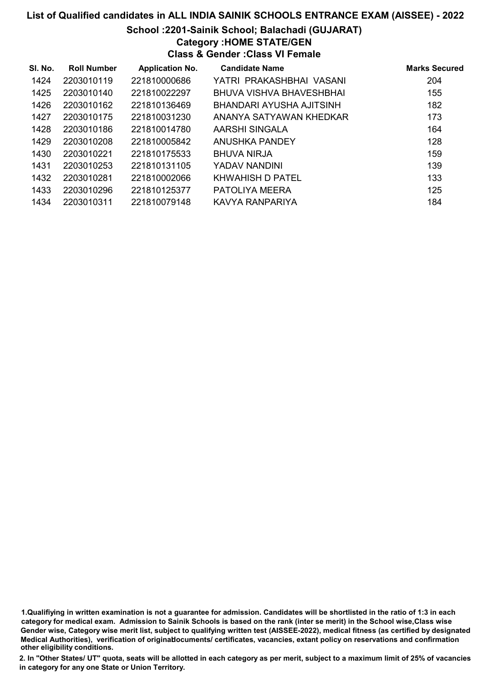# School :2201-Sainik School; Balachadi (GUJARAT)

# Category :HOME STATE/GEN

Class & Gender :Class VI Female

| SI. No. | <b>Roll Number</b> | <b>Application No.</b> | <b>Candidate Name</b>    | <b>Marks Secured</b> |
|---------|--------------------|------------------------|--------------------------|----------------------|
| 1424    | 2203010119         | 221810000686           | YATRI PRAKASHBHAI VASANI | 204                  |
| 1425    | 2203010140         | 221810022297           | BHUVA VISHVA BHAVESHBHAI | 155                  |
| 1426    | 2203010162         | 221810136469           | BHANDARI AYUSHA AJITSINH | 182                  |
| 1427    | 2203010175         | 221810031230           | ANANYA SATYAWAN KHEDKAR  | 173                  |
| 1428    | 2203010186         | 221810014780           | AARSHI SINGALA           | 164                  |
| 1429    | 2203010208         | 221810005842           | ANUSHKA PANDEY           | 128                  |
| 1430    | 2203010221         | 221810175533           | <b>BHUVA NIRJA</b>       | 159                  |
| 1431    | 2203010253         | 221810131105           | YADAV NANDINI            | 139                  |
| 1432    | 2203010281         | 221810002066           | <b>KHWAHISH D PATEL</b>  | 133                  |
| 1433    | 2203010296         | 221810125377           | PATOLIYA MEERA           | 125                  |
| 1434    | 2203010311         | 221810079148           | KAVYA RANPARIYA          | 184                  |

1.Qualifiying in written examination is not a guarantee for admission. Candidates will be shortlisted in the ratio of 1:3 in each category for medical exam. Admission to Sainik Schools is based on the rank (inter se merit) in the School wise,Class wise Gender wise, Category wise merit list, subject to qualifying written test (AISSEE-2022), medical fitness (as certified by designated Medical Authorities), verification of originablocuments/ certificates, vacancies, extant policy on reservations and confirmation other eligibility conditions.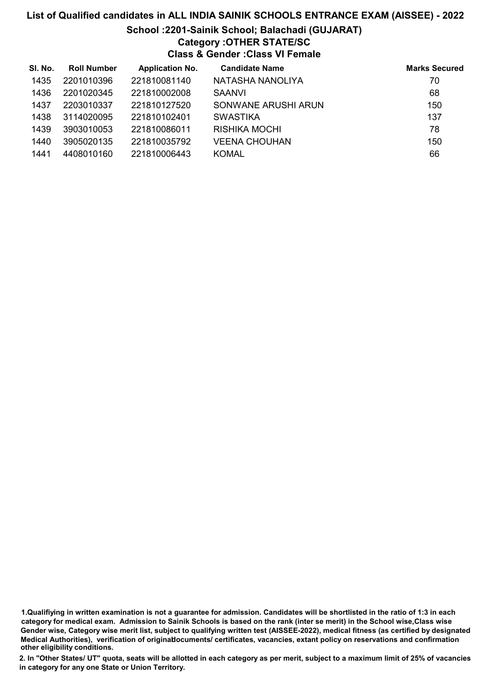# List of Qualified candidates in ALL INDIA SAINIK SCHOOLS ENTRANCE EXAM (AISSEE) - 2022 School :2201-Sainik School; Balachadi (GUJARAT) Category :OTHER STATE/SC Class & Gender :Class VI Female

| SI. No. | <b>Roll Number</b> | <b>Application No.</b> | <b>Candidate Name</b> | <b>Marks Secured</b> |
|---------|--------------------|------------------------|-----------------------|----------------------|
| 1435    | 2201010396         | 221810081140           | NATASHA NANOLIYA      | 70                   |
| 1436    | 2201020345         | 221810002008           | <b>SAANVI</b>         | 68                   |
| 1437    | 2203010337         | 221810127520           | SONWANE ARUSHI ARUN   | 150                  |
| 1438    | 3114020095         | 221810102401           | <b>SWASTIKA</b>       | 137                  |
| 1439    | 3903010053         | 221810086011           | <b>RISHIKA MOCHI</b>  | 78                   |
| 1440    | 3905020135         | 221810035792           | <b>VEENA CHOUHAN</b>  | 150                  |
| 1441    | 4408010160         | 221810006443           | <b>KOMAL</b>          | 66                   |

<sup>1.</sup>Qualifiying in written examination is not a guarantee for admission. Candidates will be shortlisted in the ratio of 1:3 in each category for medical exam. Admission to Sainik Schools is based on the rank (inter se merit) in the School wise,Class wise Gender wise, Category wise merit list, subject to qualifying written test (AISSEE-2022), medical fitness (as certified by designated Medical Authorities), verification of originablocuments/ certificates, vacancies, extant policy on reservations and confirmation other eligibility conditions.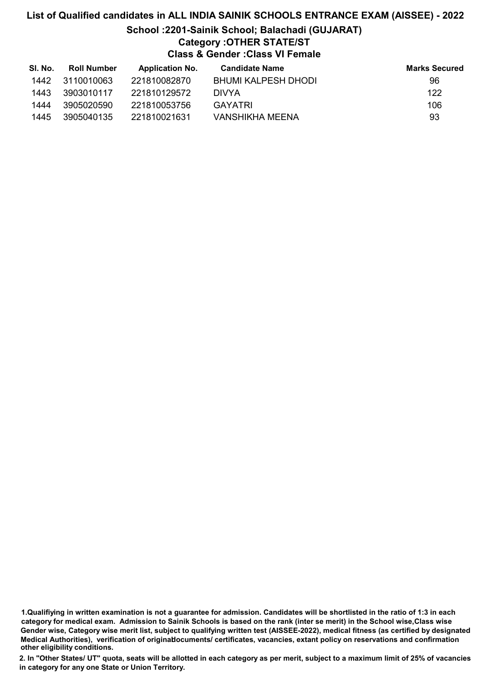# List of Qualified candidates in ALL INDIA SAINIK SCHOOLS ENTRANCE EXAM (AISSEE) - 2022 School :2201-Sainik School; Balachadi (GUJARAT) Category :OTHER STATE/ST Class & Gender :Class VI Female

| SI. No. | <b>Roll Number</b> | <b>Application No.</b> | <b>Candidate Name</b>  | <b>Marks Secured</b> |
|---------|--------------------|------------------------|------------------------|----------------------|
| 1442    | 3110010063         | 221810082870           | BHUMI KALPESH DHODI    | 96                   |
| 1443    | 3903010117         | 221810129572           | <b>DIVYA</b>           | 122                  |
| 1444    | 3905020590         | 221810053756           | <b>GAYATRI</b>         | 106                  |
| 1445    | 3905040135         | 221810021631           | <b>VANSHIKHA MEENA</b> | 93                   |

1.Qualifiying in written examination is not a guarantee for admission. Candidates will be shortlisted in the ratio of 1:3 in each category for medical exam. Admission to Sainik Schools is based on the rank (inter se merit) in the School wise,Class wise Gender wise, Category wise merit list, subject to qualifying written test (AISSEE-2022), medical fitness (as certified by designated Medical Authorities), verification of originablocuments/ certificates, vacancies, extant policy on reservations and confirmation other eligibility conditions.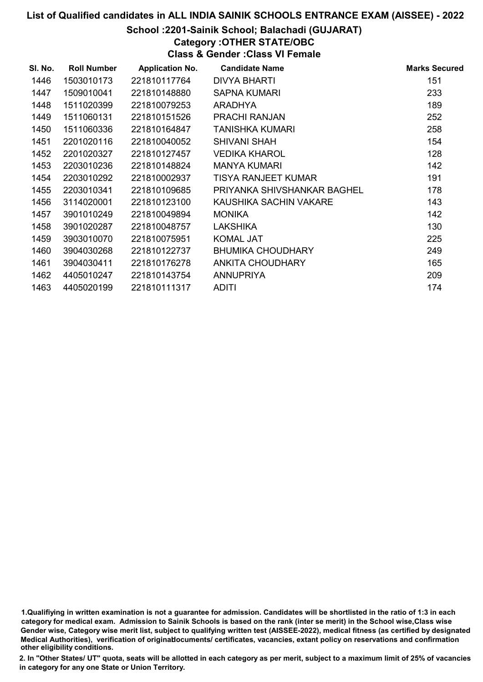# School :2201-Sainik School; Balachadi (GUJARAT)

Category :OTHER STATE/OBC

Class & Gender :Class VI Female

| SI. No. | <b>Roll Number</b> | <b>Application No.</b> | <b>Candidate Name</b>       | <b>Marks Secured</b> |
|---------|--------------------|------------------------|-----------------------------|----------------------|
| 1446    | 1503010173         | 221810117764           | DIVYA BHARTI                | 151                  |
| 1447    | 1509010041         | 221810148880           | <b>SAPNA KUMARI</b>         | 233                  |
| 1448    | 1511020399         | 221810079253           | <b>ARADHYA</b>              | 189                  |
| 1449    | 1511060131         | 221810151526           | <b>PRACHI RANJAN</b>        | 252                  |
| 1450    | 1511060336         | 221810164847           | TANISHKA KUMARI             | 258                  |
| 1451    | 2201020116         | 221810040052           | <b>SHIVANI SHAH</b>         | 154                  |
| 1452    | 2201020327         | 221810127457           | VEDIKA KHAROL               | 128                  |
| 1453    | 2203010236         | 221810148824           | <b>MANYA KUMARI</b>         | 142                  |
| 1454    | 2203010292         | 221810002937           | <b>TISYA RANJEET KUMAR</b>  | 191                  |
| 1455    | 2203010341         | 221810109685           | PRIYANKA SHIVSHANKAR BAGHEL | 178                  |
| 1456    | 3114020001         | 221810123100           | KAUSHIKA SACHIN VAKARE      | 143                  |
| 1457    | 3901010249         | 221810049894           | <b>MONIKA</b>               | 142                  |
| 1458    | 3901020287         | 221810048757           | <b>LAKSHIKA</b>             | 130                  |
| 1459    | 3903010070         | 221810075951           | <b>KOMAL JAT</b>            | 225                  |
| 1460    | 3904030268         | 221810122737           | <b>BHUMIKA CHOUDHARY</b>    | 249                  |
| 1461    | 3904030411         | 221810176278           | <b>ANKITA CHOUDHARY</b>     | 165                  |
| 1462    | 4405010247         | 221810143754           | <b>ANNUPRIYA</b>            | 209                  |
| 1463    | 4405020199         | 221810111317           | <b>ADITI</b>                | 174                  |

1.Qualifiying in written examination is not a guarantee for admission. Candidates will be shortlisted in the ratio of 1:3 in each category for medical exam. Admission to Sainik Schools is based on the rank (inter se merit) in the School wise,Class wise Gender wise, Category wise merit list, subject to qualifying written test (AISSEE-2022), medical fitness (as certified by designated Medical Authorities), verification of originablocuments/ certificates, vacancies, extant policy on reservations and confirmation other eligibility conditions.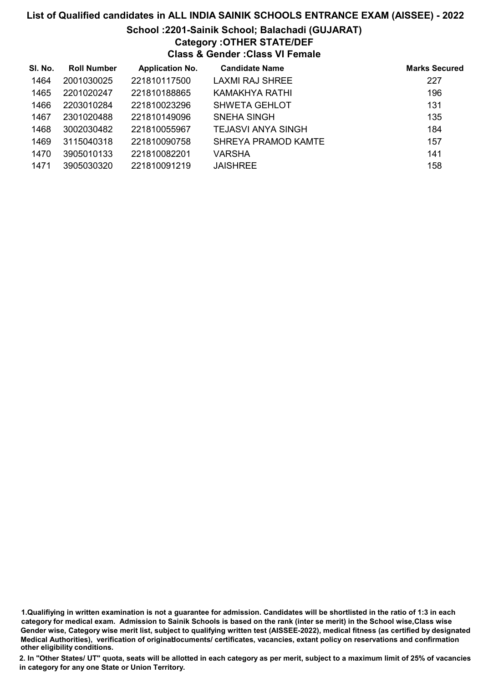# School :2201-Sainik School; Balachadi (GUJARAT) Category :OTHER STATE/DEF

Class & Gender :Class VI Female

| SI. No. | <b>Roll Number</b> | <b>Application No.</b> | <b>Candidate Name</b>  | <b>Marks Secured</b> |
|---------|--------------------|------------------------|------------------------|----------------------|
| 1464    | 2001030025         | 221810117500           | <b>LAXMI RAJ SHREE</b> | 227                  |
| 1465    | 2201020247         | 221810188865           | KAMAKHYA RATHI         | 196                  |
| 1466    | 2203010284         | 221810023296           | <b>SHWETA GEHLOT</b>   | 131                  |
| 1467    | 2301020488         | 221810149096           | <b>SNEHA SINGH</b>     | 135                  |
| 1468    | 3002030482         | 221810055967           | TEJASVI ANYA SINGH     | 184                  |
| 1469    | 3115040318         | 221810090758           | SHREYA PRAMOD KAMTE    | 157                  |
| 1470    | 3905010133         | 221810082201           | VARSHA                 | 141                  |
| 1471    | 3905030320         | 221810091219           | <b>JAISHREE</b>        | 158                  |

1.Qualifiying in written examination is not a guarantee for admission. Candidates will be shortlisted in the ratio of 1:3 in each category for medical exam. Admission to Sainik Schools is based on the rank (inter se merit) in the School wise,Class wise Gender wise, Category wise merit list, subject to qualifying written test (AISSEE-2022), medical fitness (as certified by designated Medical Authorities), verification of originablocuments/ certificates, vacancies, extant policy on reservations and confirmation other eligibility conditions.